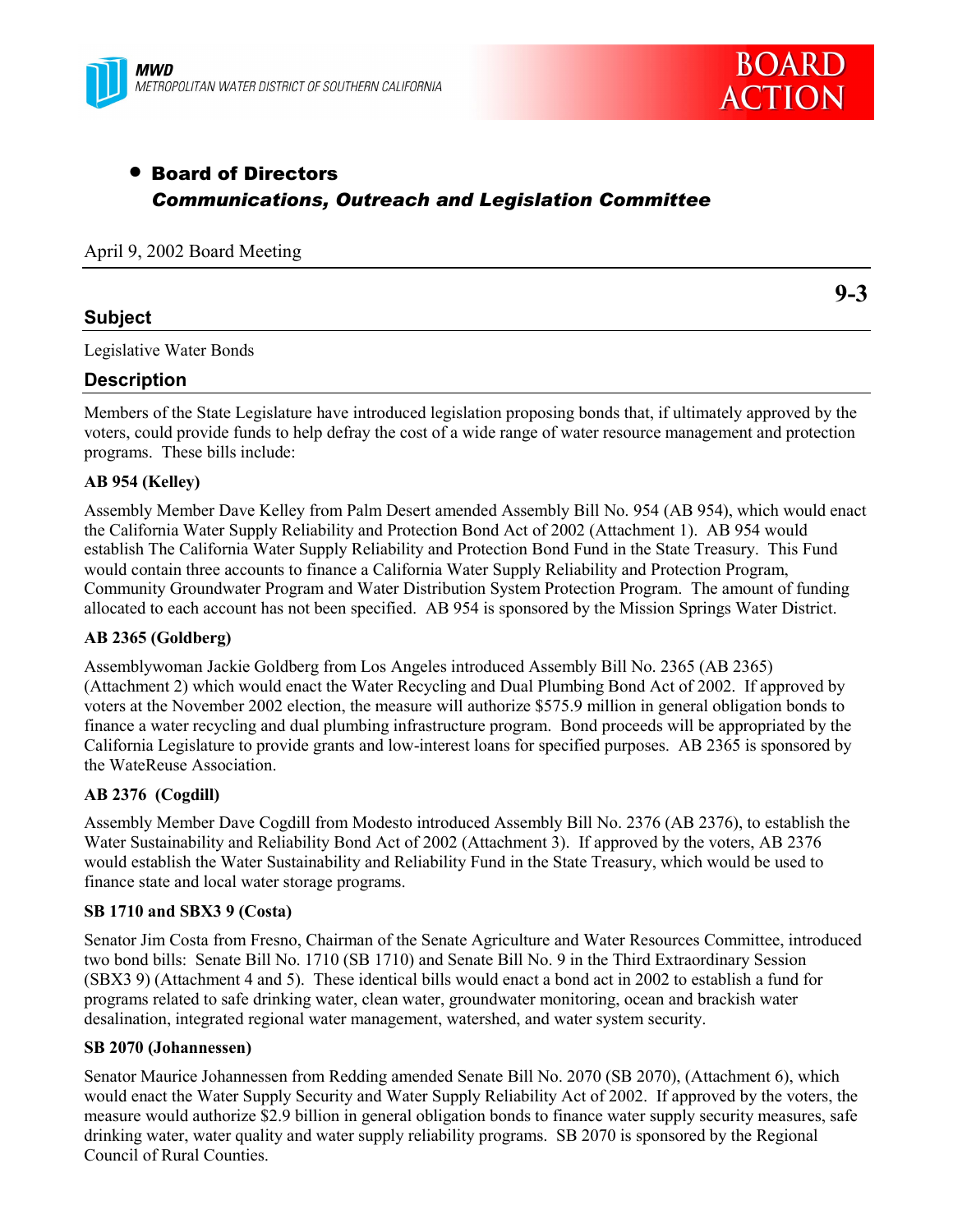



**9-3**

# • Board of Directors *Communications, Outreach and Legislation Committee*

|  |  |  | April 9, 2002 Board Meeting |
|--|--|--|-----------------------------|
|--|--|--|-----------------------------|

# **Subject**

Legislative Water Bonds

# **Description**

Members of the State Legislature have introduced legislation proposing bonds that, if ultimately approved by the voters, could provide funds to help defray the cost of a wide range of water resource management and protection programs. These bills include:

### **AB 954 (Kelley)**

Assembly Member Dave Kelley from Palm Desert amended Assembly Bill No. 954 (AB 954), which would enact the California Water Supply Reliability and Protection Bond Act of 2002 (Attachment 1). AB 954 would establish The California Water Supply Reliability and Protection Bond Fund in the State Treasury. This Fund would contain three accounts to finance a California Water Supply Reliability and Protection Program, Community Groundwater Program and Water Distribution System Protection Program. The amount of funding allocated to each account has not been specified. AB 954 is sponsored by the Mission Springs Water District.

### **AB 2365 (Goldberg)**

Assemblywoman Jackie Goldberg from Los Angeles introduced Assembly Bill No. 2365 (AB 2365) (Attachment 2) which would enact the Water Recycling and Dual Plumbing Bond Act of 2002. If approved by voters at the November 2002 election, the measure will authorize \$575.9 million in general obligation bonds to finance a water recycling and dual plumbing infrastructure program. Bond proceeds will be appropriated by the California Legislature to provide grants and low-interest loans for specified purposes. AB 2365 is sponsored by the WateReuse Association.

### **AB 2376 (Cogdill)**

Assembly Member Dave Cogdill from Modesto introduced Assembly Bill No. 2376 (AB 2376), to establish the Water Sustainability and Reliability Bond Act of 2002 (Attachment 3). If approved by the voters, AB 2376 would establish the Water Sustainability and Reliability Fund in the State Treasury, which would be used to finance state and local water storage programs.

### **SB 1710 and SBX3 9 (Costa)**

Senator Jim Costa from Fresno, Chairman of the Senate Agriculture and Water Resources Committee, introduced two bond bills: Senate Bill No. 1710 (SB 1710) and Senate Bill No. 9 in the Third Extraordinary Session (SBX3 9) (Attachment 4 and 5). These identical bills would enact a bond act in 2002 to establish a fund for programs related to safe drinking water, clean water, groundwater monitoring, ocean and brackish water desalination, integrated regional water management, watershed, and water system security.

### **SB 2070 (Johannessen)**

Senator Maurice Johannessen from Redding amended Senate Bill No. 2070 (SB 2070), (Attachment 6), which would enact the Water Supply Security and Water Supply Reliability Act of 2002. If approved by the voters, the measure would authorize \$2.9 billion in general obligation bonds to finance water supply security measures, safe drinking water, water quality and water supply reliability programs. SB 2070 is sponsored by the Regional Council of Rural Counties.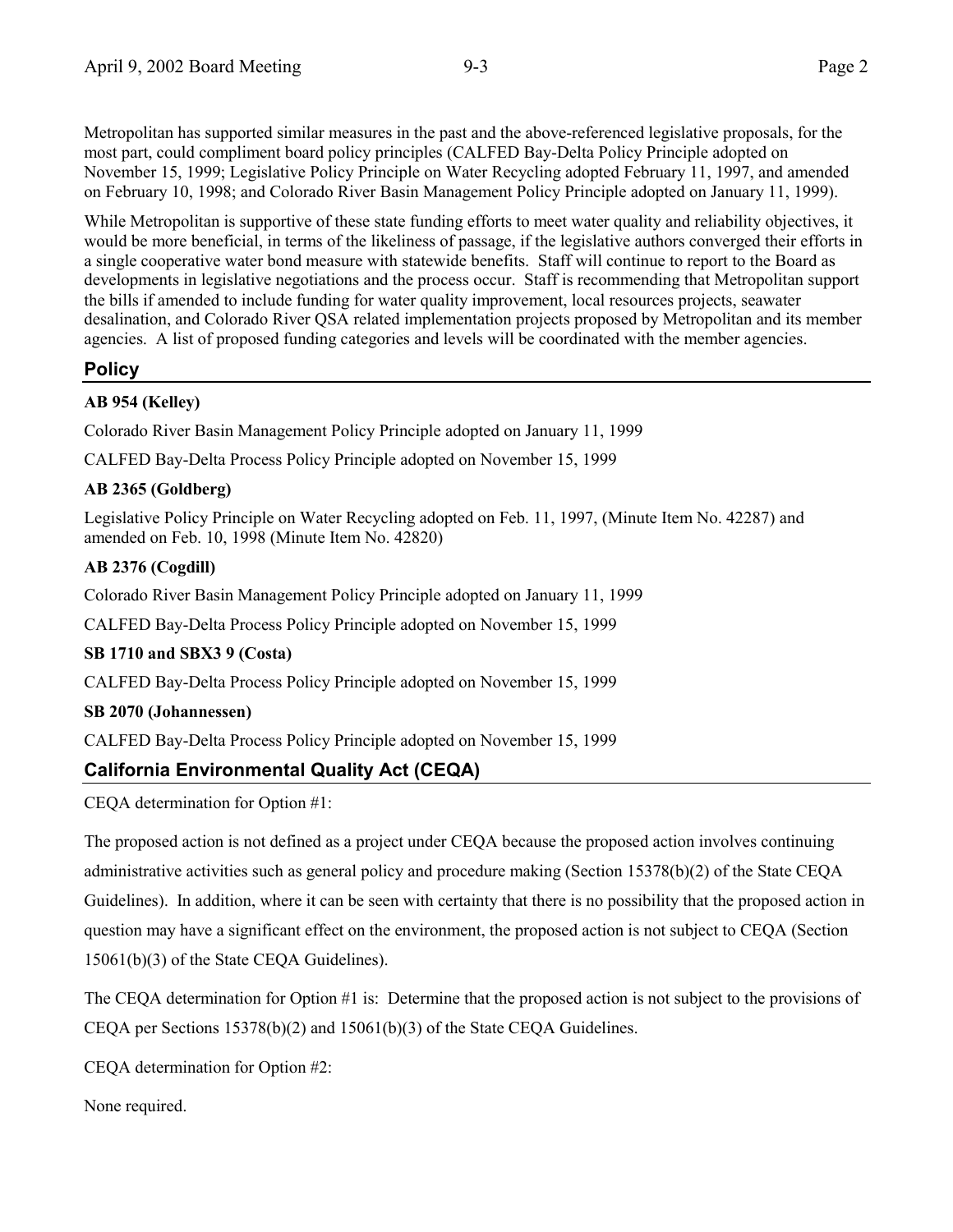Metropolitan has supported similar measures in the past and the above-referenced legislative proposals, for the most part, could compliment board policy principles (CALFED Bay-Delta Policy Principle adopted on November 15, 1999; Legislative Policy Principle on Water Recycling adopted February 11, 1997, and amended on February 10, 1998; and Colorado River Basin Management Policy Principle adopted on January 11, 1999).

While Metropolitan is supportive of these state funding efforts to meet water quality and reliability objectives, it would be more beneficial, in terms of the likeliness of passage, if the legislative authors converged their efforts in a single cooperative water bond measure with statewide benefits. Staff will continue to report to the Board as developments in legislative negotiations and the process occur. Staff is recommending that Metropolitan support the bills if amended to include funding for water quality improvement, local resources projects, seawater desalination, and Colorado River QSA related implementation projects proposed by Metropolitan and its member agencies. A list of proposed funding categories and levels will be coordinated with the member agencies.

# **Policy**

# **AB 954 (Kelley)**

Colorado River Basin Management Policy Principle adopted on January 11, 1999

CALFED Bay-Delta Process Policy Principle adopted on November 15, 1999

# **AB 2365 (Goldberg)**

Legislative Policy Principle on Water Recycling adopted on Feb. 11, 1997, (Minute Item No. 42287) and amended on Feb. 10, 1998 (Minute Item No. 42820)

# **AB 2376 (Cogdill)**

Colorado River Basin Management Policy Principle adopted on January 11, 1999

CALFED Bay-Delta Process Policy Principle adopted on November 15, 1999

# **SB 1710 and SBX3 9 (Costa)**

CALFED Bay-Delta Process Policy Principle adopted on November 15, 1999

# **SB 2070 (Johannessen)**

CALFED Bay-Delta Process Policy Principle adopted on November 15, 1999

# **California Environmental Quality Act (CEQA)**

CEQA determination for Option #1:

The proposed action is not defined as a project under CEQA because the proposed action involves continuing administrative activities such as general policy and procedure making (Section 15378(b)(2) of the State CEQA Guidelines). In addition, where it can be seen with certainty that there is no possibility that the proposed action in question may have a significant effect on the environment, the proposed action is not subject to CEQA (Section 15061(b)(3) of the State CEQA Guidelines).

The CEQA determination for Option #1 is: Determine that the proposed action is not subject to the provisions of CEQA per Sections 15378(b)(2) and 15061(b)(3) of the State CEQA Guidelines.

CEQA determination for Option #2:

None required.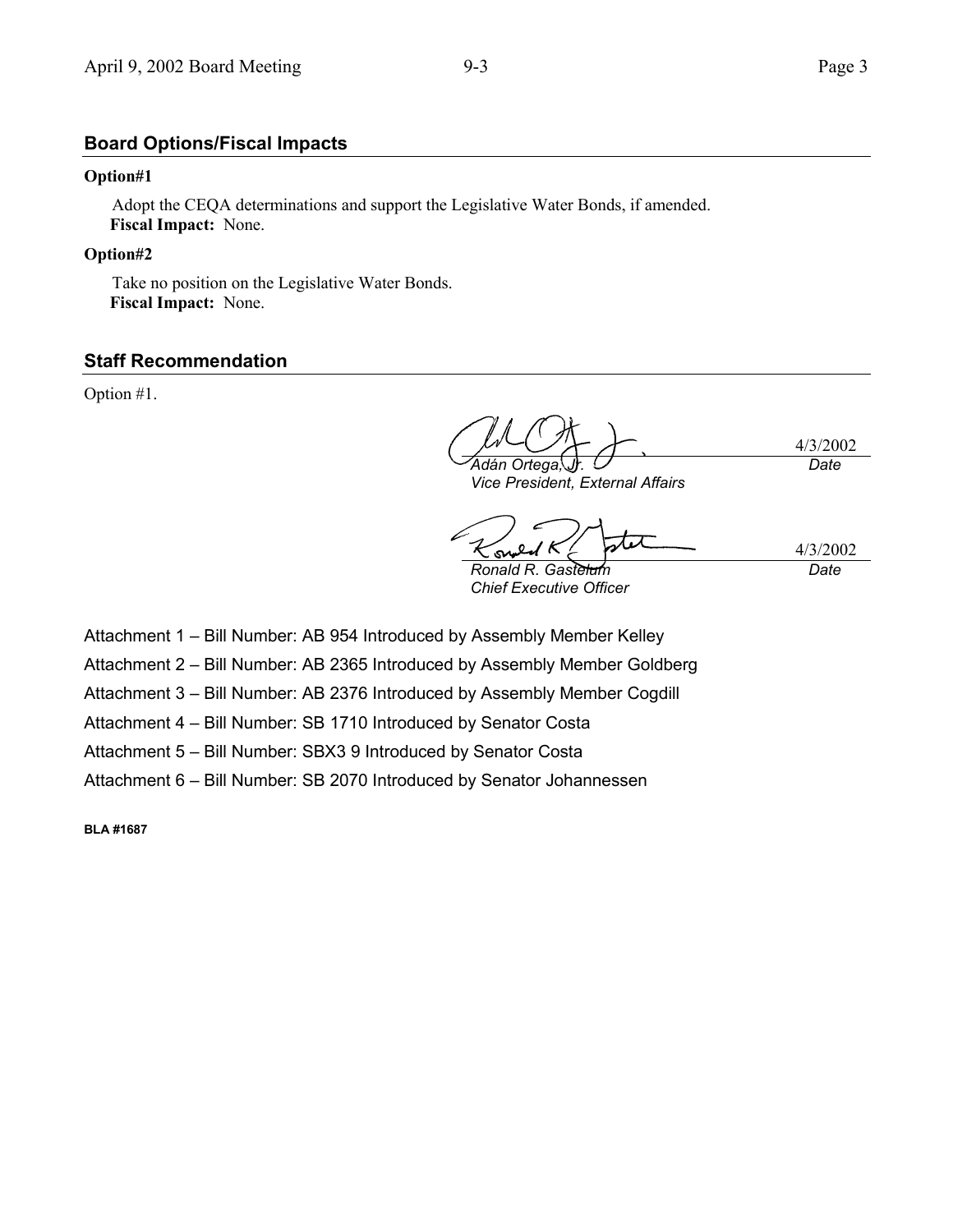### **Board Options/Fiscal Impacts**

### **Option#1**

Adopt the CEQA determinations and support the Legislative Water Bonds, if amended. **Fiscal Impact:** None.

### **Option#2**

Take no position on the Legislative Water Bonds.  **Fiscal Impact:** None.

### **Staff Recommendation**

Option #1.

4/3/2002 *Ad·n Ortega, Jr. Date*

*Vice President, External Affairs*

سا 4/3/2002 s

*Ronald R. Gastelum Chief Executive Officer*

*Date*

Attachment 1 - Bill Number: AB 954 Introduced by Assembly Member Kelley

Attachment 2 - Bill Number: AB 2365 Introduced by Assembly Member Goldberg

Attachment 3 - Bill Number: AB 2376 Introduced by Assembly Member Cogdill

Attachment 4 - Bill Number: SB 1710 Introduced by Senator Costa

Attachment 5 - Bill Number: SBX3 9 Introduced by Senator Costa

Attachment 6 - Bill Number: SB 2070 Introduced by Senator Johannessen

**BLA #1687**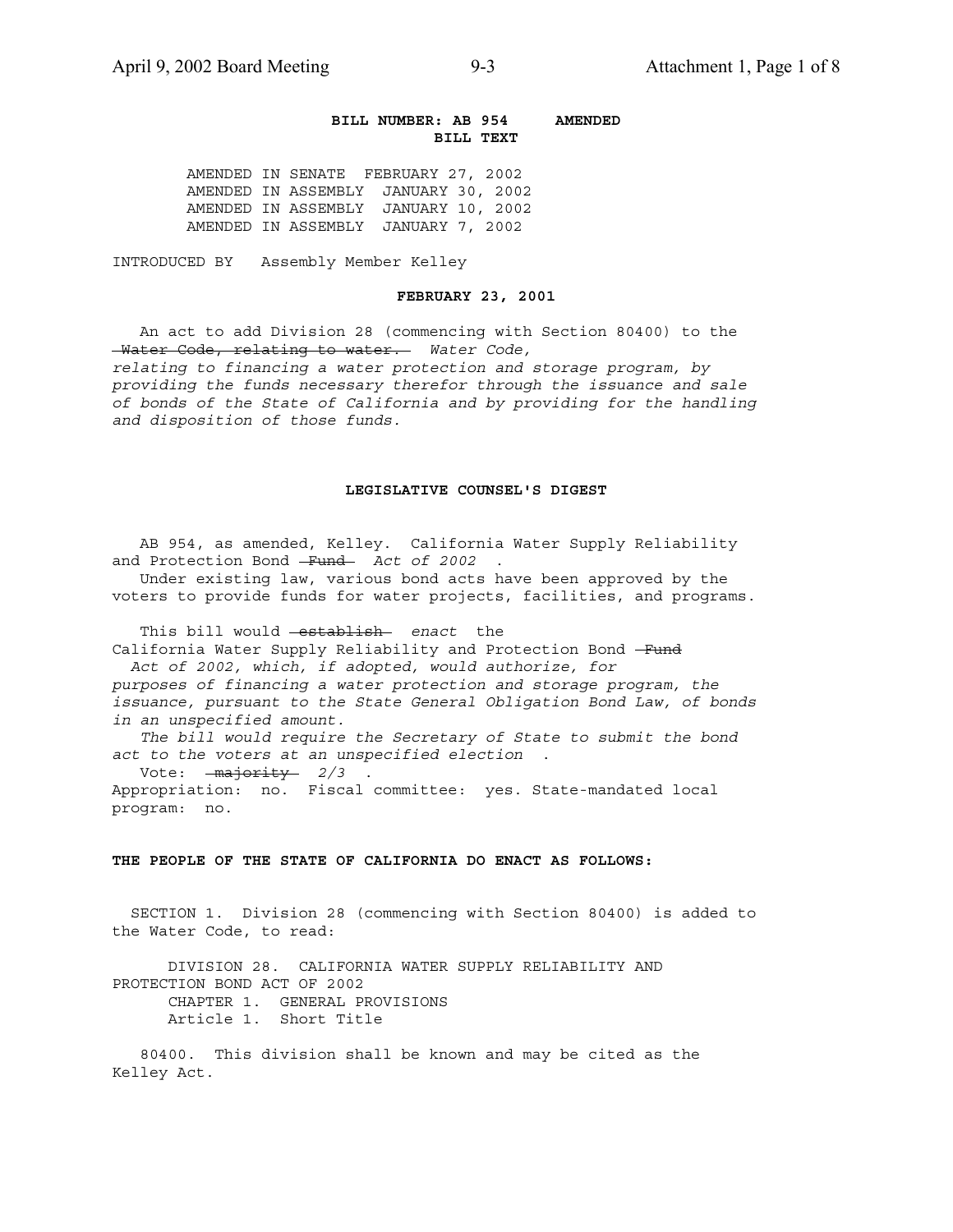### **BILL NUMBER: AB 954 AMENDED BILL TEXT**

AMENDED IN SENATE FEBRUARY 27, 2002 AMENDED IN ASSEMBLY JANUARY 30, 2002 AMENDED IN ASSEMBLY JANUARY 10, 2002 AMENDED IN ASSEMBLY JANUARY 7, 2002

INTRODUCED BY Assembly Member Kelley

### **FEBRUARY 23, 2001**

 An act to add Division 28 (commencing with Section 80400) to the Water Code, relating to water. *Water Code, relating to financing a water protection and storage program, by providing the funds necessary therefor through the issuance and sale of bonds of the State of California and by providing for the handling and disposition of those funds.*

### **LEGISLATIVE COUNSEL'S DIGEST**

 AB 954, as amended, Kelley. California Water Supply Reliability and Protection Bond - Fund - Act of 2002 .

 Under existing law, various bond acts have been approved by the voters to provide funds for water projects, facilities, and programs.

 This bill would establish *enact* the California Water Supply Reliability and Protection Bond -Fund  *Act of 2002, which, if adopted, would authorize, for purposes of financing a water protection and storage program, the issuance, pursuant to the State General Obligation Bond Law, of bonds in an unspecified amount. The bill would require the Secretary of State to submit the bond act to the voters at an unspecified election* . Vote:  $\frac{max\}y2/3$ 

Appropriation: no. Fiscal committee: yes. State-mandated local program: no.

### **THE PEOPLE OF THE STATE OF CALIFORNIA DO ENACT AS FOLLOWS:**

 SECTION 1. Division 28 (commencing with Section 80400) is added to the Water Code, to read:

 DIVISION 28. CALIFORNIA WATER SUPPLY RELIABILITY AND PROTECTION BOND ACT OF 2002 CHAPTER 1. GENERAL PROVISIONS Article 1. Short Title

 80400. This division shall be known and may be cited as the Kelley Act.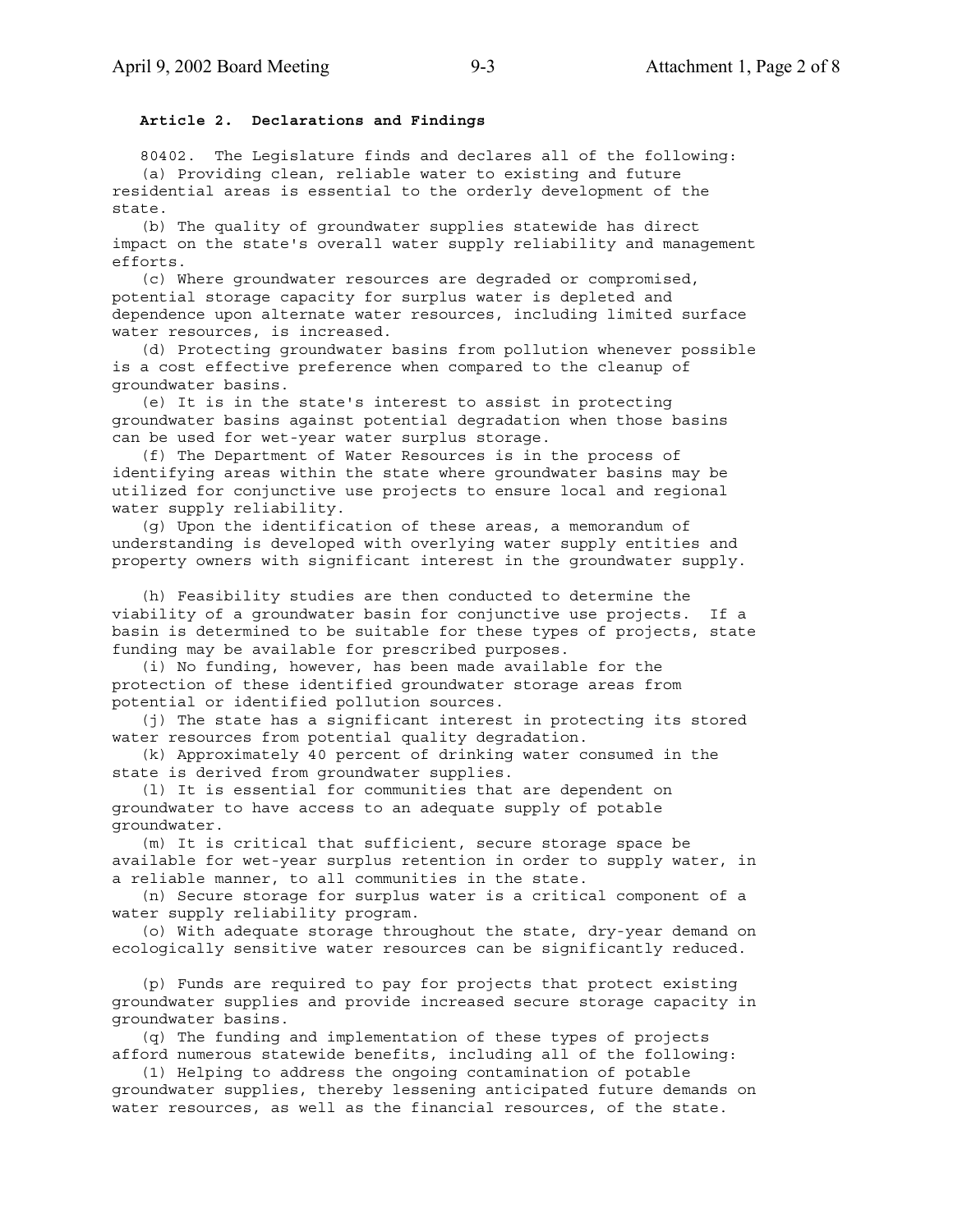### **Article 2. Declarations and Findings**

 80402. The Legislature finds and declares all of the following: (a) Providing clean, reliable water to existing and future residential areas is essential to the orderly development of the state.

 (b) The quality of groundwater supplies statewide has direct impact on the state's overall water supply reliability and management efforts.

 (c) Where groundwater resources are degraded or compromised, potential storage capacity for surplus water is depleted and dependence upon alternate water resources, including limited surface water resources, is increased.

 (d) Protecting groundwater basins from pollution whenever possible is a cost effective preference when compared to the cleanup of groundwater basins.

 (e) It is in the state's interest to assist in protecting groundwater basins against potential degradation when those basins can be used for wet-year water surplus storage.

 (f) The Department of Water Resources is in the process of identifying areas within the state where groundwater basins may be utilized for conjunctive use projects to ensure local and regional water supply reliability.

 (g) Upon the identification of these areas, a memorandum of understanding is developed with overlying water supply entities and property owners with significant interest in the groundwater supply.

 (h) Feasibility studies are then conducted to determine the viability of a groundwater basin for conjunctive use projects. If a basin is determined to be suitable for these types of projects, state funding may be available for prescribed purposes.

 (i) No funding, however, has been made available for the protection of these identified groundwater storage areas from potential or identified pollution sources.

 (j) The state has a significant interest in protecting its stored water resources from potential quality degradation.

 (k) Approximately 40 percent of drinking water consumed in the state is derived from groundwater supplies.

 (l) It is essential for communities that are dependent on groundwater to have access to an adequate supply of potable groundwater.

 (m) It is critical that sufficient, secure storage space be available for wet-year surplus retention in order to supply water, in a reliable manner, to all communities in the state.

 (n) Secure storage for surplus water is a critical component of a water supply reliability program.

 (o) With adequate storage throughout the state, dry-year demand on ecologically sensitive water resources can be significantly reduced.

 (p) Funds are required to pay for projects that protect existing groundwater supplies and provide increased secure storage capacity in groundwater basins.

 (q) The funding and implementation of these types of projects afford numerous statewide benefits, including all of the following:

 (1) Helping to address the ongoing contamination of potable groundwater supplies, thereby lessening anticipated future demands on water resources, as well as the financial resources, of the state.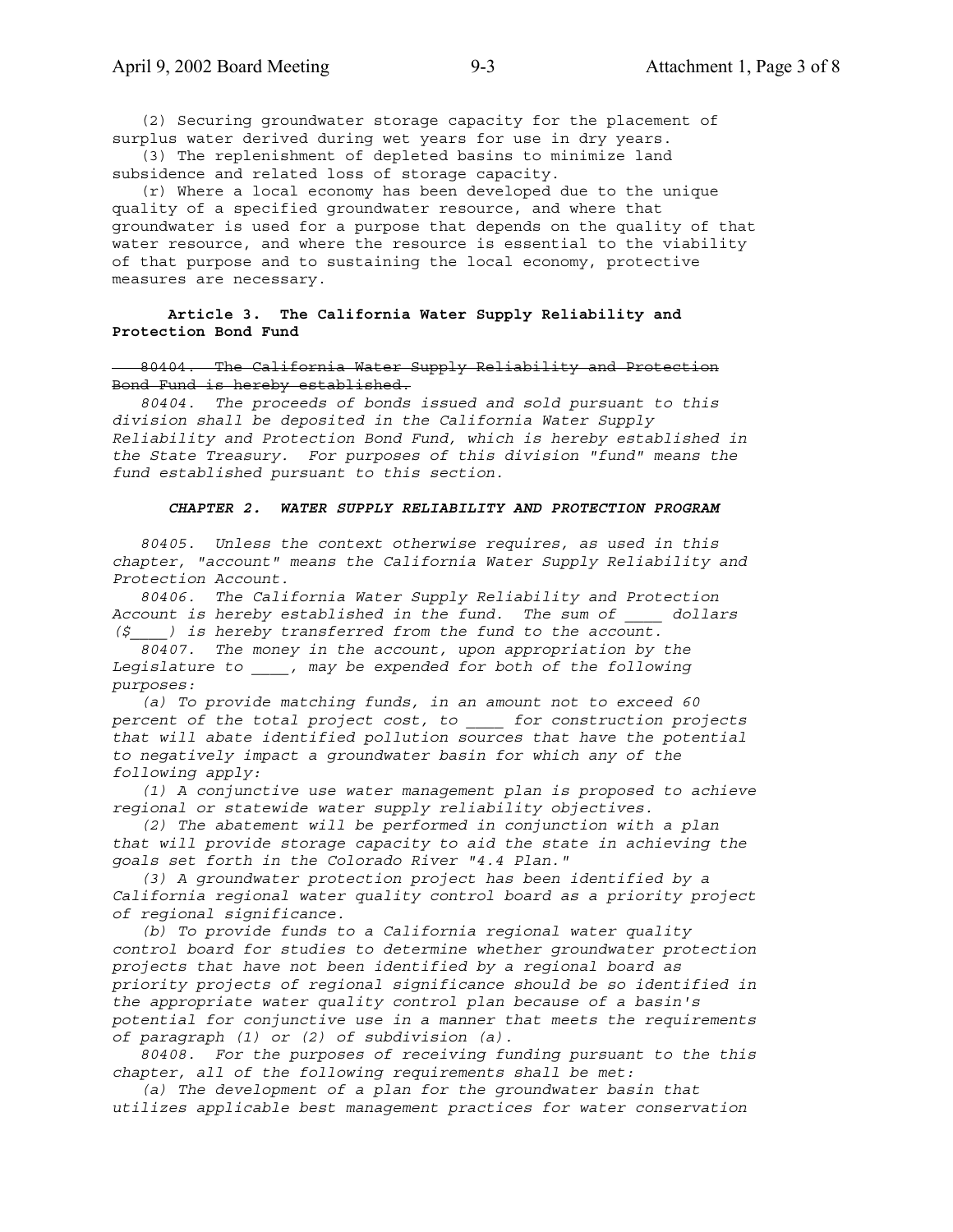(2) Securing groundwater storage capacity for the placement of surplus water derived during wet years for use in dry years.

 (3) The replenishment of depleted basins to minimize land subsidence and related loss of storage capacity.

 (r) Where a local economy has been developed due to the unique quality of a specified groundwater resource, and where that groundwater is used for a purpose that depends on the quality of that water resource, and where the resource is essential to the viability of that purpose and to sustaining the local economy, protective measures are necessary.

### **Article 3. The California Water Supply Reliability and Protection Bond Fund**

### 80404. The California Water Supply Reliability and Protection Bond Fund is hereby established.

 *80404. The proceeds of bonds issued and sold pursuant to this division shall be deposited in the California Water Supply Reliability and Protection Bond Fund, which is hereby established in the State Treasury. For purposes of this division "fund" means the fund established pursuant to this section.*

### *CHAPTER 2. WATER SUPPLY RELIABILITY AND PROTECTION PROGRAM*

 *80405. Unless the context otherwise requires, as used in this chapter, "account" means the California Water Supply Reliability and Protection Account.*

 *80406. The California Water Supply Reliability and Protection Account is hereby established in the fund. The sum of \_\_\_\_ dollars (\$\_\_\_\_) is hereby transferred from the fund to the account.*

 *80407. The money in the account, upon appropriation by the Legislature to \_\_\_\_, may be expended for both of the following purposes:*

 *(a) To provide matching funds, in an amount not to exceed 60 percent of the total project cost, to \_\_\_\_ for construction projects that will abate identified pollution sources that have the potential to negatively impact a groundwater basin for which any of the following apply:*

 *(1) A conjunctive use water management plan is proposed to achieve regional or statewide water supply reliability objectives.*

 *(2) The abatement will be performed in conjunction with a plan that will provide storage capacity to aid the state in achieving the goals set forth in the Colorado River "4.4 Plan."*

 *(3) A groundwater protection project has been identified by a California regional water quality control board as a priority project of regional significance.*

 *(b) To provide funds to a California regional water quality control board for studies to determine whether groundwater protection projects that have not been identified by a regional board as priority projects of regional significance should be so identified in the appropriate water quality control plan because of a basin's potential for conjunctive use in a manner that meets the requirements of paragraph (1) or (2) of subdivision (a).*

 *80408. For the purposes of receiving funding pursuant to the this chapter, all of the following requirements shall be met:*

 *(a) The development of a plan for the groundwater basin that utilizes applicable best management practices for water conservation*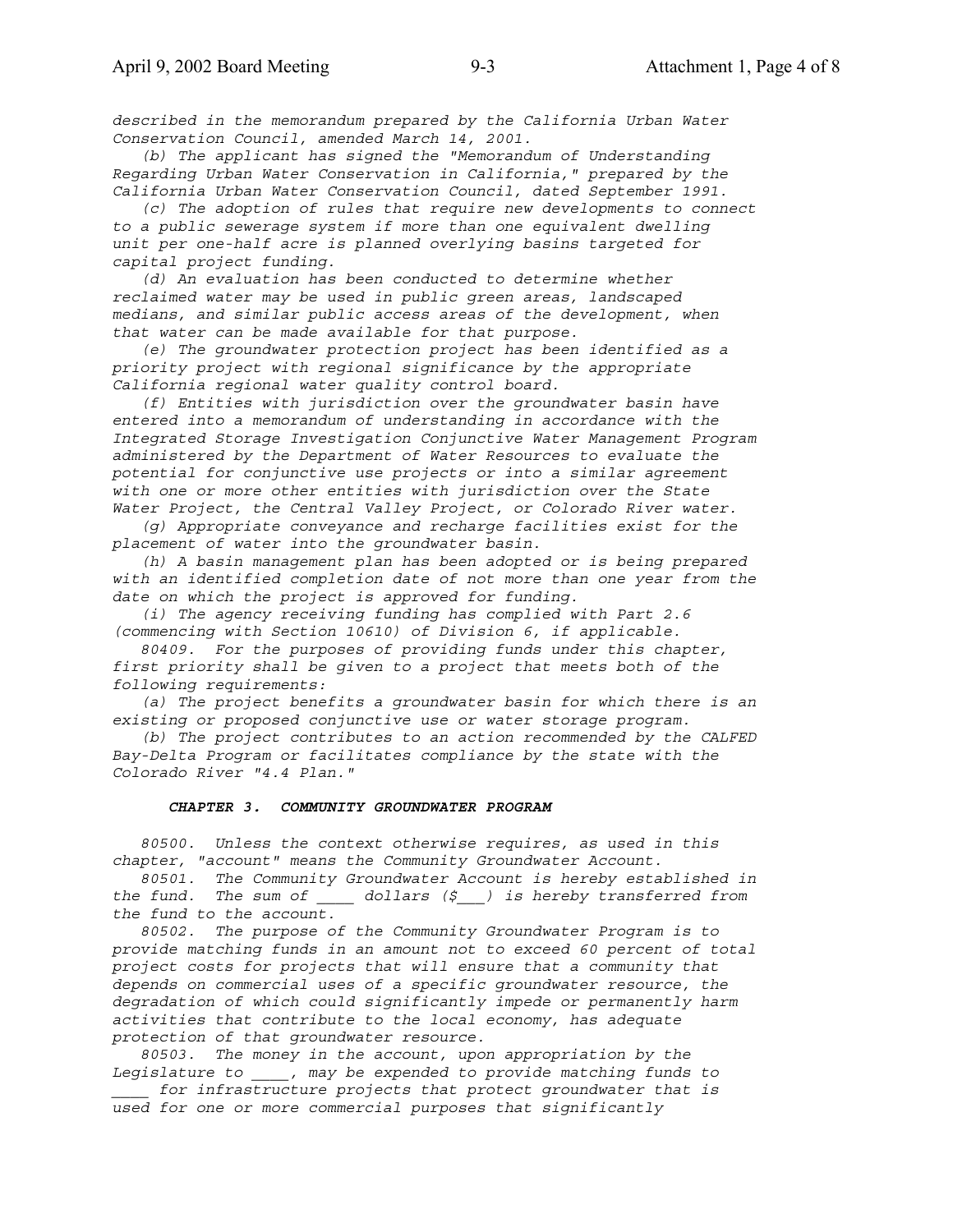*described in the memorandum prepared by the California Urban Water Conservation Council, amended March 14, 2001.*

 *(b) The applicant has signed the "Memorandum of Understanding Regarding Urban Water Conservation in California," prepared by the California Urban Water Conservation Council, dated September 1991.*

 *(c) The adoption of rules that require new developments to connect to a public sewerage system if more than one equivalent dwelling unit per one-half acre is planned overlying basins targeted for capital project funding.*

 *(d) An evaluation has been conducted to determine whether reclaimed water may be used in public green areas, landscaped medians, and similar public access areas of the development, when that water can be made available for that purpose.*

 *(e) The groundwater protection project has been identified as a priority project with regional significance by the appropriate California regional water quality control board.*

 *(f) Entities with jurisdiction over the groundwater basin have entered into a memorandum of understanding in accordance with the Integrated Storage Investigation Conjunctive Water Management Program administered by the Department of Water Resources to evaluate the potential for conjunctive use projects or into a similar agreement with one or more other entities with jurisdiction over the State Water Project, the Central Valley Project, or Colorado River water.*

 *(g) Appropriate conveyance and recharge facilities exist for the placement of water into the groundwater basin.*

 *(h) A basin management plan has been adopted or is being prepared with an identified completion date of not more than one year from the date on which the project is approved for funding.*

 *(i) The agency receiving funding has complied with Part 2.6 (commencing with Section 10610) of Division 6, if applicable.*

 *80409. For the purposes of providing funds under this chapter, first priority shall be given to a project that meets both of the following requirements:*

 *(a) The project benefits a groundwater basin for which there is an existing or proposed conjunctive use or water storage program.*

 *(b) The project contributes to an action recommended by the CALFED Bay-Delta Program or facilitates compliance by the state with the Colorado River "4.4 Plan."*

### *CHAPTER 3. COMMUNITY GROUNDWATER PROGRAM*

 *80500. Unless the context otherwise requires, as used in this chapter, "account" means the Community Groundwater Account.*

 *80501. The Community Groundwater Account is hereby established in the fund. The sum of \_\_\_\_ dollars (\$\_\_\_) is hereby transferred from the fund to the account.*

 *80502. The purpose of the Community Groundwater Program is to provide matching funds in an amount not to exceed 60 percent of total project costs for projects that will ensure that a community that depends on commercial uses of a specific groundwater resource, the degradation of which could significantly impede or permanently harm activities that contribute to the local economy, has adequate protection of that groundwater resource.*

 *80503. The money in the account, upon appropriation by the Legislature to \_\_\_\_, may be expended to provide matching funds to*

*\_\_\_\_ for infrastructure projects that protect groundwater that is used for one or more commercial purposes that significantly*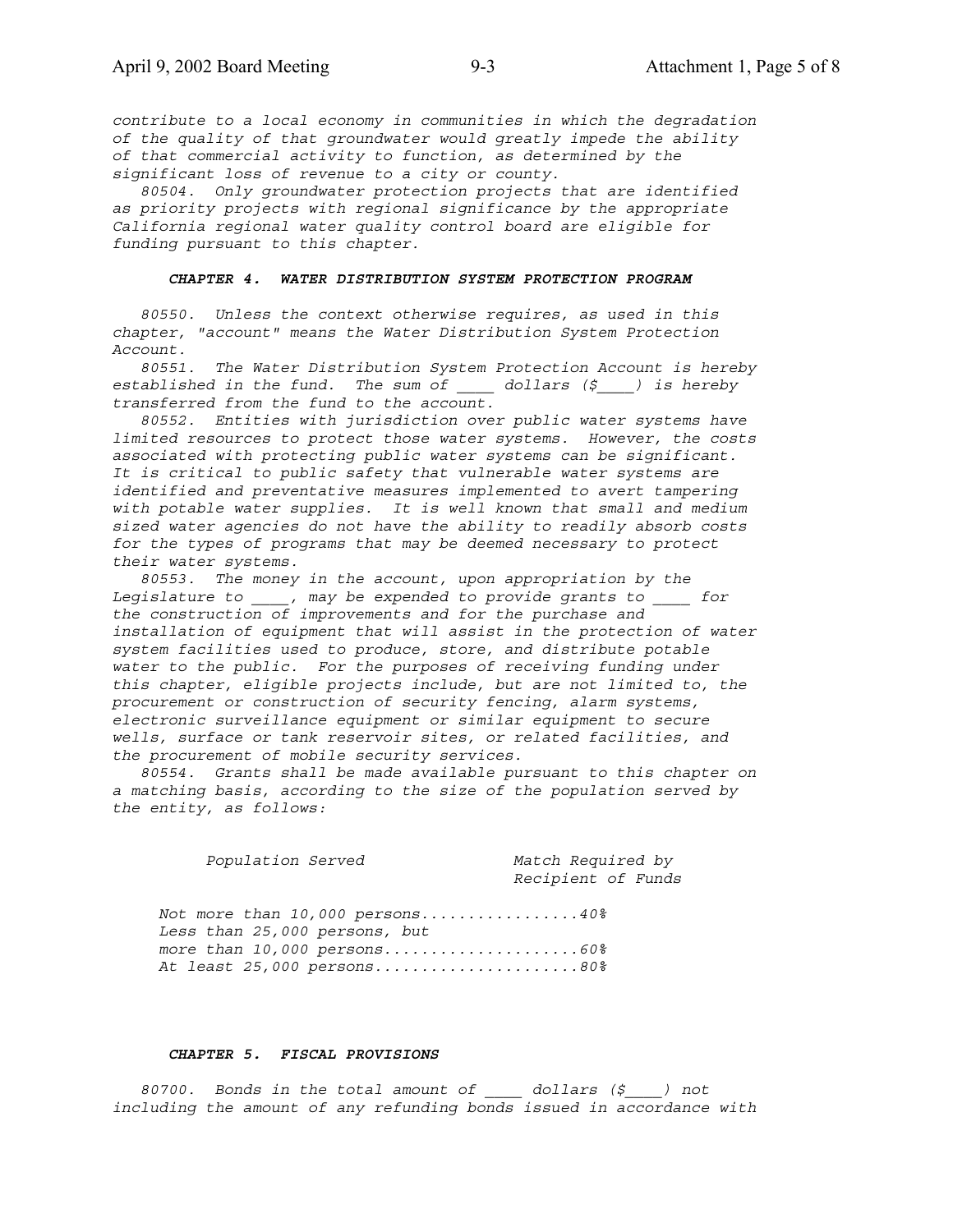*contribute to a local economy in communities in which the degradation of the quality of that groundwater would greatly impede the ability of that commercial activity to function, as determined by the significant loss of revenue to a city or county.*

 *80504. Only groundwater protection projects that are identified as priority projects with regional significance by the appropriate California regional water quality control board are eligible for funding pursuant to this chapter.*

### *CHAPTER 4. WATER DISTRIBUTION SYSTEM PROTECTION PROGRAM*

 *80550. Unless the context otherwise requires, as used in this chapter, "account" means the Water Distribution System Protection Account.*

 *80551. The Water Distribution System Protection Account is hereby established in the fund. The sum of \_\_\_\_ dollars (\$\_\_\_\_) is hereby transferred from the fund to the account.*

 *80552. Entities with jurisdiction over public water systems have limited resources to protect those water systems. However, the costs associated with protecting public water systems can be significant. It is critical to public safety that vulnerable water systems are identified and preventative measures implemented to avert tampering with potable water supplies. It is well known that small and medium sized water agencies do not have the ability to readily absorb costs for the types of programs that may be deemed necessary to protect their water systems.*

 *80553. The money in the account, upon appropriation by the Legislature to \_\_\_\_, may be expended to provide grants to \_\_\_\_ for the construction of improvements and for the purchase and installation of equipment that will assist in the protection of water system facilities used to produce, store, and distribute potable water to the public. For the purposes of receiving funding under this chapter, eligible projects include, but are not limited to, the procurement or construction of security fencing, alarm systems, electronic surveillance equipment or similar equipment to secure wells, surface or tank reservoir sites, or related facilities, and the procurement of mobile security services.*

 *80554. Grants shall be made available pursuant to this chapter on a matching basis, according to the size of the population served by the entity, as follows:*

 *Population Served Match Required by Recipient of Funds Not more than 10,000 persons.................40% Less than 25,000 persons, but more than 10,000 persons.....................60% At least 25,000 persons......................80%*

#### *CHAPTER 5. FISCAL PROVISIONS*

 *80700. Bonds in the total amount of \_\_\_\_ dollars (\$\_\_\_\_) not including the amount of any refunding bonds issued in accordance with*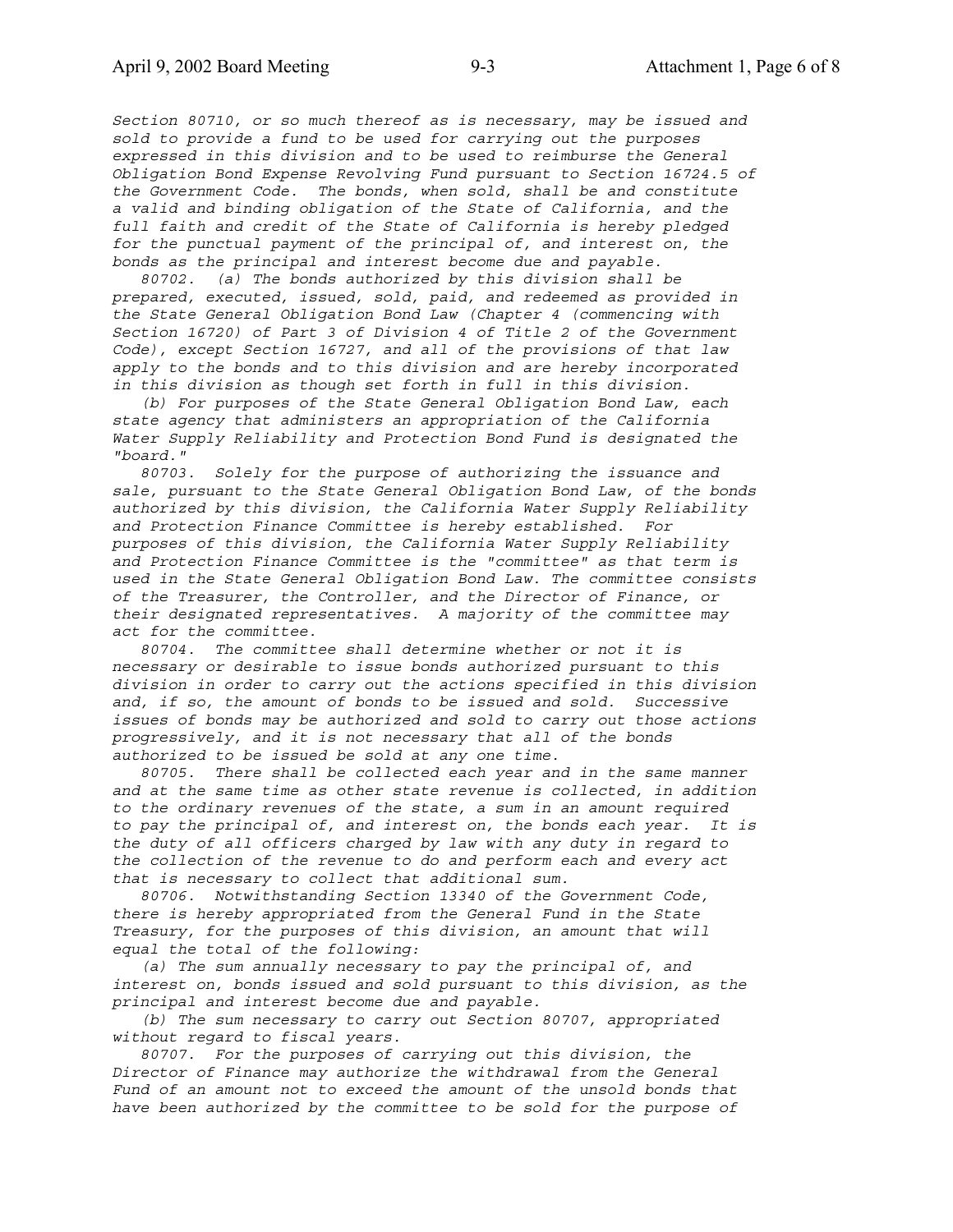*Section 80710, or so much thereof as is necessary, may be issued and sold to provide a fund to be used for carrying out the purposes expressed in this division and to be used to reimburse the General Obligation Bond Expense Revolving Fund pursuant to Section 16724.5 of the Government Code. The bonds, when sold, shall be and constitute a valid and binding obligation of the State of California, and the full faith and credit of the State of California is hereby pledged for the punctual payment of the principal of, and interest on, the bonds as the principal and interest become due and payable.*

 *80702. (a) The bonds authorized by this division shall be prepared, executed, issued, sold, paid, and redeemed as provided in the State General Obligation Bond Law (Chapter 4 (commencing with Section 16720) of Part 3 of Division 4 of Title 2 of the Government Code), except Section 16727, and all of the provisions of that law apply to the bonds and to this division and are hereby incorporated in this division as though set forth in full in this division.*

 *(b) For purposes of the State General Obligation Bond Law, each state agency that administers an appropriation of the California Water Supply Reliability and Protection Bond Fund is designated the "board."*

 *80703. Solely for the purpose of authorizing the issuance and sale, pursuant to the State General Obligation Bond Law, of the bonds authorized by this division, the California Water Supply Reliability and Protection Finance Committee is hereby established. For purposes of this division, the California Water Supply Reliability and Protection Finance Committee is the "committee" as that term is used in the State General Obligation Bond Law. The committee consists of the Treasurer, the Controller, and the Director of Finance, or their designated representatives. A majority of the committee may act for the committee.*

 *80704. The committee shall determine whether or not it is necessary or desirable to issue bonds authorized pursuant to this division in order to carry out the actions specified in this division and, if so, the amount of bonds to be issued and sold. Successive issues of bonds may be authorized and sold to carry out those actions progressively, and it is not necessary that all of the bonds authorized to be issued be sold at any one time.*

 *80705. There shall be collected each year and in the same manner and at the same time as other state revenue is collected, in addition to the ordinary revenues of the state, a sum in an amount required to pay the principal of, and interest on, the bonds each year. It is the duty of all officers charged by law with any duty in regard to the collection of the revenue to do and perform each and every act that is necessary to collect that additional sum.*

 *80706. Notwithstanding Section 13340 of the Government Code, there is hereby appropriated from the General Fund in the State Treasury, for the purposes of this division, an amount that will equal the total of the following:*

 *(a) The sum annually necessary to pay the principal of, and interest on, bonds issued and sold pursuant to this division, as the principal and interest become due and payable.*

 *(b) The sum necessary to carry out Section 80707, appropriated without regard to fiscal years.*

 *80707. For the purposes of carrying out this division, the Director of Finance may authorize the withdrawal from the General Fund of an amount not to exceed the amount of the unsold bonds that have been authorized by the committee to be sold for the purpose of*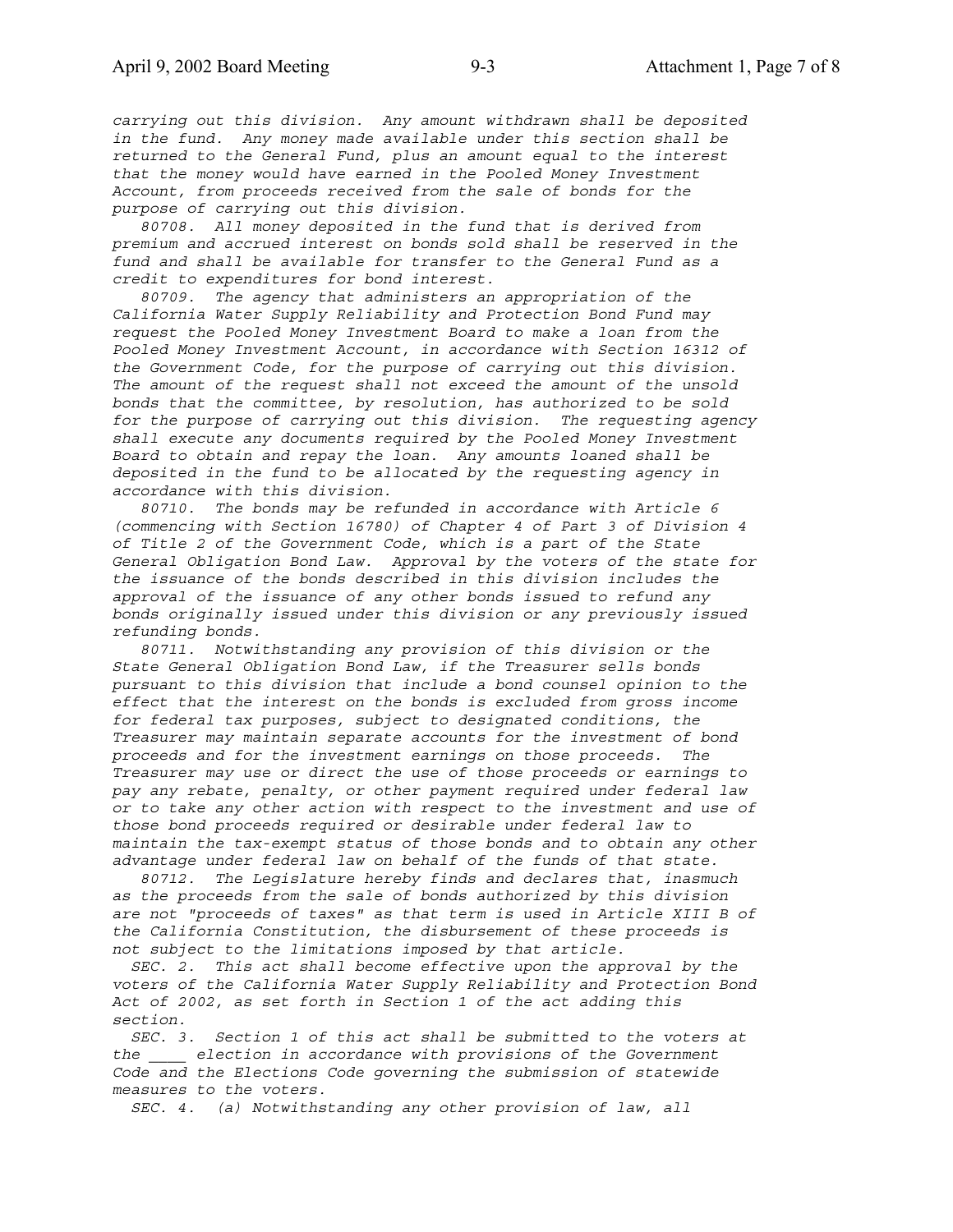*carrying out this division. Any amount withdrawn shall be deposited in the fund. Any money made available under this section shall be returned to the General Fund, plus an amount equal to the interest that the money would have earned in the Pooled Money Investment Account, from proceeds received from the sale of bonds for the purpose of carrying out this division.*

 *80708. All money deposited in the fund that is derived from premium and accrued interest on bonds sold shall be reserved in the fund and shall be available for transfer to the General Fund as a credit to expenditures for bond interest.*

 *80709. The agency that administers an appropriation of the California Water Supply Reliability and Protection Bond Fund may request the Pooled Money Investment Board to make a loan from the Pooled Money Investment Account, in accordance with Section 16312 of the Government Code, for the purpose of carrying out this division. The amount of the request shall not exceed the amount of the unsold bonds that the committee, by resolution, has authorized to be sold for the purpose of carrying out this division. The requesting agency shall execute any documents required by the Pooled Money Investment Board to obtain and repay the loan. Any amounts loaned shall be deposited in the fund to be allocated by the requesting agency in accordance with this division.*

 *80710. The bonds may be refunded in accordance with Article 6 (commencing with Section 16780) of Chapter 4 of Part 3 of Division 4 of Title 2 of the Government Code, which is a part of the State General Obligation Bond Law. Approval by the voters of the state for the issuance of the bonds described in this division includes the approval of the issuance of any other bonds issued to refund any bonds originally issued under this division or any previously issued refunding bonds.*

 *80711. Notwithstanding any provision of this division or the State General Obligation Bond Law, if the Treasurer sells bonds pursuant to this division that include a bond counsel opinion to the effect that the interest on the bonds is excluded from gross income for federal tax purposes, subject to designated conditions, the Treasurer may maintain separate accounts for the investment of bond proceeds and for the investment earnings on those proceeds. The Treasurer may use or direct the use of those proceeds or earnings to pay any rebate, penalty, or other payment required under federal law or to take any other action with respect to the investment and use of those bond proceeds required or desirable under federal law to maintain the tax-exempt status of those bonds and to obtain any other advantage under federal law on behalf of the funds of that state.*

 *80712. The Legislature hereby finds and declares that, inasmuch as the proceeds from the sale of bonds authorized by this division are not "proceeds of taxes" as that term is used in Article XIII B of the California Constitution, the disbursement of these proceeds is not subject to the limitations imposed by that article.*

 *SEC. 2. This act shall become effective upon the approval by the voters of the California Water Supply Reliability and Protection Bond Act of 2002, as set forth in Section 1 of the act adding this section.*

 *SEC. 3. Section 1 of this act shall be submitted to the voters at the \_\_\_\_ election in accordance with provisions of the Government Code and the Elections Code governing the submission of statewide measures to the voters.*

 *SEC. 4. (a) Notwithstanding any other provision of law, all*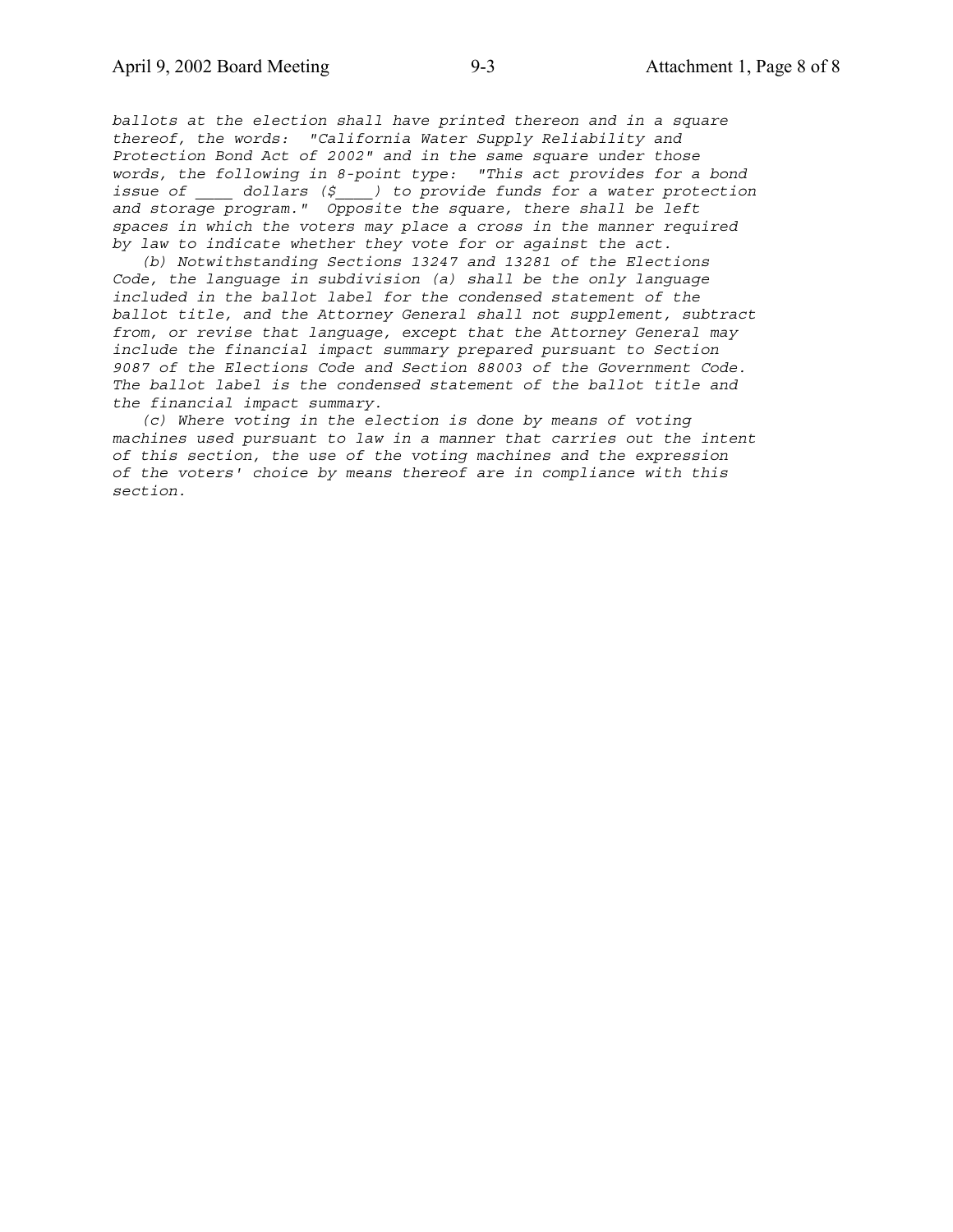*ballots at the election shall have printed thereon and in a square thereof, the words: "California Water Supply Reliability and Protection Bond Act of 2002" and in the same square under those words, the following in 8-point type: "This act provides for a bond issue of \_\_\_\_ dollars (\$\_\_\_\_) to provide funds for a water protection and storage program." Opposite the square, there shall be left spaces in which the voters may place a cross in the manner required by law to indicate whether they vote for or against the act.*

 *(b) Notwithstanding Sections 13247 and 13281 of the Elections Code, the language in subdivision (a) shall be the only language included in the ballot label for the condensed statement of the ballot title, and the Attorney General shall not supplement, subtract from, or revise that language, except that the Attorney General may include the financial impact summary prepared pursuant to Section 9087 of the Elections Code and Section 88003 of the Government Code. The ballot label is the condensed statement of the ballot title and the financial impact summary.*

 *(c) Where voting in the election is done by means of voting machines used pursuant to law in a manner that carries out the intent of this section, the use of the voting machines and the expression of the voters' choice by means thereof are in compliance with this section.*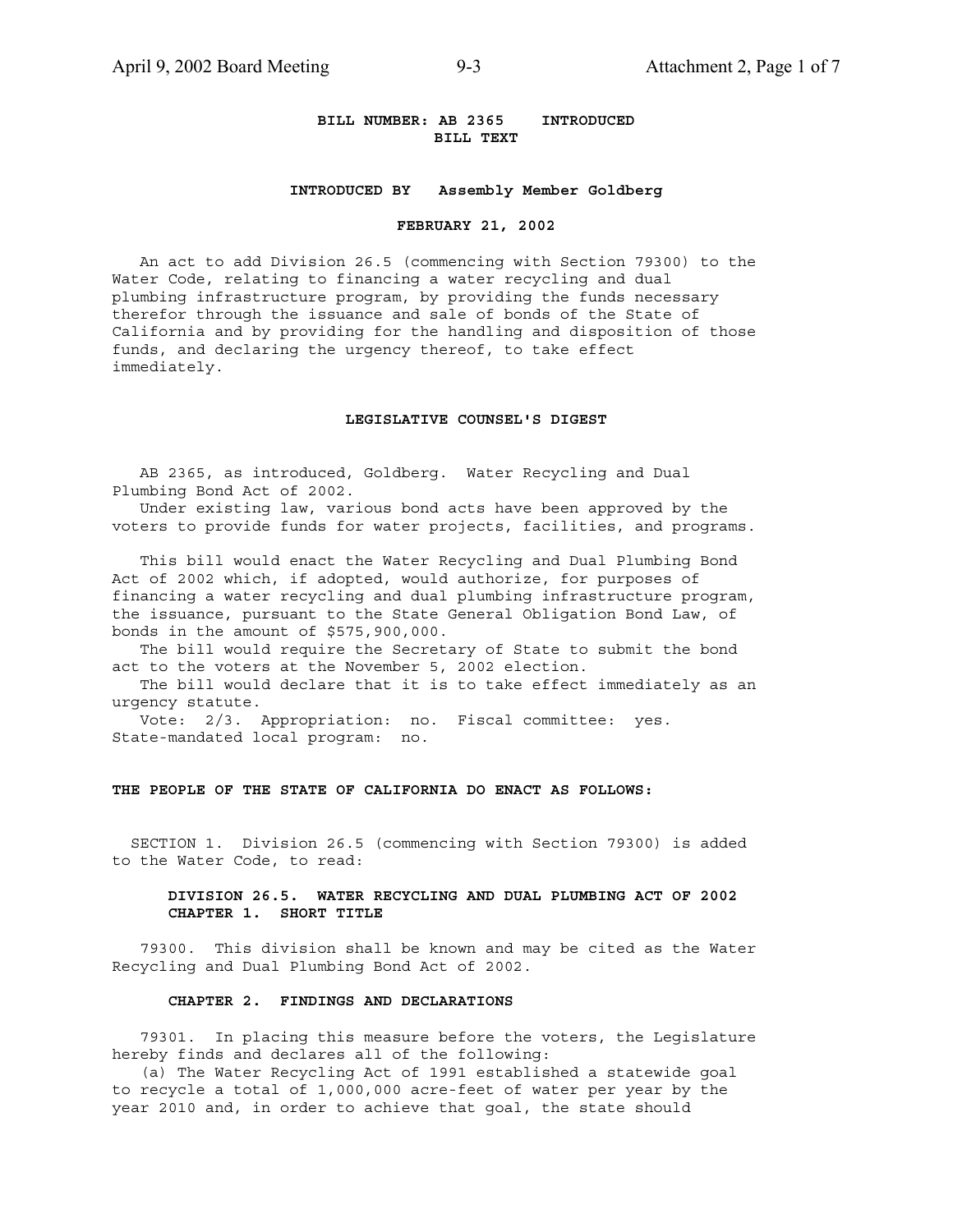### **BILL NUMBER: AB 2365 INTRODUCED BILL TEXT**

### **INTRODUCED BY Assembly Member Goldberg**

#### **FEBRUARY 21, 2002**

 An act to add Division 26.5 (commencing with Section 79300) to the Water Code, relating to financing a water recycling and dual plumbing infrastructure program, by providing the funds necessary therefor through the issuance and sale of bonds of the State of California and by providing for the handling and disposition of those funds, and declaring the urgency thereof, to take effect immediately.

### **LEGISLATIVE COUNSEL'S DIGEST**

 AB 2365, as introduced, Goldberg. Water Recycling and Dual Plumbing Bond Act of 2002.

 Under existing law, various bond acts have been approved by the voters to provide funds for water projects, facilities, and programs.

 This bill would enact the Water Recycling and Dual Plumbing Bond Act of 2002 which, if adopted, would authorize, for purposes of financing a water recycling and dual plumbing infrastructure program, the issuance, pursuant to the State General Obligation Bond Law, of bonds in the amount of \$575,900,000.

 The bill would require the Secretary of State to submit the bond act to the voters at the November 5, 2002 election.

 The bill would declare that it is to take effect immediately as an urgency statute.

 Vote: 2/3. Appropriation: no. Fiscal committee: yes. State-mandated local program: no.

### **THE PEOPLE OF THE STATE OF CALIFORNIA DO ENACT AS FOLLOWS:**

 SECTION 1. Division 26.5 (commencing with Section 79300) is added to the Water Code, to read:

### **DIVISION 26.5. WATER RECYCLING AND DUAL PLUMBING ACT OF 2002 CHAPTER 1. SHORT TITLE**

 79300. This division shall be known and may be cited as the Water Recycling and Dual Plumbing Bond Act of 2002.

### **CHAPTER 2. FINDINGS AND DECLARATIONS**

 79301. In placing this measure before the voters, the Legislature hereby finds and declares all of the following:

 (a) The Water Recycling Act of 1991 established a statewide goal to recycle a total of 1,000,000 acre-feet of water per year by the year 2010 and, in order to achieve that goal, the state should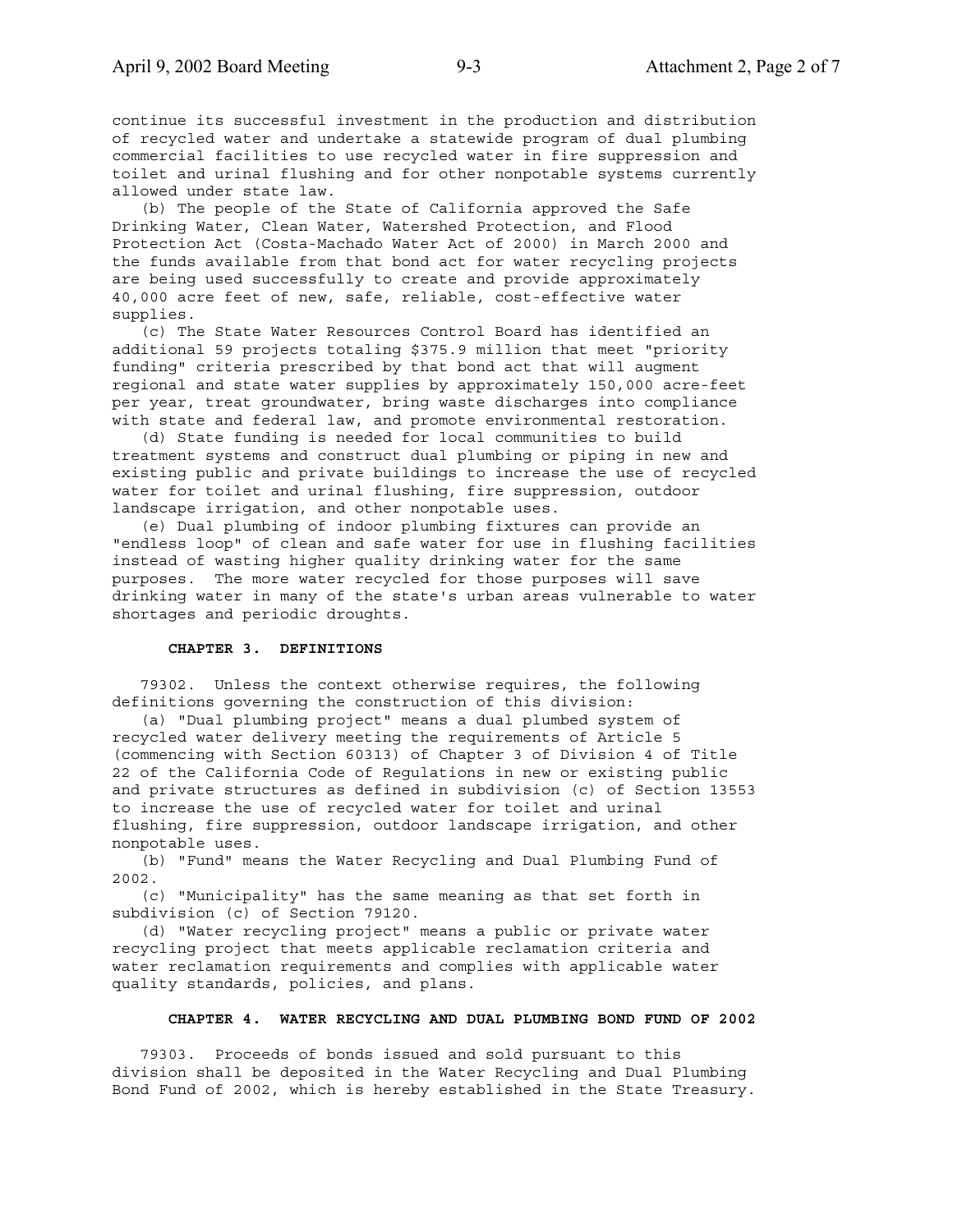continue its successful investment in the production and distribution of recycled water and undertake a statewide program of dual plumbing commercial facilities to use recycled water in fire suppression and toilet and urinal flushing and for other nonpotable systems currently allowed under state law.

 (b) The people of the State of California approved the Safe Drinking Water, Clean Water, Watershed Protection, and Flood Protection Act (Costa-Machado Water Act of 2000) in March 2000 and the funds available from that bond act for water recycling projects are being used successfully to create and provide approximately 40,000 acre feet of new, safe, reliable, cost-effective water supplies.

 (c) The State Water Resources Control Board has identified an additional 59 projects totaling \$375.9 million that meet "priority funding" criteria prescribed by that bond act that will augment regional and state water supplies by approximately 150,000 acre-feet per year, treat groundwater, bring waste discharges into compliance with state and federal law, and promote environmental restoration.

 (d) State funding is needed for local communities to build treatment systems and construct dual plumbing or piping in new and existing public and private buildings to increase the use of recycled water for toilet and urinal flushing, fire suppression, outdoor landscape irrigation, and other nonpotable uses.

 (e) Dual plumbing of indoor plumbing fixtures can provide an "endless loop" of clean and safe water for use in flushing facilities instead of wasting higher quality drinking water for the same purposes. The more water recycled for those purposes will save drinking water in many of the state's urban areas vulnerable to water shortages and periodic droughts.

#### **CHAPTER 3. DEFINITIONS**

 79302. Unless the context otherwise requires, the following definitions governing the construction of this division:

 (a) "Dual plumbing project" means a dual plumbed system of recycled water delivery meeting the requirements of Article 5 (commencing with Section 60313) of Chapter 3 of Division 4 of Title 22 of the California Code of Regulations in new or existing public and private structures as defined in subdivision (c) of Section 13553 to increase the use of recycled water for toilet and urinal flushing, fire suppression, outdoor landscape irrigation, and other nonpotable uses.

 (b) "Fund" means the Water Recycling and Dual Plumbing Fund of 2002.

 (c) "Municipality" has the same meaning as that set forth in subdivision (c) of Section 79120.

 (d) "Water recycling project" means a public or private water recycling project that meets applicable reclamation criteria and water reclamation requirements and complies with applicable water quality standards, policies, and plans.

### **CHAPTER 4. WATER RECYCLING AND DUAL PLUMBING BOND FUND OF 2002**

 79303. Proceeds of bonds issued and sold pursuant to this division shall be deposited in the Water Recycling and Dual Plumbing Bond Fund of 2002, which is hereby established in the State Treasury.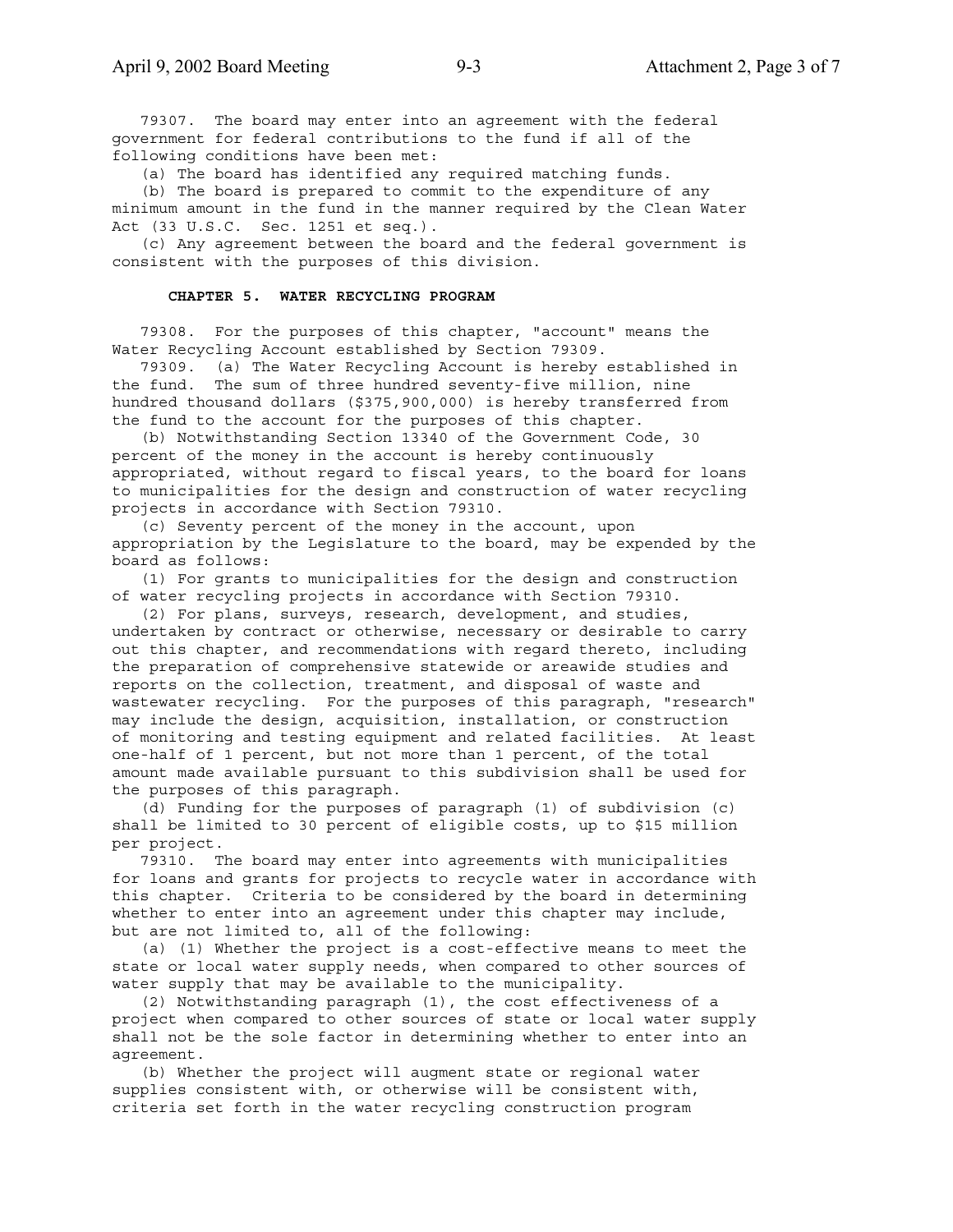79307. The board may enter into an agreement with the federal government for federal contributions to the fund if all of the following conditions have been met:

(a) The board has identified any required matching funds.

 (b) The board is prepared to commit to the expenditure of any minimum amount in the fund in the manner required by the Clean Water Act (33 U.S.C. Sec. 1251 et seq.).

 (c) Any agreement between the board and the federal government is consistent with the purposes of this division.

### **CHAPTER 5. WATER RECYCLING PROGRAM**

 79308. For the purposes of this chapter, "account" means the Water Recycling Account established by Section 79309.

 79309. (a) The Water Recycling Account is hereby established in the fund. The sum of three hundred seventy-five million, nine hundred thousand dollars (\$375,900,000) is hereby transferred from the fund to the account for the purposes of this chapter.

 (b) Notwithstanding Section 13340 of the Government Code, 30 percent of the money in the account is hereby continuously appropriated, without regard to fiscal years, to the board for loans to municipalities for the design and construction of water recycling projects in accordance with Section 79310.

 (c) Seventy percent of the money in the account, upon appropriation by the Legislature to the board, may be expended by the board as follows:

 (1) For grants to municipalities for the design and construction of water recycling projects in accordance with Section 79310.

 (2) For plans, surveys, research, development, and studies, undertaken by contract or otherwise, necessary or desirable to carry out this chapter, and recommendations with regard thereto, including the preparation of comprehensive statewide or areawide studies and reports on the collection, treatment, and disposal of waste and wastewater recycling. For the purposes of this paragraph, "research" may include the design, acquisition, installation, or construction of monitoring and testing equipment and related facilities. At least one-half of 1 percent, but not more than 1 percent, of the total amount made available pursuant to this subdivision shall be used for the purposes of this paragraph.

 (d) Funding for the purposes of paragraph (1) of subdivision (c) shall be limited to 30 percent of eligible costs, up to \$15 million per project.

 79310. The board may enter into agreements with municipalities for loans and grants for projects to recycle water in accordance with this chapter. Criteria to be considered by the board in determining whether to enter into an agreement under this chapter may include, but are not limited to, all of the following:

 (a) (1) Whether the project is a cost-effective means to meet the state or local water supply needs, when compared to other sources of water supply that may be available to the municipality.

 (2) Notwithstanding paragraph (1), the cost effectiveness of a project when compared to other sources of state or local water supply shall not be the sole factor in determining whether to enter into an agreement.

 (b) Whether the project will augment state or regional water supplies consistent with, or otherwise will be consistent with, criteria set forth in the water recycling construction program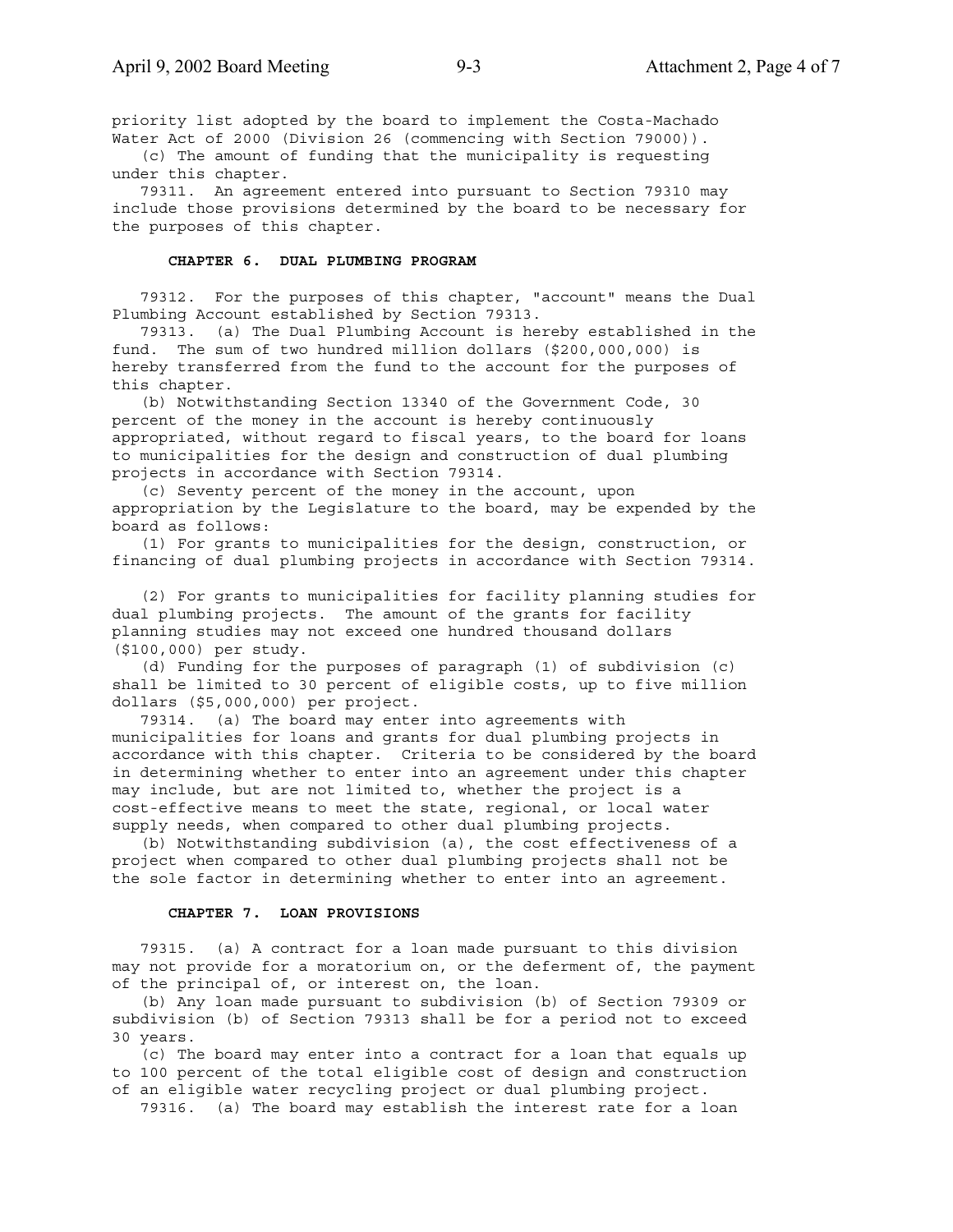priority list adopted by the board to implement the Costa-Machado Water Act of 2000 (Division 26 (commencing with Section 79000)).

 (c) The amount of funding that the municipality is requesting under this chapter.

 79311. An agreement entered into pursuant to Section 79310 may include those provisions determined by the board to be necessary for the purposes of this chapter.

### **CHAPTER 6. DUAL PLUMBING PROGRAM**

 79312. For the purposes of this chapter, "account" means the Dual Plumbing Account established by Section 79313.

 79313. (a) The Dual Plumbing Account is hereby established in the fund. The sum of two hundred million dollars (\$200,000,000) is hereby transferred from the fund to the account for the purposes of this chapter.

 (b) Notwithstanding Section 13340 of the Government Code, 30 percent of the money in the account is hereby continuously appropriated, without regard to fiscal years, to the board for loans to municipalities for the design and construction of dual plumbing projects in accordance with Section 79314.

 (c) Seventy percent of the money in the account, upon appropriation by the Legislature to the board, may be expended by the board as follows:

 (1) For grants to municipalities for the design, construction, or financing of dual plumbing projects in accordance with Section 79314.

 (2) For grants to municipalities for facility planning studies for dual plumbing projects. The amount of the grants for facility planning studies may not exceed one hundred thousand dollars (\$100,000) per study.

 (d) Funding for the purposes of paragraph (1) of subdivision (c) shall be limited to 30 percent of eligible costs, up to five million dollars (\$5,000,000) per project.

 79314. (a) The board may enter into agreements with municipalities for loans and grants for dual plumbing projects in accordance with this chapter. Criteria to be considered by the board in determining whether to enter into an agreement under this chapter may include, but are not limited to, whether the project is a cost-effective means to meet the state, regional, or local water supply needs, when compared to other dual plumbing projects.

 (b) Notwithstanding subdivision (a), the cost effectiveness of a project when compared to other dual plumbing projects shall not be the sole factor in determining whether to enter into an agreement.

#### **CHAPTER 7. LOAN PROVISIONS**

 79315. (a) A contract for a loan made pursuant to this division may not provide for a moratorium on, or the deferment of, the payment of the principal of, or interest on, the loan.

 (b) Any loan made pursuant to subdivision (b) of Section 79309 or subdivision (b) of Section 79313 shall be for a period not to exceed 30 years.

 (c) The board may enter into a contract for a loan that equals up to 100 percent of the total eligible cost of design and construction of an eligible water recycling project or dual plumbing project.

79316. (a) The board may establish the interest rate for a loan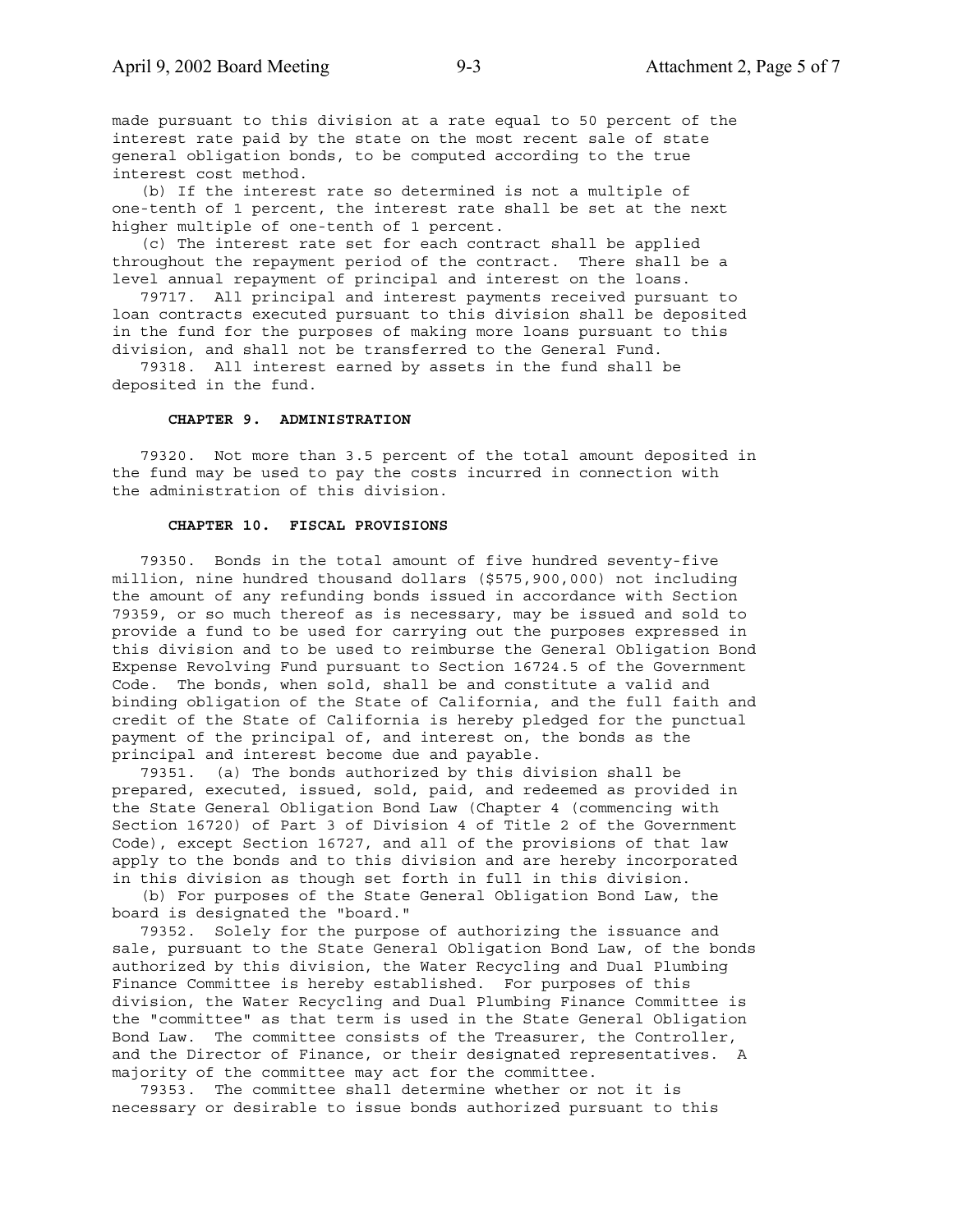made pursuant to this division at a rate equal to 50 percent of the interest rate paid by the state on the most recent sale of state general obligation bonds, to be computed according to the true interest cost method.

 (b) If the interest rate so determined is not a multiple of one-tenth of 1 percent, the interest rate shall be set at the next higher multiple of one-tenth of 1 percent.

 (c) The interest rate set for each contract shall be applied throughout the repayment period of the contract. There shall be a level annual repayment of principal and interest on the loans.

 79717. All principal and interest payments received pursuant to loan contracts executed pursuant to this division shall be deposited in the fund for the purposes of making more loans pursuant to this division, and shall not be transferred to the General Fund.

 79318. All interest earned by assets in the fund shall be deposited in the fund.

### **CHAPTER 9. ADMINISTRATION**

 79320. Not more than 3.5 percent of the total amount deposited in the fund may be used to pay the costs incurred in connection with the administration of this division.

#### **CHAPTER 10. FISCAL PROVISIONS**

 79350. Bonds in the total amount of five hundred seventy-five million, nine hundred thousand dollars (\$575,900,000) not including the amount of any refunding bonds issued in accordance with Section 79359, or so much thereof as is necessary, may be issued and sold to provide a fund to be used for carrying out the purposes expressed in this division and to be used to reimburse the General Obligation Bond Expense Revolving Fund pursuant to Section 16724.5 of the Government Code. The bonds, when sold, shall be and constitute a valid and binding obligation of the State of California, and the full faith and credit of the State of California is hereby pledged for the punctual payment of the principal of, and interest on, the bonds as the principal and interest become due and payable.

 79351. (a) The bonds authorized by this division shall be prepared, executed, issued, sold, paid, and redeemed as provided in the State General Obligation Bond Law (Chapter 4 (commencing with Section 16720) of Part 3 of Division 4 of Title 2 of the Government Code), except Section 16727, and all of the provisions of that law apply to the bonds and to this division and are hereby incorporated in this division as though set forth in full in this division.

 (b) For purposes of the State General Obligation Bond Law, the board is designated the "board."

 79352. Solely for the purpose of authorizing the issuance and sale, pursuant to the State General Obligation Bond Law, of the bonds authorized by this division, the Water Recycling and Dual Plumbing Finance Committee is hereby established. For purposes of this division, the Water Recycling and Dual Plumbing Finance Committee is the "committee" as that term is used in the State General Obligation Bond Law. The committee consists of the Treasurer, the Controller, and the Director of Finance, or their designated representatives. A majority of the committee may act for the committee.

 79353. The committee shall determine whether or not it is necessary or desirable to issue bonds authorized pursuant to this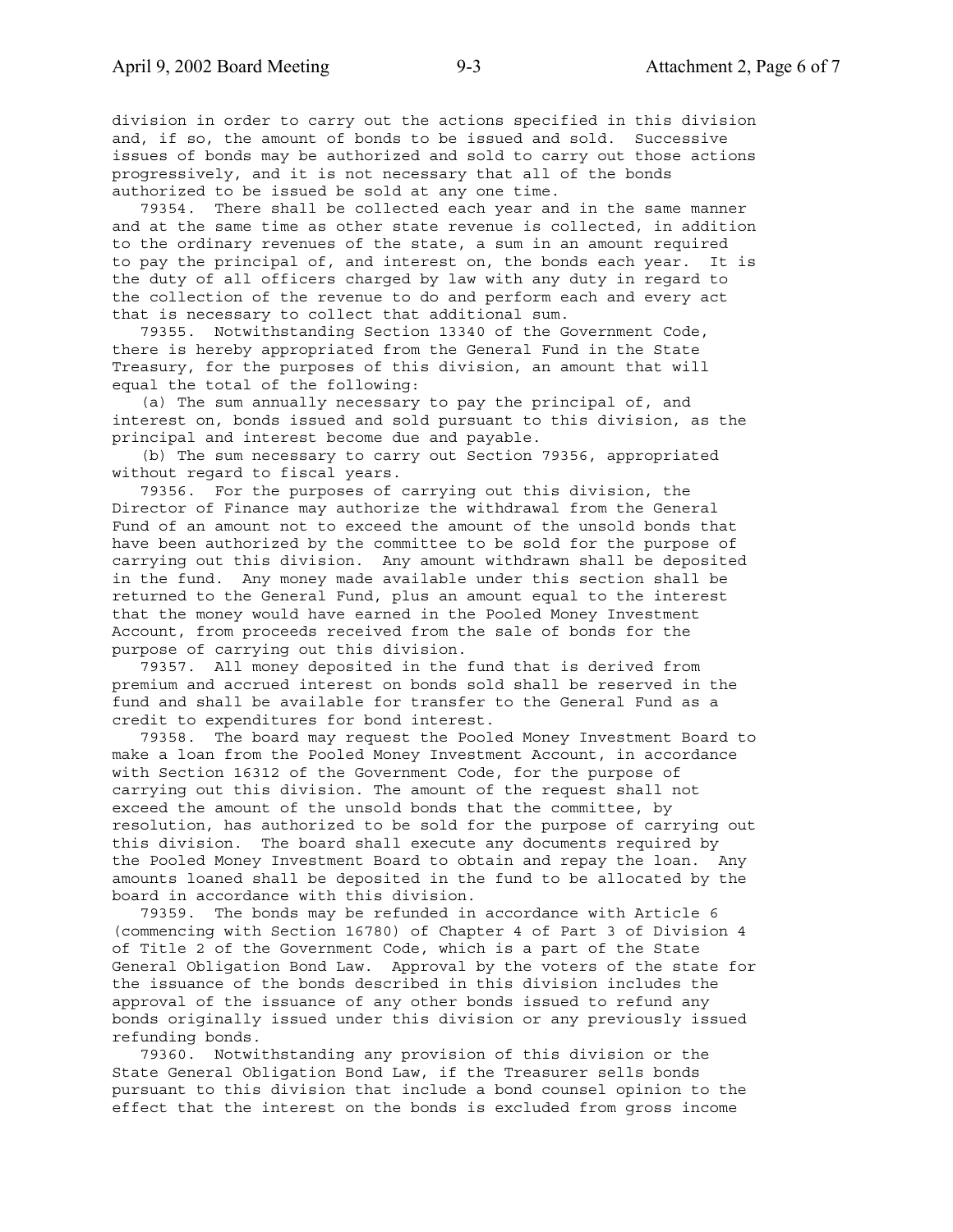division in order to carry out the actions specified in this division and, if so, the amount of bonds to be issued and sold. Successive issues of bonds may be authorized and sold to carry out those actions progressively, and it is not necessary that all of the bonds authorized to be issued be sold at any one time.

 79354. There shall be collected each year and in the same manner and at the same time as other state revenue is collected, in addition to the ordinary revenues of the state, a sum in an amount required to pay the principal of, and interest on, the bonds each year. It is the duty of all officers charged by law with any duty in regard to the collection of the revenue to do and perform each and every act that is necessary to collect that additional sum.

 79355. Notwithstanding Section 13340 of the Government Code, there is hereby appropriated from the General Fund in the State Treasury, for the purposes of this division, an amount that will equal the total of the following:

 (a) The sum annually necessary to pay the principal of, and interest on, bonds issued and sold pursuant to this division, as the principal and interest become due and payable.

 (b) The sum necessary to carry out Section 79356, appropriated without regard to fiscal years.

 79356. For the purposes of carrying out this division, the Director of Finance may authorize the withdrawal from the General Fund of an amount not to exceed the amount of the unsold bonds that have been authorized by the committee to be sold for the purpose of carrying out this division. Any amount withdrawn shall be deposited in the fund. Any money made available under this section shall be returned to the General Fund, plus an amount equal to the interest that the money would have earned in the Pooled Money Investment Account, from proceeds received from the sale of bonds for the purpose of carrying out this division.

 79357. All money deposited in the fund that is derived from premium and accrued interest on bonds sold shall be reserved in the fund and shall be available for transfer to the General Fund as a credit to expenditures for bond interest.

 79358. The board may request the Pooled Money Investment Board to make a loan from the Pooled Money Investment Account, in accordance with Section 16312 of the Government Code, for the purpose of carrying out this division. The amount of the request shall not exceed the amount of the unsold bonds that the committee, by resolution, has authorized to be sold for the purpose of carrying out this division. The board shall execute any documents required by the Pooled Money Investment Board to obtain and repay the loan. Any amounts loaned shall be deposited in the fund to be allocated by the board in accordance with this division.

 79359. The bonds may be refunded in accordance with Article 6 (commencing with Section 16780) of Chapter 4 of Part 3 of Division 4 of Title 2 of the Government Code, which is a part of the State General Obligation Bond Law. Approval by the voters of the state for the issuance of the bonds described in this division includes the approval of the issuance of any other bonds issued to refund any bonds originally issued under this division or any previously issued refunding bonds.

 79360. Notwithstanding any provision of this division or the State General Obligation Bond Law, if the Treasurer sells bonds pursuant to this division that include a bond counsel opinion to the effect that the interest on the bonds is excluded from gross income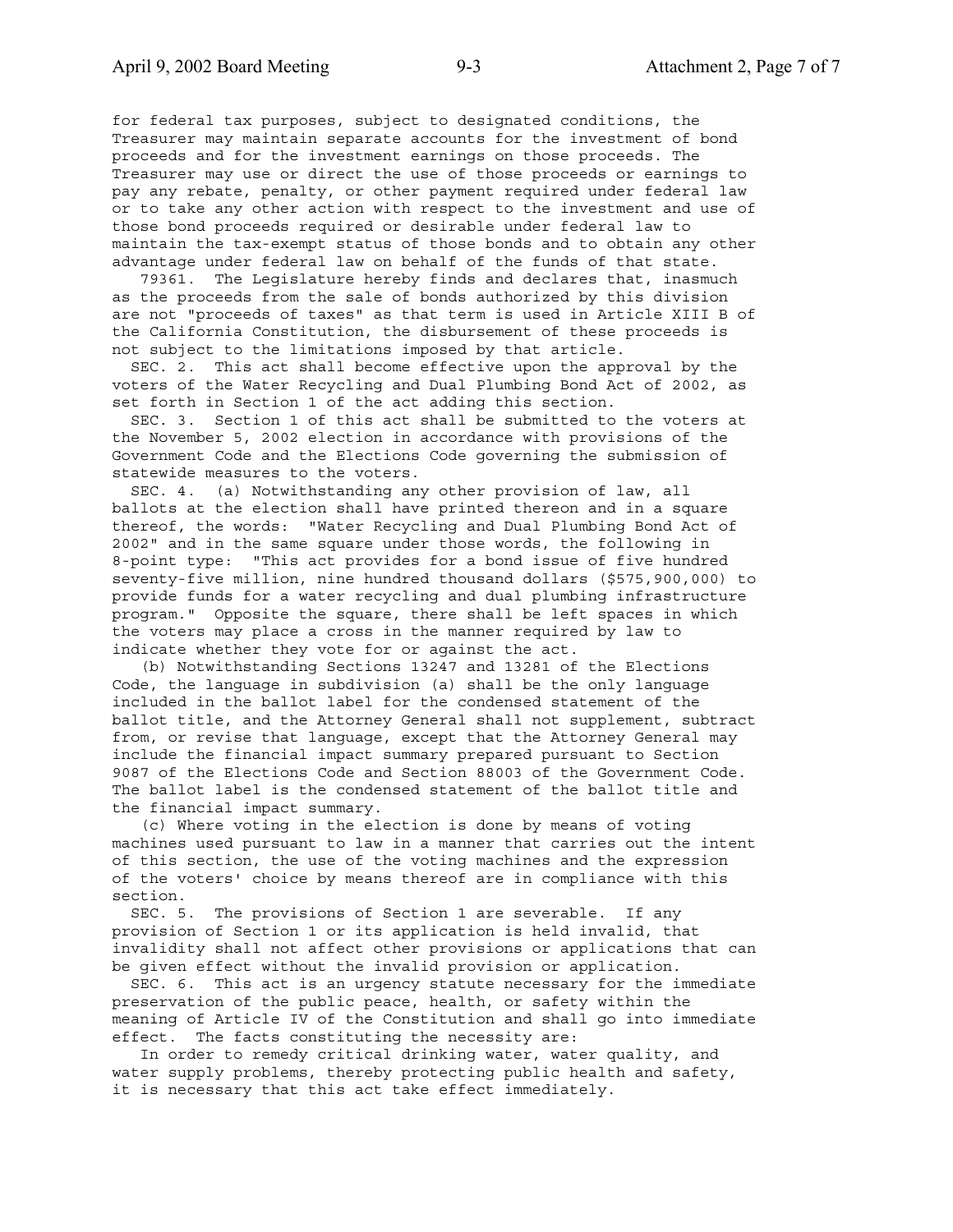for federal tax purposes, subject to designated conditions, the Treasurer may maintain separate accounts for the investment of bond proceeds and for the investment earnings on those proceeds. The Treasurer may use or direct the use of those proceeds or earnings to pay any rebate, penalty, or other payment required under federal law or to take any other action with respect to the investment and use of those bond proceeds required or desirable under federal law to maintain the tax-exempt status of those bonds and to obtain any other advantage under federal law on behalf of the funds of that state.

 79361. The Legislature hereby finds and declares that, inasmuch as the proceeds from the sale of bonds authorized by this division are not "proceeds of taxes" as that term is used in Article XIII B of the California Constitution, the disbursement of these proceeds is not subject to the limitations imposed by that article.

 SEC. 2. This act shall become effective upon the approval by the voters of the Water Recycling and Dual Plumbing Bond Act of 2002, as set forth in Section 1 of the act adding this section.

 SEC. 3. Section 1 of this act shall be submitted to the voters at the November 5, 2002 election in accordance with provisions of the Government Code and the Elections Code governing the submission of statewide measures to the voters.

 SEC. 4. (a) Notwithstanding any other provision of law, all ballots at the election shall have printed thereon and in a square thereof, the words: "Water Recycling and Dual Plumbing Bond Act of 2002" and in the same square under those words, the following in 8-point type: "This act provides for a bond issue of five hundred seventy-five million, nine hundred thousand dollars (\$575,900,000) to provide funds for a water recycling and dual plumbing infrastructure program." Opposite the square, there shall be left spaces in which the voters may place a cross in the manner required by law to indicate whether they vote for or against the act.

 (b) Notwithstanding Sections 13247 and 13281 of the Elections Code, the language in subdivision (a) shall be the only language included in the ballot label for the condensed statement of the ballot title, and the Attorney General shall not supplement, subtract from, or revise that language, except that the Attorney General may include the financial impact summary prepared pursuant to Section 9087 of the Elections Code and Section 88003 of the Government Code. The ballot label is the condensed statement of the ballot title and the financial impact summary.

 (c) Where voting in the election is done by means of voting machines used pursuant to law in a manner that carries out the intent of this section, the use of the voting machines and the expression of the voters' choice by means thereof are in compliance with this section.

 SEC. 5. The provisions of Section 1 are severable. If any provision of Section 1 or its application is held invalid, that invalidity shall not affect other provisions or applications that can be given effect without the invalid provision or application.

 SEC. 6. This act is an urgency statute necessary for the immediate preservation of the public peace, health, or safety within the meaning of Article IV of the Constitution and shall go into immediate effect. The facts constituting the necessity are:

 In order to remedy critical drinking water, water quality, and water supply problems, thereby protecting public health and safety, it is necessary that this act take effect immediately.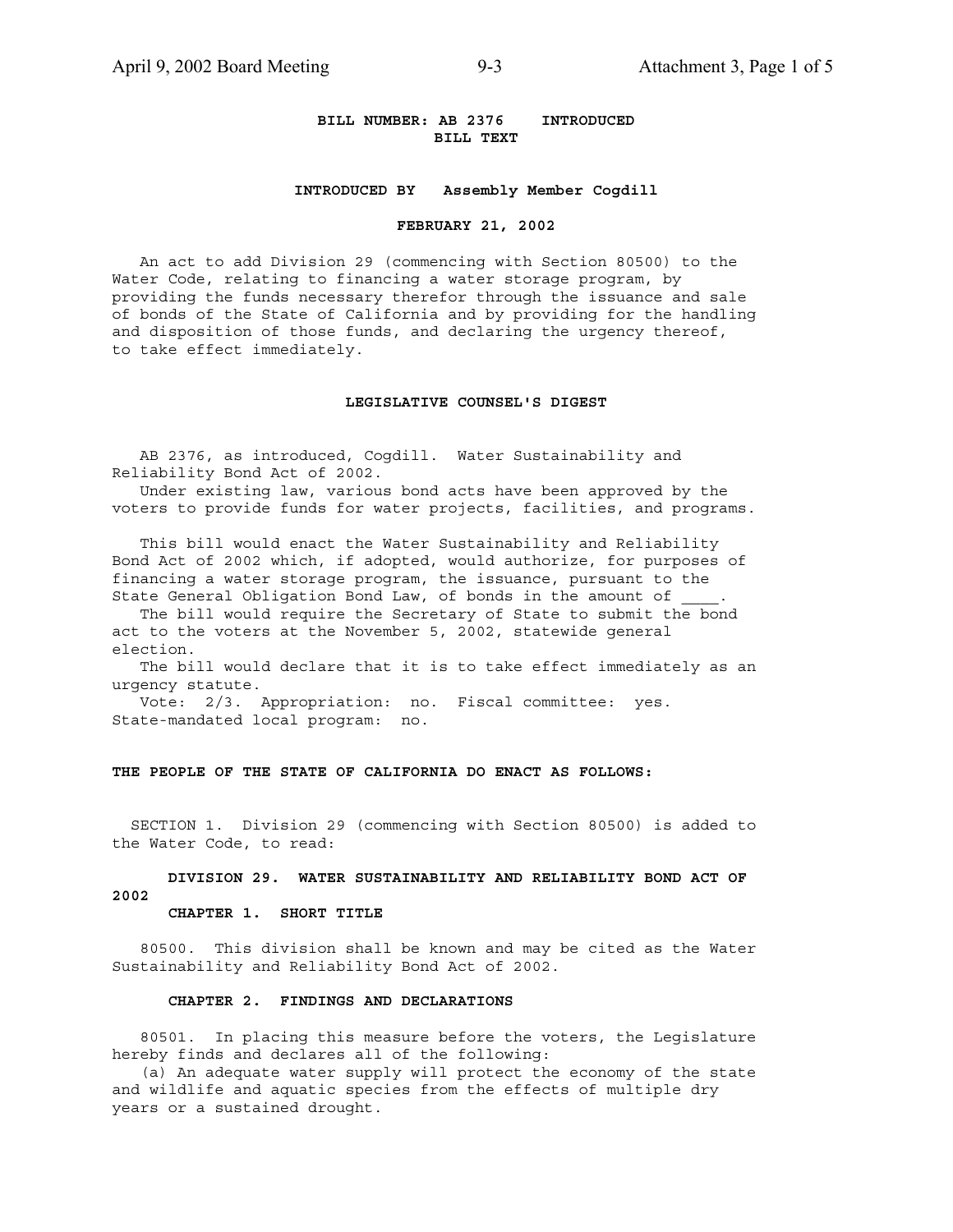### **BILL NUMBER: AB 2376 INTRODUCED BILL TEXT**

### **INTRODUCED BY Assembly Member Cogdill**

#### **FEBRUARY 21, 2002**

 An act to add Division 29 (commencing with Section 80500) to the Water Code, relating to financing a water storage program, by providing the funds necessary therefor through the issuance and sale of bonds of the State of California and by providing for the handling and disposition of those funds, and declaring the urgency thereof, to take effect immediately.

### **LEGISLATIVE COUNSEL'S DIGEST**

 AB 2376, as introduced, Cogdill. Water Sustainability and Reliability Bond Act of 2002.

 Under existing law, various bond acts have been approved by the voters to provide funds for water projects, facilities, and programs.

 This bill would enact the Water Sustainability and Reliability Bond Act of 2002 which, if adopted, would authorize, for purposes of financing a water storage program, the issuance, pursuant to the State General Obligation Bond Law, of bonds in the amount of

 The bill would require the Secretary of State to submit the bond act to the voters at the November 5, 2002, statewide general election.

 The bill would declare that it is to take effect immediately as an urgency statute.

 Vote: 2/3. Appropriation: no. Fiscal committee: yes. State-mandated local program: no.

### **THE PEOPLE OF THE STATE OF CALIFORNIA DO ENACT AS FOLLOWS:**

 SECTION 1. Division 29 (commencing with Section 80500) is added to the Water Code, to read:

### **DIVISION 29. WATER SUSTAINABILITY AND RELIABILITY BOND ACT OF 2002**

### **CHAPTER 1. SHORT TITLE**

 80500. This division shall be known and may be cited as the Water Sustainability and Reliability Bond Act of 2002.

### **CHAPTER 2. FINDINGS AND DECLARATIONS**

 80501. In placing this measure before the voters, the Legislature hereby finds and declares all of the following:

 (a) An adequate water supply will protect the economy of the state and wildlife and aquatic species from the effects of multiple dry years or a sustained drought.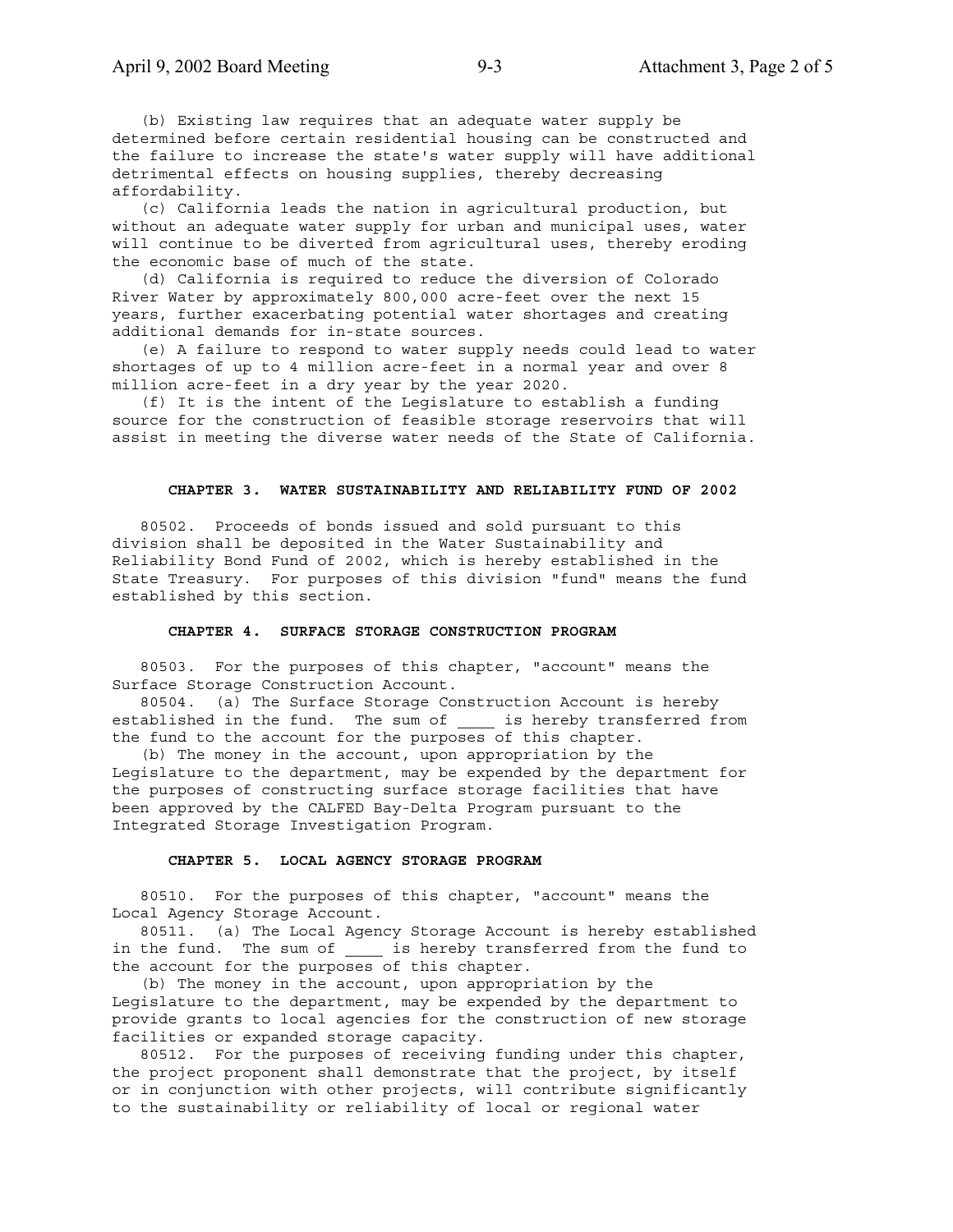(b) Existing law requires that an adequate water supply be determined before certain residential housing can be constructed and the failure to increase the state's water supply will have additional detrimental effects on housing supplies, thereby decreasing affordability.

 (c) California leads the nation in agricultural production, but without an adequate water supply for urban and municipal uses, water will continue to be diverted from agricultural uses, thereby eroding the economic base of much of the state.

 (d) California is required to reduce the diversion of Colorado River Water by approximately 800,000 acre-feet over the next 15 years, further exacerbating potential water shortages and creating additional demands for in-state sources.

 (e) A failure to respond to water supply needs could lead to water shortages of up to 4 million acre-feet in a normal year and over 8 million acre-feet in a dry year by the year 2020.

 (f) It is the intent of the Legislature to establish a funding source for the construction of feasible storage reservoirs that will assist in meeting the diverse water needs of the State of California.

### **CHAPTER 3. WATER SUSTAINABILITY AND RELIABILITY FUND OF 2002**

 80502. Proceeds of bonds issued and sold pursuant to this division shall be deposited in the Water Sustainability and Reliability Bond Fund of 2002, which is hereby established in the State Treasury. For purposes of this division "fund" means the fund established by this section.

#### **CHAPTER 4. SURFACE STORAGE CONSTRUCTION PROGRAM**

 80503. For the purposes of this chapter, "account" means the Surface Storage Construction Account.

 80504. (a) The Surface Storage Construction Account is hereby established in the fund. The sum of \_\_\_\_ is hereby transferred from the fund to the account for the purposes of this chapter.

 (b) The money in the account, upon appropriation by the Legislature to the department, may be expended by the department for the purposes of constructing surface storage facilities that have been approved by the CALFED Bay-Delta Program pursuant to the Integrated Storage Investigation Program.

#### **CHAPTER 5. LOCAL AGENCY STORAGE PROGRAM**

 80510. For the purposes of this chapter, "account" means the Local Agency Storage Account.

 80511. (a) The Local Agency Storage Account is hereby established in the fund. The sum of \_\_\_\_\_ is hereby transferred from the fund to the account for the purposes of this chapter.

 (b) The money in the account, upon appropriation by the Legislature to the department, may be expended by the department to provide grants to local agencies for the construction of new storage facilities or expanded storage capacity.

 80512. For the purposes of receiving funding under this chapter, the project proponent shall demonstrate that the project, by itself or in conjunction with other projects, will contribute significantly to the sustainability or reliability of local or regional water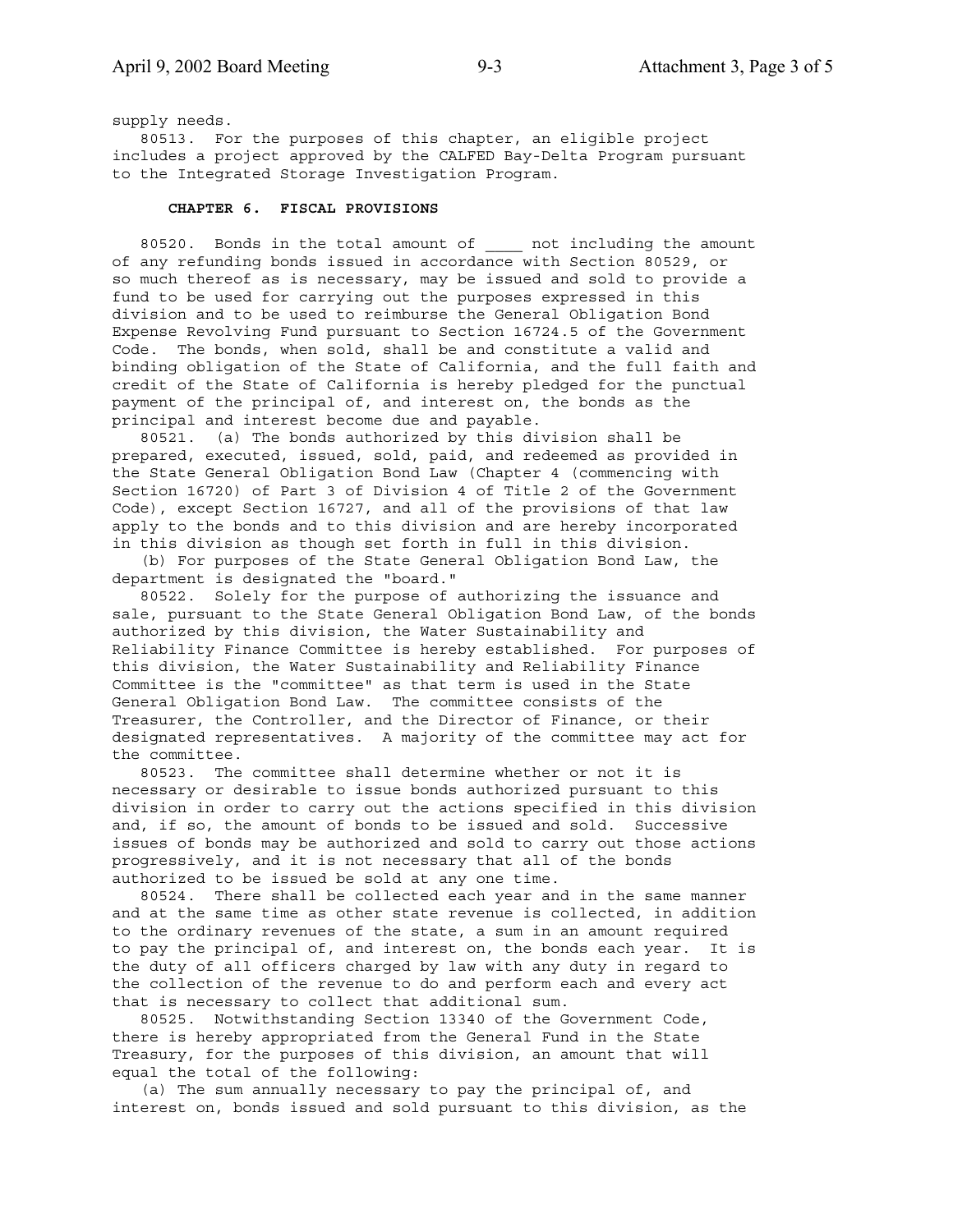supply needs.

 80513. For the purposes of this chapter, an eligible project includes a project approved by the CALFED Bay-Delta Program pursuant to the Integrated Storage Investigation Program.

### **CHAPTER 6. FISCAL PROVISIONS**

80520. Bonds in the total amount of and including the amount of any refunding bonds issued in accordance with Section 80529, or so much thereof as is necessary, may be issued and sold to provide a fund to be used for carrying out the purposes expressed in this division and to be used to reimburse the General Obligation Bond Expense Revolving Fund pursuant to Section 16724.5 of the Government Code. The bonds, when sold, shall be and constitute a valid and binding obligation of the State of California, and the full faith and credit of the State of California is hereby pledged for the punctual payment of the principal of, and interest on, the bonds as the principal and interest become due and payable.

 80521. (a) The bonds authorized by this division shall be prepared, executed, issued, sold, paid, and redeemed as provided in the State General Obligation Bond Law (Chapter 4 (commencing with Section 16720) of Part 3 of Division 4 of Title 2 of the Government Code), except Section 16727, and all of the provisions of that law apply to the bonds and to this division and are hereby incorporated in this division as though set forth in full in this division.

 (b) For purposes of the State General Obligation Bond Law, the department is designated the "board."

 80522. Solely for the purpose of authorizing the issuance and sale, pursuant to the State General Obligation Bond Law, of the bonds authorized by this division, the Water Sustainability and Reliability Finance Committee is hereby established. For purposes of this division, the Water Sustainability and Reliability Finance Committee is the "committee" as that term is used in the State General Obligation Bond Law. The committee consists of the Treasurer, the Controller, and the Director of Finance, or their designated representatives. A majority of the committee may act for the committee.

 80523. The committee shall determine whether or not it is necessary or desirable to issue bonds authorized pursuant to this division in order to carry out the actions specified in this division and, if so, the amount of bonds to be issued and sold. Successive issues of bonds may be authorized and sold to carry out those actions progressively, and it is not necessary that all of the bonds authorized to be issued be sold at any one time.

 80524. There shall be collected each year and in the same manner and at the same time as other state revenue is collected, in addition to the ordinary revenues of the state, a sum in an amount required to pay the principal of, and interest on, the bonds each year. It is the duty of all officers charged by law with any duty in regard to the collection of the revenue to do and perform each and every act that is necessary to collect that additional sum.

 80525. Notwithstanding Section 13340 of the Government Code, there is hereby appropriated from the General Fund in the State Treasury, for the purposes of this division, an amount that will equal the total of the following:

 (a) The sum annually necessary to pay the principal of, and interest on, bonds issued and sold pursuant to this division, as the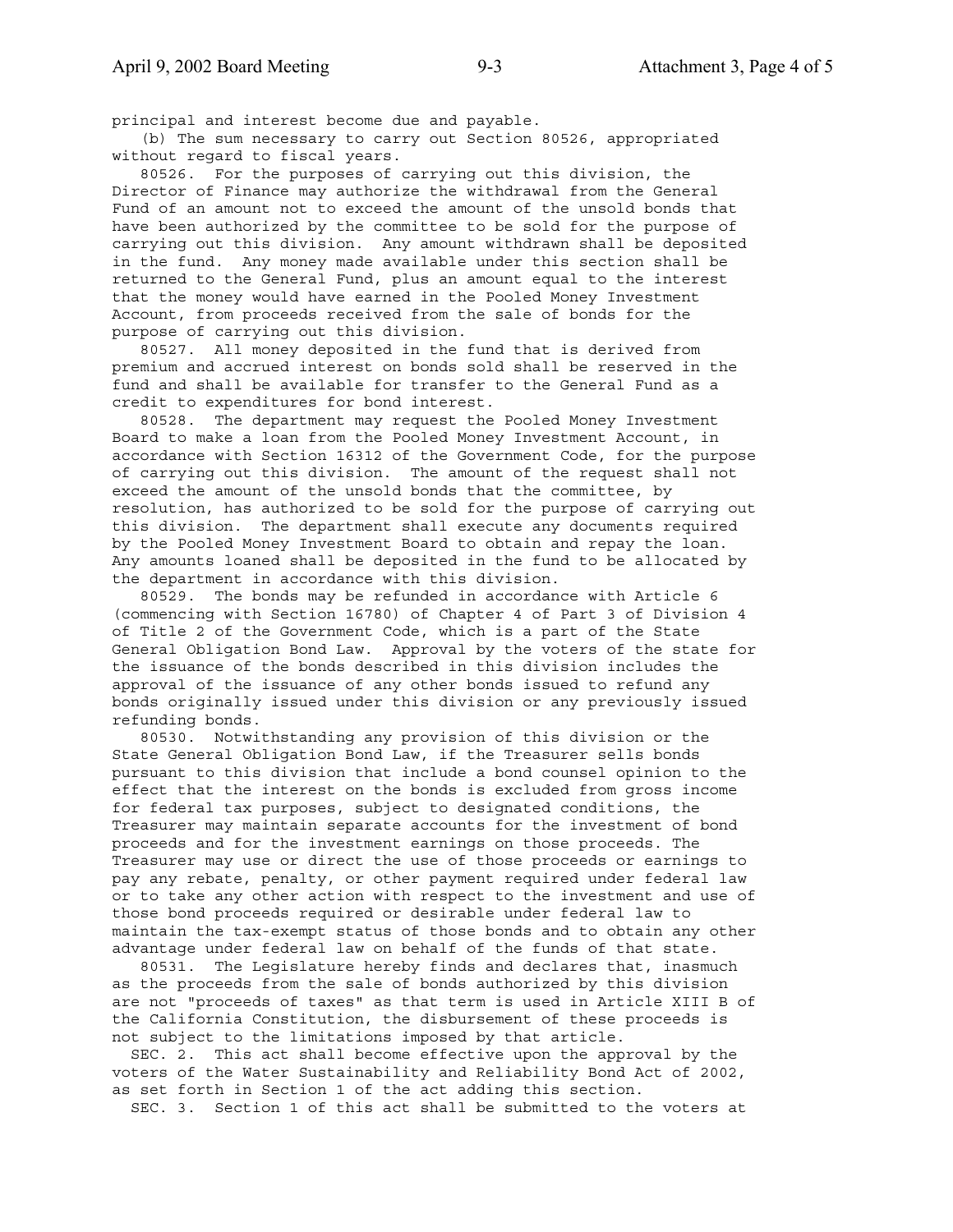principal and interest become due and payable.

 (b) The sum necessary to carry out Section 80526, appropriated without regard to fiscal years.

 80526. For the purposes of carrying out this division, the Director of Finance may authorize the withdrawal from the General Fund of an amount not to exceed the amount of the unsold bonds that have been authorized by the committee to be sold for the purpose of carrying out this division. Any amount withdrawn shall be deposited in the fund. Any money made available under this section shall be returned to the General Fund, plus an amount equal to the interest that the money would have earned in the Pooled Money Investment Account, from proceeds received from the sale of bonds for the purpose of carrying out this division.

 80527. All money deposited in the fund that is derived from premium and accrued interest on bonds sold shall be reserved in the fund and shall be available for transfer to the General Fund as a credit to expenditures for bond interest.

 80528. The department may request the Pooled Money Investment Board to make a loan from the Pooled Money Investment Account, in accordance with Section 16312 of the Government Code, for the purpose of carrying out this division. The amount of the request shall not exceed the amount of the unsold bonds that the committee, by resolution, has authorized to be sold for the purpose of carrying out this division. The department shall execute any documents required by the Pooled Money Investment Board to obtain and repay the loan. Any amounts loaned shall be deposited in the fund to be allocated by the department in accordance with this division.

 80529. The bonds may be refunded in accordance with Article 6 (commencing with Section 16780) of Chapter 4 of Part 3 of Division 4 of Title 2 of the Government Code, which is a part of the State General Obligation Bond Law. Approval by the voters of the state for the issuance of the bonds described in this division includes the approval of the issuance of any other bonds issued to refund any bonds originally issued under this division or any previously issued refunding bonds.

 80530. Notwithstanding any provision of this division or the State General Obligation Bond Law, if the Treasurer sells bonds pursuant to this division that include a bond counsel opinion to the effect that the interest on the bonds is excluded from gross income for federal tax purposes, subject to designated conditions, the Treasurer may maintain separate accounts for the investment of bond proceeds and for the investment earnings on those proceeds. The Treasurer may use or direct the use of those proceeds or earnings to pay any rebate, penalty, or other payment required under federal law or to take any other action with respect to the investment and use of those bond proceeds required or desirable under federal law to maintain the tax-exempt status of those bonds and to obtain any other advantage under federal law on behalf of the funds of that state.

 80531. The Legislature hereby finds and declares that, inasmuch as the proceeds from the sale of bonds authorized by this division are not "proceeds of taxes" as that term is used in Article XIII B of the California Constitution, the disbursement of these proceeds is not subject to the limitations imposed by that article.

 SEC. 2. This act shall become effective upon the approval by the voters of the Water Sustainability and Reliability Bond Act of 2002, as set forth in Section 1 of the act adding this section.

SEC. 3. Section 1 of this act shall be submitted to the voters at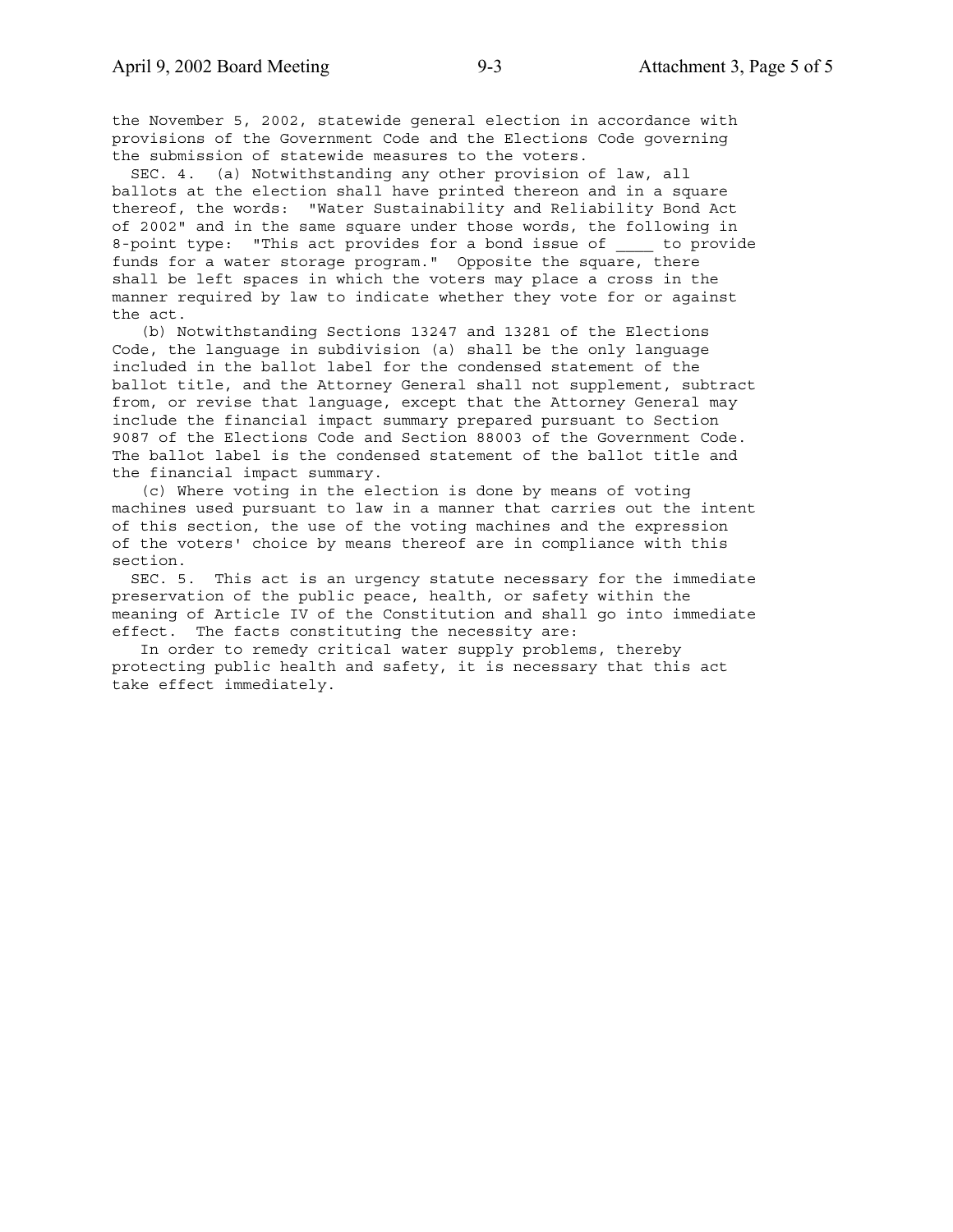the November 5, 2002, statewide general election in accordance with provisions of the Government Code and the Elections Code governing the submission of statewide measures to the voters.

 SEC. 4. (a) Notwithstanding any other provision of law, all ballots at the election shall have printed thereon and in a square thereof, the words: "Water Sustainability and Reliability Bond Act of 2002" and in the same square under those words, the following in 8-point type: "This act provides for a bond issue of to provide funds for a water storage program." Opposite the square, there shall be left spaces in which the voters may place a cross in the manner required by law to indicate whether they vote for or against the act.

 (b) Notwithstanding Sections 13247 and 13281 of the Elections Code, the language in subdivision (a) shall be the only language included in the ballot label for the condensed statement of the ballot title, and the Attorney General shall not supplement, subtract from, or revise that language, except that the Attorney General may include the financial impact summary prepared pursuant to Section 9087 of the Elections Code and Section 88003 of the Government Code. The ballot label is the condensed statement of the ballot title and the financial impact summary.

 (c) Where voting in the election is done by means of voting machines used pursuant to law in a manner that carries out the intent of this section, the use of the voting machines and the expression of the voters' choice by means thereof are in compliance with this section.

 SEC. 5. This act is an urgency statute necessary for the immediate preservation of the public peace, health, or safety within the meaning of Article IV of the Constitution and shall go into immediate effect. The facts constituting the necessity are:

 In order to remedy critical water supply problems, thereby protecting public health and safety, it is necessary that this act take effect immediately.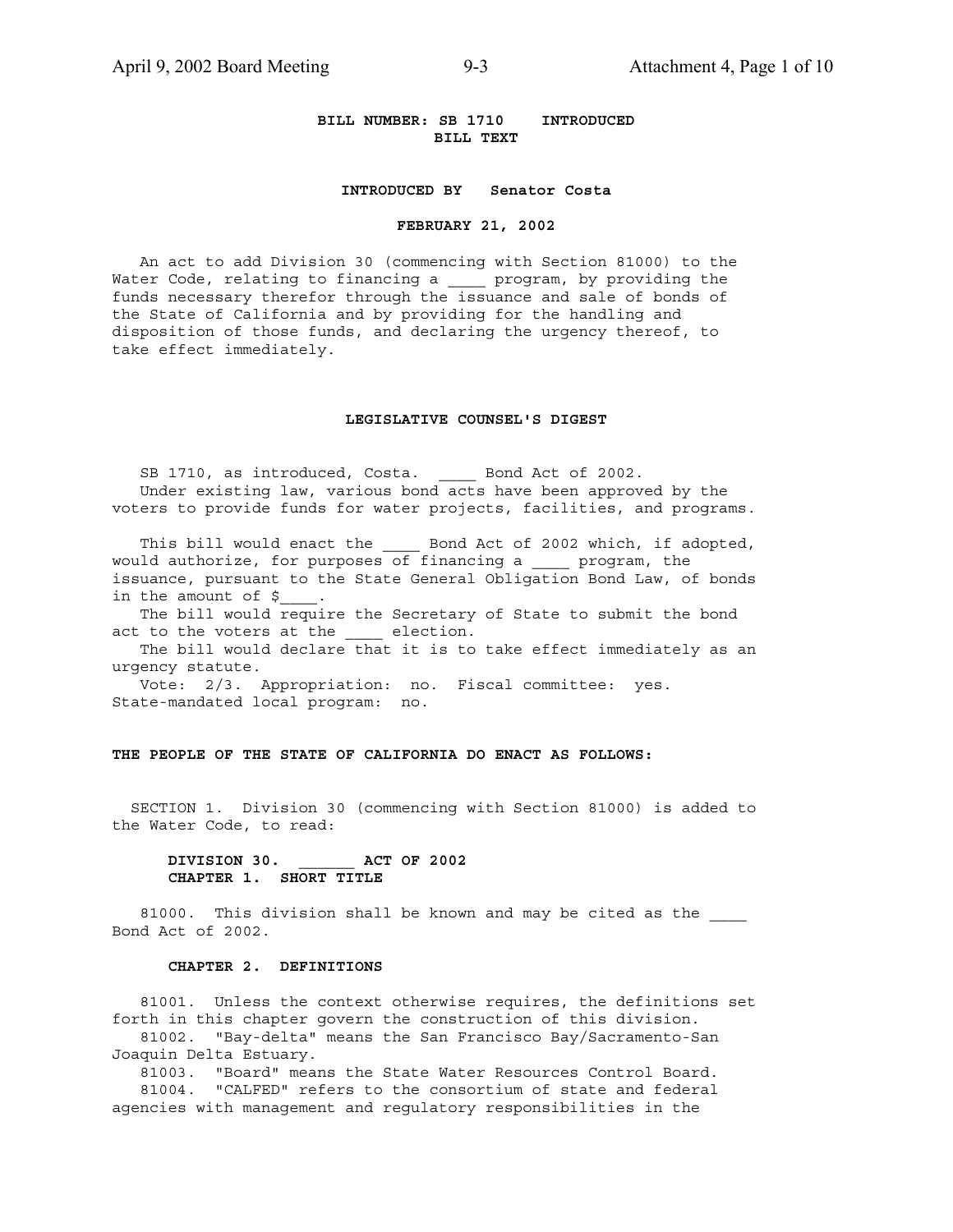### **BILL NUMBER: SB 1710 INTRODUCED BILL TEXT**

### **INTRODUCED BY Senator Costa**

#### **FEBRUARY 21, 2002**

 An act to add Division 30 (commencing with Section 81000) to the Water Code, relating to financing a \_\_\_\_ program, by providing the funds necessary therefor through the issuance and sale of bonds of the State of California and by providing for the handling and disposition of those funds, and declaring the urgency thereof, to take effect immediately.

### **LEGISLATIVE COUNSEL'S DIGEST**

SB 1710, as introduced, Costa. \_\_\_\_\_ Bond Act of 2002. Under existing law, various bond acts have been approved by the voters to provide funds for water projects, facilities, and programs.

This bill would enact the \_\_\_\_\_ Bond Act of 2002 which, if adopted, would authorize, for purposes of financing a \_\_\_\_ program, the issuance, pursuant to the State General Obligation Bond Law, of bonds in the amount of \$

 The bill would require the Secretary of State to submit the bond act to the voters at the \_\_\_\_ election.

 The bill would declare that it is to take effect immediately as an urgency statute.

 Vote: 2/3. Appropriation: no. Fiscal committee: yes. State-mandated local program: no.

### **THE PEOPLE OF THE STATE OF CALIFORNIA DO ENACT AS FOLLOWS:**

 SECTION 1. Division 30 (commencing with Section 81000) is added to the Water Code, to read:

### **DIVISION 30. \_\_\_\_\_\_ ACT OF 2002 CHAPTER 1. SHORT TITLE**

81000. This division shall be known and may be cited as the Bond Act of 2002.

### **CHAPTER 2. DEFINITIONS**

 81001. Unless the context otherwise requires, the definitions set forth in this chapter govern the construction of this division. 81002. "Bay-delta" means the San Francisco Bay/Sacramento-San Joaquin Delta Estuary.

 81003. "Board" means the State Water Resources Control Board. 81004. "CALFED" refers to the consortium of state and federal

agencies with management and regulatory responsibilities in the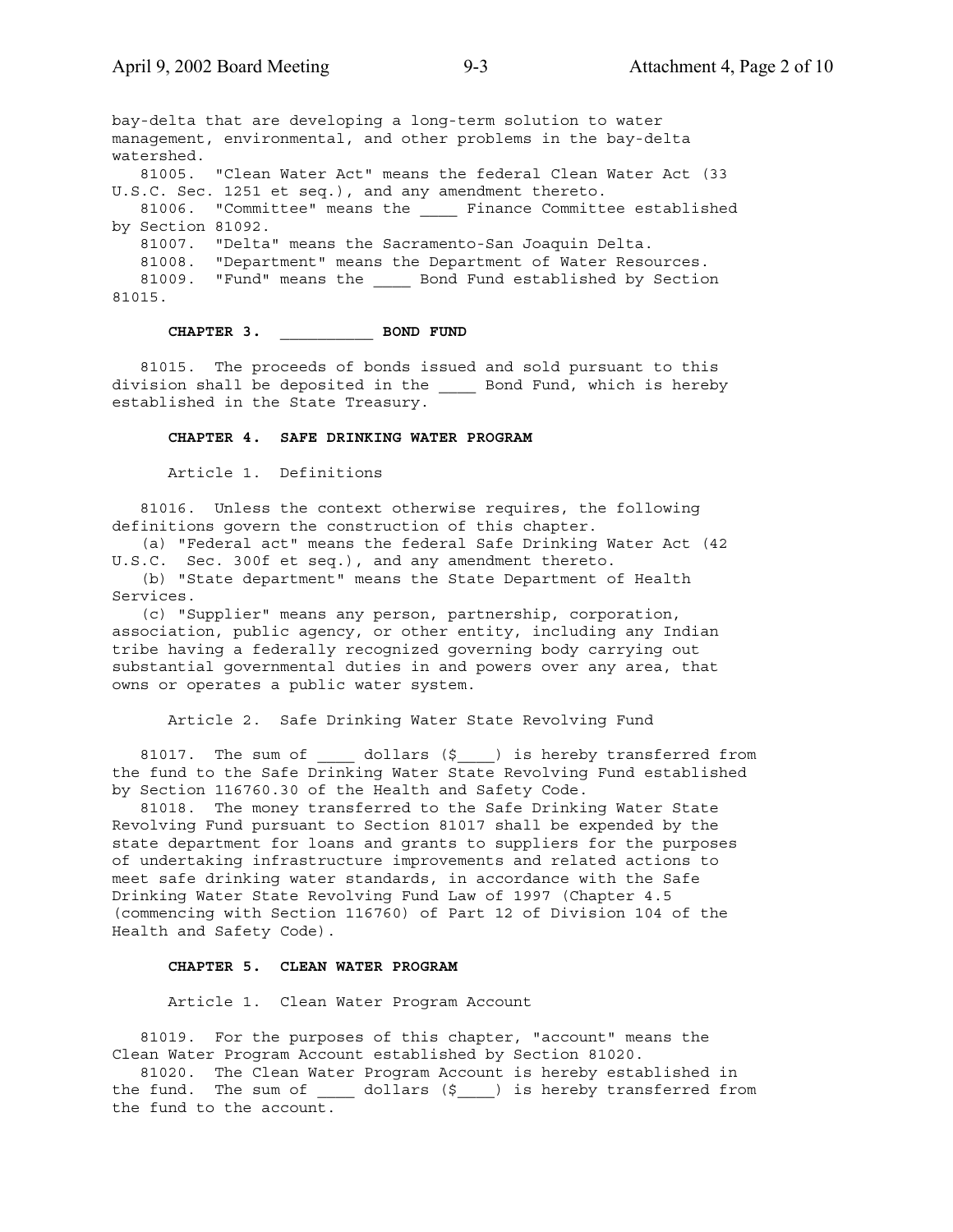bay-delta that are developing a long-term solution to water management, environmental, and other problems in the bay-delta watershed. 81005. "Clean Water Act" means the federal Clean Water Act (33 U.S.C. Sec. 1251 et seq.), and any amendment thereto. 81006. "Committee" means the \_\_\_\_ Finance Committee established by Section 81092. 81007. "Delta" means the Sacramento-San Joaquin Delta. 81008. "Department" means the Department of Water Resources. 81009. "Fund" means the \_\_\_\_\_ Bond Fund established by Section 81015.

## **CHAPTER 3. \_\_\_\_\_\_\_\_\_\_ BOND FUND**

 81015. The proceeds of bonds issued and sold pursuant to this division shall be deposited in the \_\_\_\_ Bond Fund, which is hereby established in the State Treasury.

### **CHAPTER 4. SAFE DRINKING WATER PROGRAM**

Article 1. Definitions

 81016. Unless the context otherwise requires, the following definitions govern the construction of this chapter.

 (a) "Federal act" means the federal Safe Drinking Water Act (42 U.S.C. Sec. 300f et seq.), and any amendment thereto.

 (b) "State department" means the State Department of Health Services.

 (c) "Supplier" means any person, partnership, corporation, association, public agency, or other entity, including any Indian tribe having a federally recognized governing body carrying out substantial governmental duties in and powers over any area, that owns or operates a public water system.

### Article 2. Safe Drinking Water State Revolving Fund

81017. The sum of \_\_\_\_\_ dollars (\$\_\_\_) is hereby transferred from the fund to the Safe Drinking Water State Revolving Fund established by Section 116760.30 of the Health and Safety Code.

 81018. The money transferred to the Safe Drinking Water State Revolving Fund pursuant to Section 81017 shall be expended by the state department for loans and grants to suppliers for the purposes of undertaking infrastructure improvements and related actions to meet safe drinking water standards, in accordance with the Safe Drinking Water State Revolving Fund Law of 1997 (Chapter 4.5 (commencing with Section 116760) of Part 12 of Division 104 of the Health and Safety Code).

### **CHAPTER 5. CLEAN WATER PROGRAM**

Article 1. Clean Water Program Account

 81019. For the purposes of this chapter, "account" means the Clean Water Program Account established by Section 81020.

 81020. The Clean Water Program Account is hereby established in the fund. The sum of \_\_\_\_\_ dollars (\$\_\_\_\_) is hereby transferred from the fund to the account.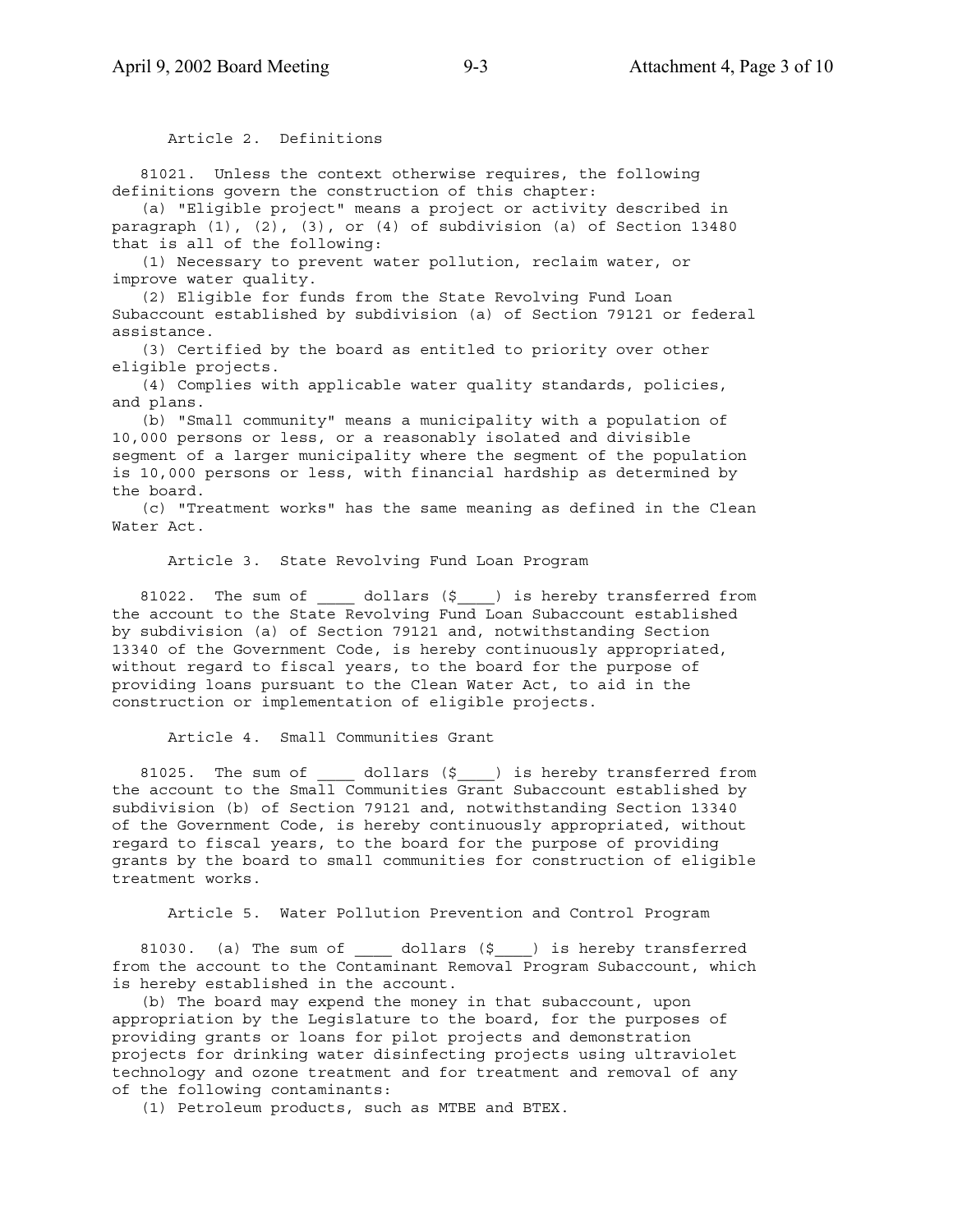Article 2. Definitions

 81021. Unless the context otherwise requires, the following definitions govern the construction of this chapter:

 (a) "Eligible project" means a project or activity described in paragraph (1), (2), (3), or (4) of subdivision (a) of Section 13480 that is all of the following:

 (1) Necessary to prevent water pollution, reclaim water, or improve water quality.

 (2) Eligible for funds from the State Revolving Fund Loan Subaccount established by subdivision (a) of Section 79121 or federal assistance.

 (3) Certified by the board as entitled to priority over other eligible projects.

 (4) Complies with applicable water quality standards, policies, and plans.

 (b) "Small community" means a municipality with a population of 10,000 persons or less, or a reasonably isolated and divisible segment of a larger municipality where the segment of the population is 10,000 persons or less, with financial hardship as determined by the board.

 (c) "Treatment works" has the same meaning as defined in the Clean Water Act.

Article 3. State Revolving Fund Loan Program

81022. The sum of  $\qquad$  dollars (\$) is hereby transferred from the account to the State Revolving Fund Loan Subaccount established by subdivision (a) of Section 79121 and, notwithstanding Section 13340 of the Government Code, is hereby continuously appropriated, without regard to fiscal years, to the board for the purpose of providing loans pursuant to the Clean Water Act, to aid in the construction or implementation of eligible projects.

Article 4. Small Communities Grant

81025. The sum of \_\_\_\_\_ dollars (\$\_\_\_\_) is hereby transferred from the account to the Small Communities Grant Subaccount established by subdivision (b) of Section 79121 and, notwithstanding Section 13340 of the Government Code, is hereby continuously appropriated, without regard to fiscal years, to the board for the purpose of providing grants by the board to small communities for construction of eligible treatment works.

Article 5. Water Pollution Prevention and Control Program

81030. (a) The sum of  $\qquad$  dollars (\$ ) is hereby transferred from the account to the Contaminant Removal Program Subaccount, which is hereby established in the account.

 (b) The board may expend the money in that subaccount, upon appropriation by the Legislature to the board, for the purposes of providing grants or loans for pilot projects and demonstration projects for drinking water disinfecting projects using ultraviolet technology and ozone treatment and for treatment and removal of any of the following contaminants:

(1) Petroleum products, such as MTBE and BTEX.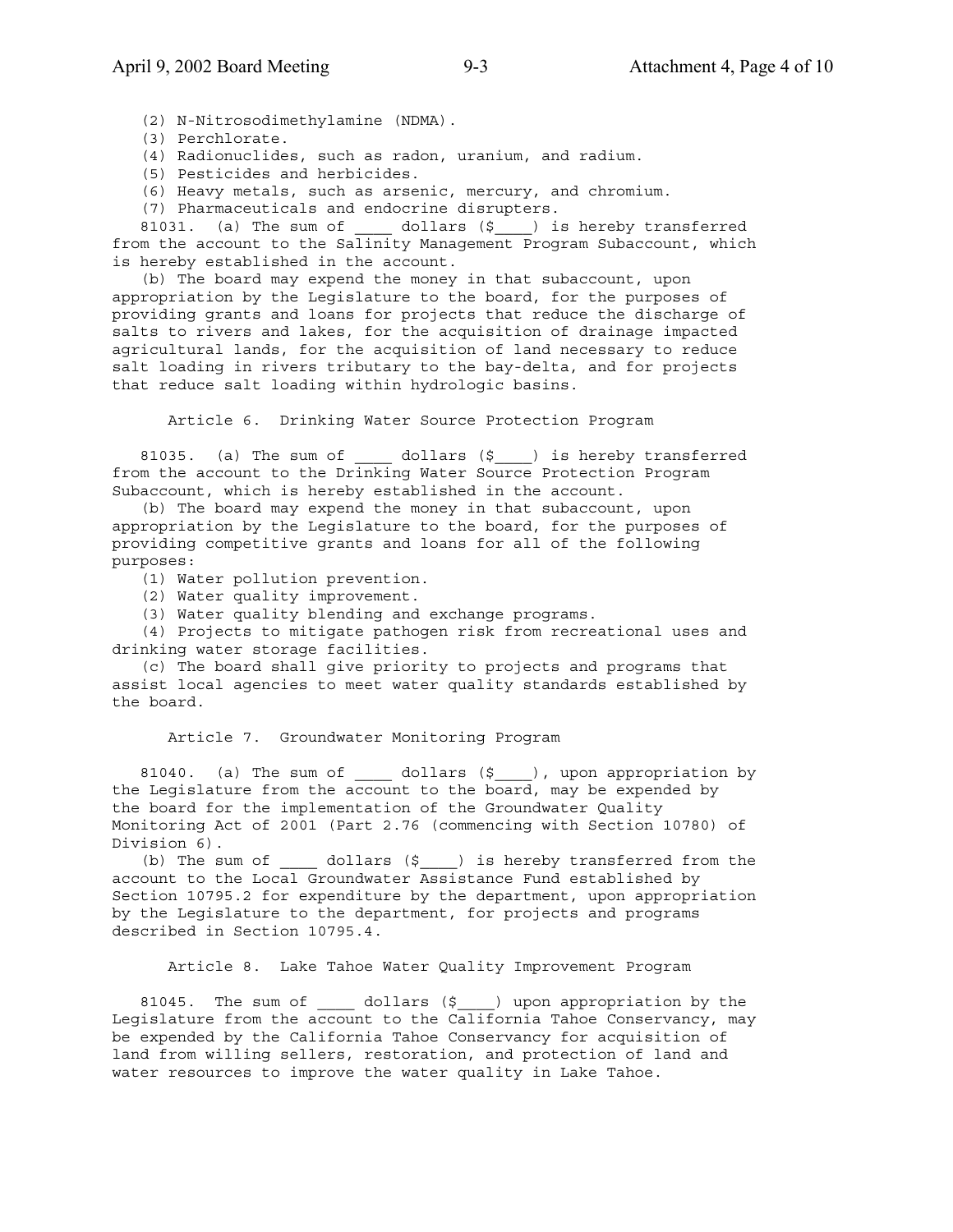(2) N-Nitrosodimethylamine (NDMA).

(3) Perchlorate.

(4) Radionuclides, such as radon, uranium, and radium.

(5) Pesticides and herbicides.

(6) Heavy metals, such as arsenic, mercury, and chromium.

(7) Pharmaceuticals and endocrine disrupters.

81031. (a) The sum of  $\qquad$  dollars (\$ ) is hereby transferred from the account to the Salinity Management Program Subaccount, which is hereby established in the account.

 (b) The board may expend the money in that subaccount, upon appropriation by the Legislature to the board, for the purposes of providing grants and loans for projects that reduce the discharge of salts to rivers and lakes, for the acquisition of drainage impacted agricultural lands, for the acquisition of land necessary to reduce salt loading in rivers tributary to the bay-delta, and for projects that reduce salt loading within hydrologic basins.

Article 6. Drinking Water Source Protection Program

81035. (a) The sum of  $\qquad$  dollars (\$) is hereby transferred from the account to the Drinking Water Source Protection Program Subaccount, which is hereby established in the account.

 (b) The board may expend the money in that subaccount, upon appropriation by the Legislature to the board, for the purposes of providing competitive grants and loans for all of the following purposes:

(1) Water pollution prevention.

(2) Water quality improvement.

(3) Water quality blending and exchange programs.

 (4) Projects to mitigate pathogen risk from recreational uses and drinking water storage facilities.

 (c) The board shall give priority to projects and programs that assist local agencies to meet water quality standards established by the board.

Article 7. Groundwater Monitoring Program

81040. (a) The sum of \_\_\_\_\_ dollars (\$\_\_\_\_), upon appropriation by the Legislature from the account to the board, may be expended by the board for the implementation of the Groundwater Quality Monitoring Act of 2001 (Part 2.76 (commencing with Section 10780) of Division 6).

(b) The sum of  $\_\_$  dollars  $(\xi \_\_)$  is hereby transferred from the account to the Local Groundwater Assistance Fund established by Section 10795.2 for expenditure by the department, upon appropriation by the Legislature to the department, for projects and programs described in Section 10795.4.

Article 8. Lake Tahoe Water Quality Improvement Program

81045. The sum of \_\_\_\_\_ dollars (\$\_\_\_\_) upon appropriation by the Legislature from the account to the California Tahoe Conservancy, may be expended by the California Tahoe Conservancy for acquisition of land from willing sellers, restoration, and protection of land and water resources to improve the water quality in Lake Tahoe.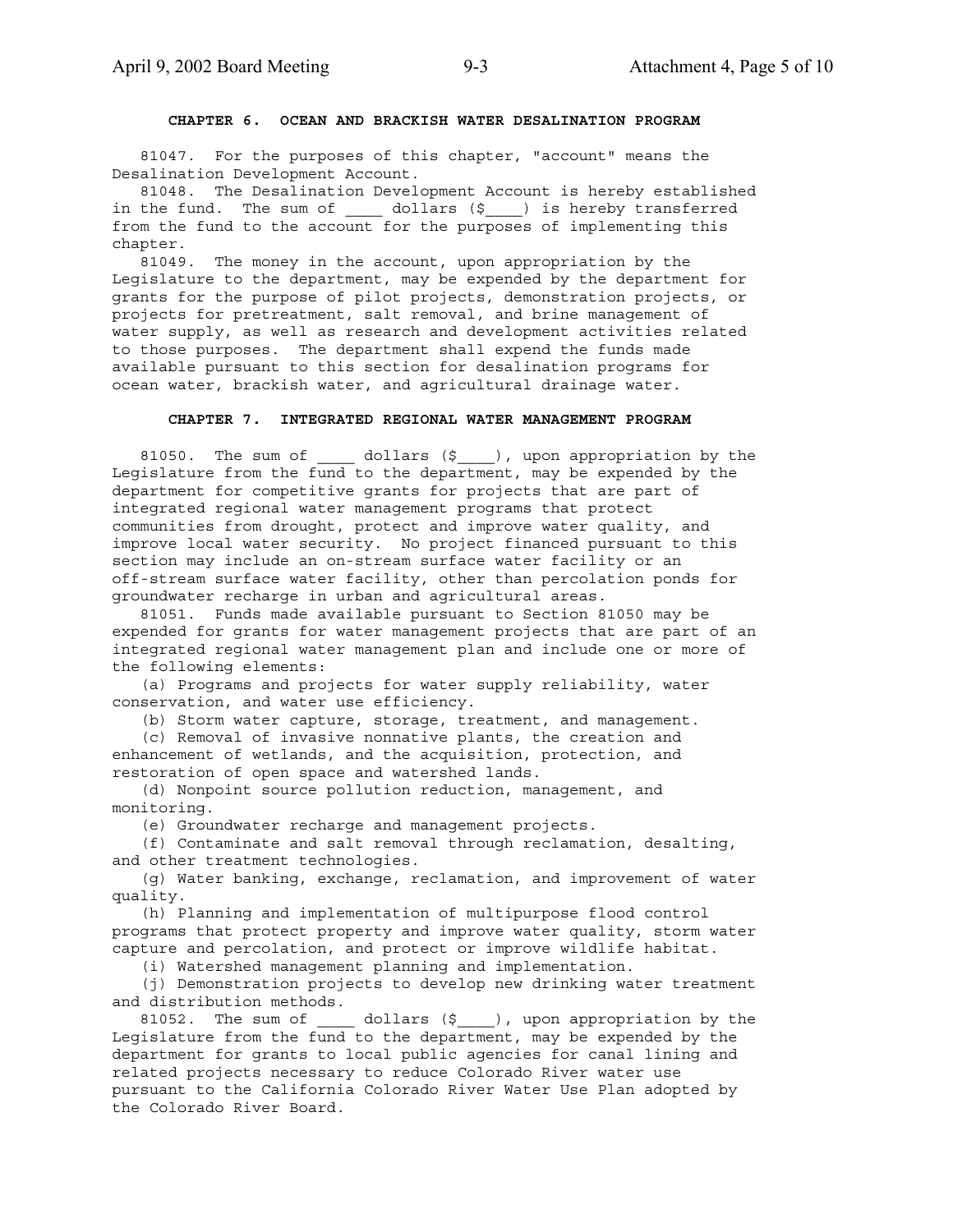### **CHAPTER 6. OCEAN AND BRACKISH WATER DESALINATION PROGRAM**

 81047. For the purposes of this chapter, "account" means the Desalination Development Account.

 81048. The Desalination Development Account is hereby established in the fund. The sum of \_\_\_\_\_ dollars (\$\_\_\_) is hereby transferred from the fund to the account for the purposes of implementing this chapter.

 81049. The money in the account, upon appropriation by the Legislature to the department, may be expended by the department for grants for the purpose of pilot projects, demonstration projects, or projects for pretreatment, salt removal, and brine management of water supply, as well as research and development activities related to those purposes. The department shall expend the funds made available pursuant to this section for desalination programs for ocean water, brackish water, and agricultural drainage water.

### **CHAPTER 7. INTEGRATED REGIONAL WATER MANAGEMENT PROGRAM**

81050. The sum of  $\qquad$  dollars (\$), upon appropriation by the Legislature from the fund to the department, may be expended by the department for competitive grants for projects that are part of integrated regional water management programs that protect communities from drought, protect and improve water quality, and improve local water security. No project financed pursuant to this section may include an on-stream surface water facility or an off-stream surface water facility, other than percolation ponds for groundwater recharge in urban and agricultural areas.

 81051. Funds made available pursuant to Section 81050 may be expended for grants for water management projects that are part of an integrated regional water management plan and include one or more of the following elements:

 (a) Programs and projects for water supply reliability, water conservation, and water use efficiency.

(b) Storm water capture, storage, treatment, and management.

 (c) Removal of invasive nonnative plants, the creation and enhancement of wetlands, and the acquisition, protection, and restoration of open space and watershed lands.

 (d) Nonpoint source pollution reduction, management, and monitoring.

(e) Groundwater recharge and management projects.

 (f) Contaminate and salt removal through reclamation, desalting, and other treatment technologies.

 (g) Water banking, exchange, reclamation, and improvement of water quality.

 (h) Planning and implementation of multipurpose flood control programs that protect property and improve water quality, storm water capture and percolation, and protect or improve wildlife habitat.

(i) Watershed management planning and implementation.

 (j) Demonstration projects to develop new drinking water treatment and distribution methods.

81052. The sum of  $\qquad$  dollars (\$), upon appropriation by the Legislature from the fund to the department, may be expended by the department for grants to local public agencies for canal lining and related projects necessary to reduce Colorado River water use pursuant to the California Colorado River Water Use Plan adopted by the Colorado River Board.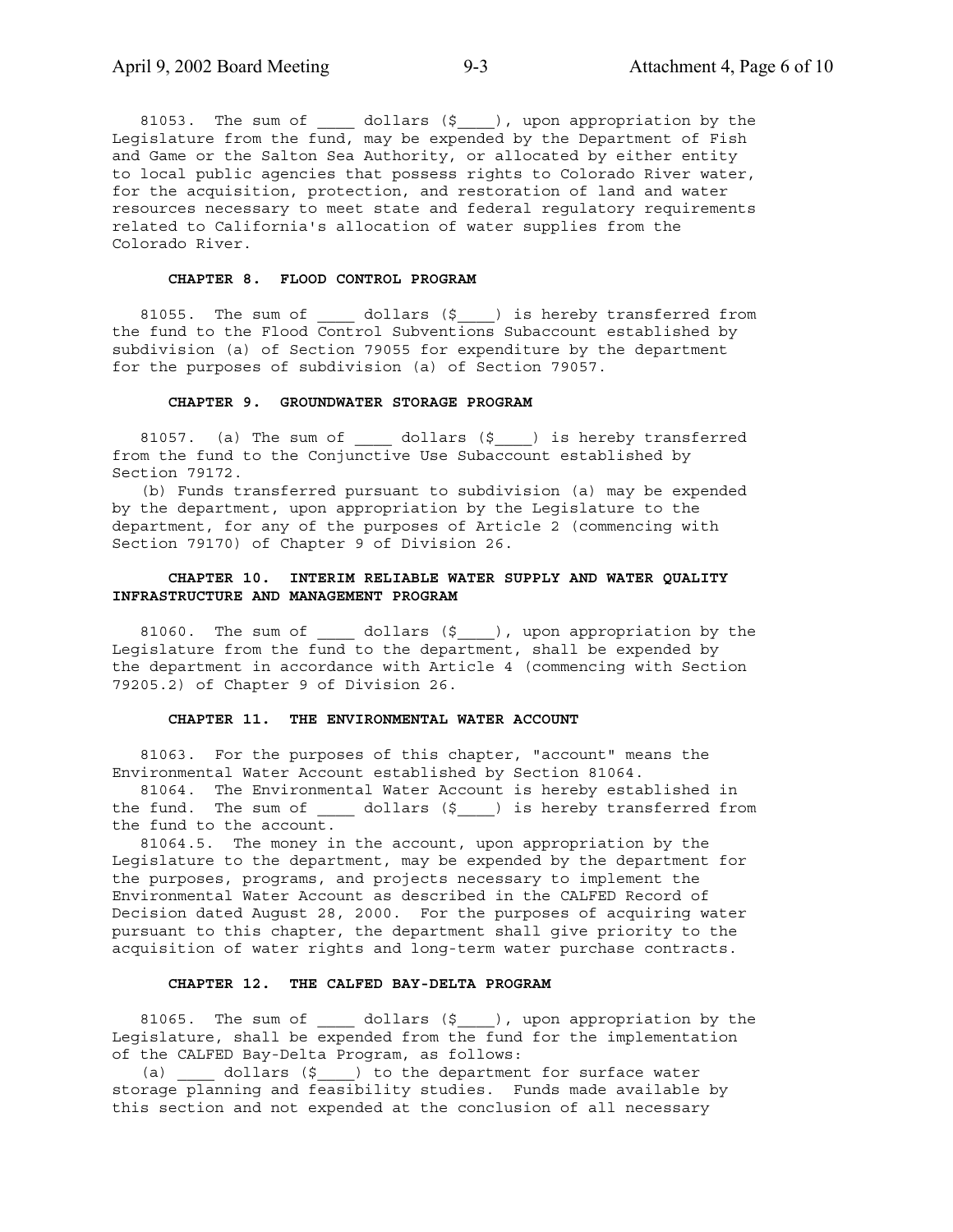81053. The sum of \_\_\_\_\_ dollars (\$\_\_\_\_), upon appropriation by the Legislature from the fund, may be expended by the Department of Fish and Game or the Salton Sea Authority, or allocated by either entity to local public agencies that possess rights to Colorado River water, for the acquisition, protection, and restoration of land and water resources necessary to meet state and federal regulatory requirements related to California's allocation of water supplies from the Colorado River.

### **CHAPTER 8. FLOOD CONTROL PROGRAM**

81055. The sum of  $\qquad$  dollars (\$  $\qquad$  ) is hereby transferred from the fund to the Flood Control Subventions Subaccount established by subdivision (a) of Section 79055 for expenditure by the department for the purposes of subdivision (a) of Section 79057.

### **CHAPTER 9. GROUNDWATER STORAGE PROGRAM**

81057. (a) The sum of  $\qquad$  dollars (\$<sub>\_\_\_\_</sub>) is hereby transferred from the fund to the Conjunctive Use Subaccount established by Section 79172.

 (b) Funds transferred pursuant to subdivision (a) may be expended by the department, upon appropriation by the Legislature to the department, for any of the purposes of Article 2 (commencing with Section 79170) of Chapter 9 of Division 26.

### **CHAPTER 10. INTERIM RELIABLE WATER SUPPLY AND WATER QUALITY INFRASTRUCTURE AND MANAGEMENT PROGRAM**

 81060. The sum of \_\_\_\_ dollars (\$\_\_\_\_), upon appropriation by the Legislature from the fund to the department, shall be expended by the department in accordance with Article 4 (commencing with Section 79205.2) of Chapter 9 of Division 26.

### **CHAPTER 11. THE ENVIRONMENTAL WATER ACCOUNT**

 81063. For the purposes of this chapter, "account" means the Environmental Water Account established by Section 81064.

 81064. The Environmental Water Account is hereby established in the fund. The sum of \_\_\_\_\_ dollars (\$\_\_\_\_) is hereby transferred from the fund to the account.

 81064.5. The money in the account, upon appropriation by the Legislature to the department, may be expended by the department for the purposes, programs, and projects necessary to implement the Environmental Water Account as described in the CALFED Record of Decision dated August 28, 2000. For the purposes of acquiring water pursuant to this chapter, the department shall give priority to the acquisition of water rights and long-term water purchase contracts.

### **CHAPTER 12. THE CALFED BAY-DELTA PROGRAM**

81065. The sum of \_\_\_\_\_ dollars (\$\_\_\_\_), upon appropriation by the Legislature, shall be expended from the fund for the implementation of the CALFED Bay-Delta Program, as follows:

(a) \_\_\_\_ dollars (\$\_\_\_) to the department for surface water storage planning and feasibility studies. Funds made available by this section and not expended at the conclusion of all necessary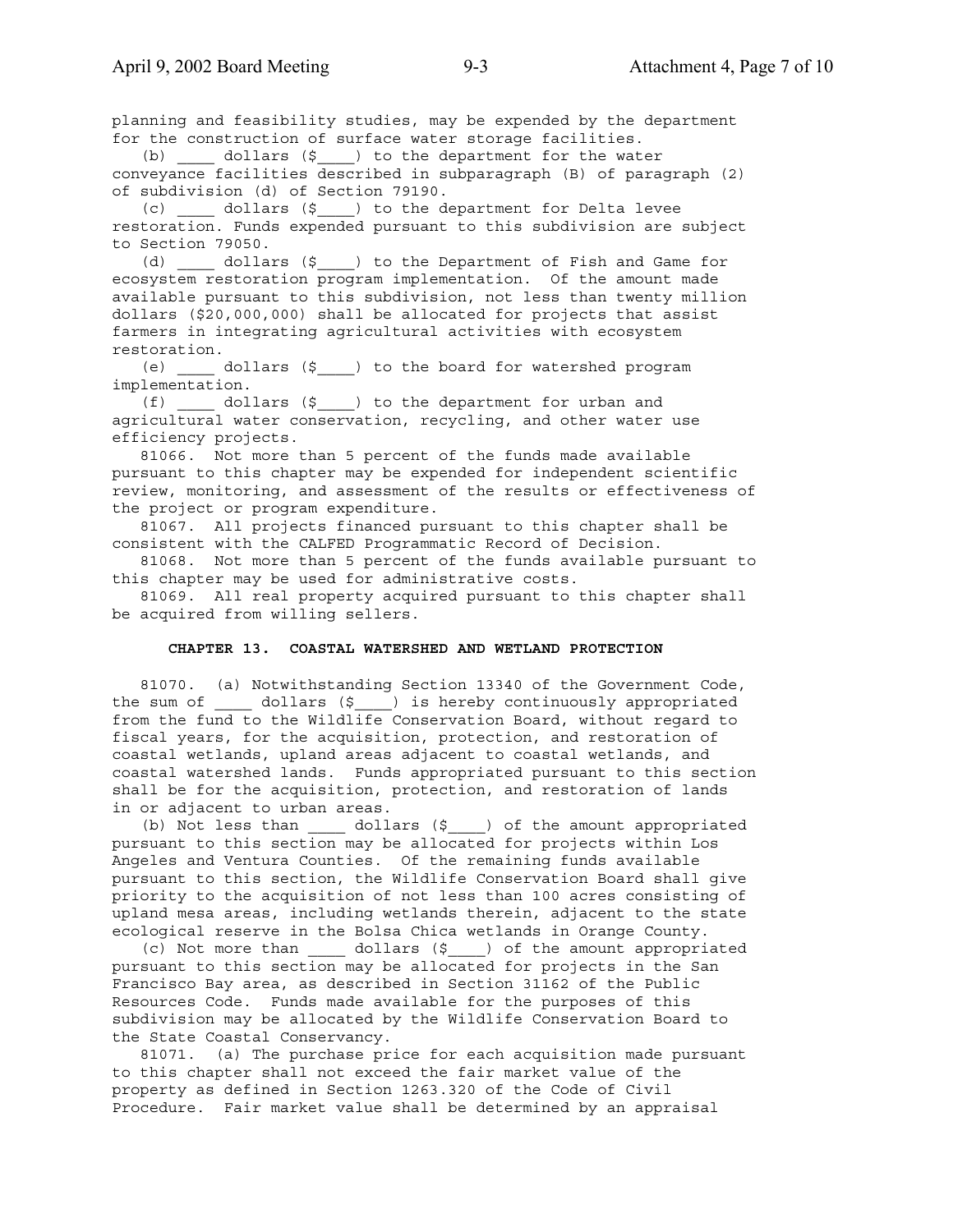planning and feasibility studies, may be expended by the department for the construction of surface water storage facilities.

 (b) \_\_\_\_ dollars (\$\_\_\_\_) to the department for the water conveyance facilities described in subparagraph (B) of paragraph (2) of subdivision (d) of Section 79190.

 (c) \_\_\_\_ dollars (\$\_\_\_\_) to the department for Delta levee restoration. Funds expended pursuant to this subdivision are subject to Section 79050.

 (d) \_\_\_\_ dollars (\$\_\_\_\_) to the Department of Fish and Game for ecosystem restoration program implementation. Of the amount made available pursuant to this subdivision, not less than twenty million dollars (\$20,000,000) shall be allocated for projects that assist farmers in integrating agricultural activities with ecosystem restoration.

 (e) \_\_\_\_ dollars (\$\_\_\_\_) to the board for watershed program implementation.

 (f) \_\_\_\_ dollars (\$\_\_\_\_) to the department for urban and agricultural water conservation, recycling, and other water use efficiency projects.

 81066. Not more than 5 percent of the funds made available pursuant to this chapter may be expended for independent scientific review, monitoring, and assessment of the results or effectiveness of the project or program expenditure.

 81067. All projects financed pursuant to this chapter shall be consistent with the CALFED Programmatic Record of Decision.

 81068. Not more than 5 percent of the funds available pursuant to this chapter may be used for administrative costs.

 81069. All real property acquired pursuant to this chapter shall be acquired from willing sellers.

### **CHAPTER 13. COASTAL WATERSHED AND WETLAND PROTECTION**

 81070. (a) Notwithstanding Section 13340 of the Government Code, the sum of \_\_\_\_\_ dollars (\$\_\_\_\_) is hereby continuously appropriated from the fund to the Wildlife Conservation Board, without regard to fiscal years, for the acquisition, protection, and restoration of coastal wetlands, upland areas adjacent to coastal wetlands, and coastal watershed lands. Funds appropriated pursuant to this section shall be for the acquisition, protection, and restoration of lands in or adjacent to urban areas.

 (b) Not less than \_\_\_\_ dollars (\$\_\_\_\_) of the amount appropriated pursuant to this section may be allocated for projects within Los Angeles and Ventura Counties. Of the remaining funds available pursuant to this section, the Wildlife Conservation Board shall give priority to the acquisition of not less than 100 acres consisting of upland mesa areas, including wetlands therein, adjacent to the state ecological reserve in the Bolsa Chica wetlands in Orange County.

 (c) Not more than \_\_\_\_ dollars (\$\_\_\_\_) of the amount appropriated pursuant to this section may be allocated for projects in the San Francisco Bay area, as described in Section 31162 of the Public Resources Code. Funds made available for the purposes of this subdivision may be allocated by the Wildlife Conservation Board to the State Coastal Conservancy.

 81071. (a) The purchase price for each acquisition made pursuant to this chapter shall not exceed the fair market value of the property as defined in Section 1263.320 of the Code of Civil Procedure. Fair market value shall be determined by an appraisal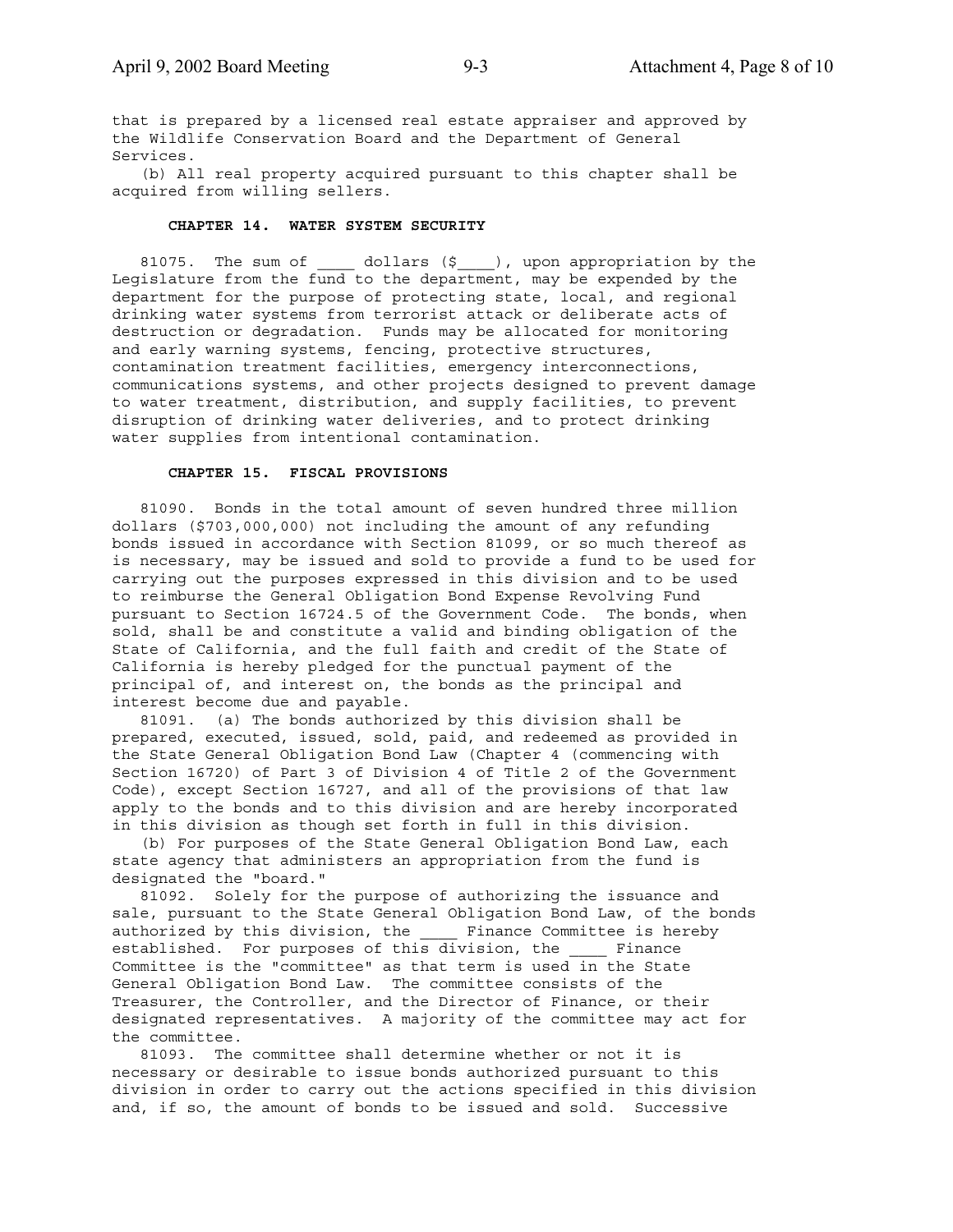that is prepared by a licensed real estate appraiser and approved by the Wildlife Conservation Board and the Department of General Services.

 (b) All real property acquired pursuant to this chapter shall be acquired from willing sellers.

### **CHAPTER 14. WATER SYSTEM SECURITY**

81075. The sum of  $_0$  dollars  $(\xi)$ , upon appropriation by the Legislature from the fund to the department, may be expended by the department for the purpose of protecting state, local, and regional drinking water systems from terrorist attack or deliberate acts of destruction or degradation. Funds may be allocated for monitoring and early warning systems, fencing, protective structures, contamination treatment facilities, emergency interconnections, communications systems, and other projects designed to prevent damage to water treatment, distribution, and supply facilities, to prevent disruption of drinking water deliveries, and to protect drinking water supplies from intentional contamination.

### **CHAPTER 15. FISCAL PROVISIONS**

 81090. Bonds in the total amount of seven hundred three million dollars (\$703,000,000) not including the amount of any refunding bonds issued in accordance with Section 81099, or so much thereof as is necessary, may be issued and sold to provide a fund to be used for carrying out the purposes expressed in this division and to be used to reimburse the General Obligation Bond Expense Revolving Fund pursuant to Section 16724.5 of the Government Code. The bonds, when sold, shall be and constitute a valid and binding obligation of the State of California, and the full faith and credit of the State of California is hereby pledged for the punctual payment of the principal of, and interest on, the bonds as the principal and interest become due and payable.

 81091. (a) The bonds authorized by this division shall be prepared, executed, issued, sold, paid, and redeemed as provided in the State General Obligation Bond Law (Chapter 4 (commencing with Section 16720) of Part 3 of Division 4 of Title 2 of the Government Code), except Section 16727, and all of the provisions of that law apply to the bonds and to this division and are hereby incorporated in this division as though set forth in full in this division.

 (b) For purposes of the State General Obligation Bond Law, each state agency that administers an appropriation from the fund is designated the "board."

 81092. Solely for the purpose of authorizing the issuance and sale, pursuant to the State General Obligation Bond Law, of the bonds authorized by this division, the \_\_\_\_ Finance Committee is hereby established. For purposes of this division, the Finance Committee is the "committee" as that term is used in the State General Obligation Bond Law. The committee consists of the Treasurer, the Controller, and the Director of Finance, or their designated representatives. A majority of the committee may act for the committee.

 81093. The committee shall determine whether or not it is necessary or desirable to issue bonds authorized pursuant to this division in order to carry out the actions specified in this division and, if so, the amount of bonds to be issued and sold. Successive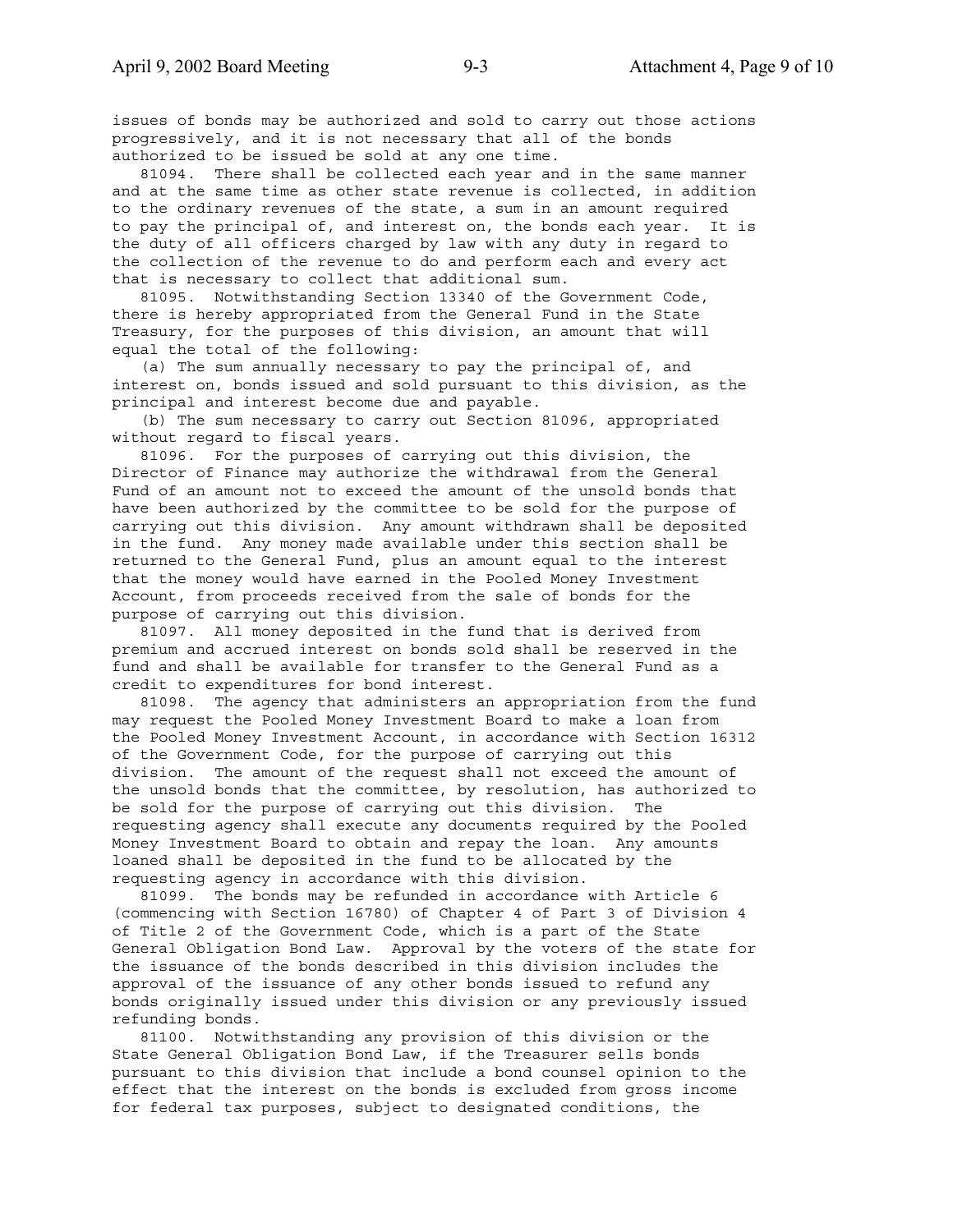issues of bonds may be authorized and sold to carry out those actions progressively, and it is not necessary that all of the bonds authorized to be issued be sold at any one time.

 81094. There shall be collected each year and in the same manner and at the same time as other state revenue is collected, in addition to the ordinary revenues of the state, a sum in an amount required to pay the principal of, and interest on, the bonds each year. It is the duty of all officers charged by law with any duty in regard to the collection of the revenue to do and perform each and every act that is necessary to collect that additional sum.

 81095. Notwithstanding Section 13340 of the Government Code, there is hereby appropriated from the General Fund in the State Treasury, for the purposes of this division, an amount that will equal the total of the following:

 (a) The sum annually necessary to pay the principal of, and interest on, bonds issued and sold pursuant to this division, as the principal and interest become due and payable.

 (b) The sum necessary to carry out Section 81096, appropriated without regard to fiscal years.

 81096. For the purposes of carrying out this division, the Director of Finance may authorize the withdrawal from the General Fund of an amount not to exceed the amount of the unsold bonds that have been authorized by the committee to be sold for the purpose of carrying out this division. Any amount withdrawn shall be deposited in the fund. Any money made available under this section shall be returned to the General Fund, plus an amount equal to the interest that the money would have earned in the Pooled Money Investment Account, from proceeds received from the sale of bonds for the purpose of carrying out this division.

 81097. All money deposited in the fund that is derived from premium and accrued interest on bonds sold shall be reserved in the fund and shall be available for transfer to the General Fund as a credit to expenditures for bond interest.

 81098. The agency that administers an appropriation from the fund may request the Pooled Money Investment Board to make a loan from the Pooled Money Investment Account, in accordance with Section 16312 of the Government Code, for the purpose of carrying out this division. The amount of the request shall not exceed the amount of the unsold bonds that the committee, by resolution, has authorized to be sold for the purpose of carrying out this division. The requesting agency shall execute any documents required by the Pooled Money Investment Board to obtain and repay the loan. Any amounts loaned shall be deposited in the fund to be allocated by the requesting agency in accordance with this division.

 81099. The bonds may be refunded in accordance with Article 6 (commencing with Section 16780) of Chapter 4 of Part 3 of Division 4 of Title 2 of the Government Code, which is a part of the State General Obligation Bond Law. Approval by the voters of the state for the issuance of the bonds described in this division includes the approval of the issuance of any other bonds issued to refund any bonds originally issued under this division or any previously issued refunding bonds.

 81100. Notwithstanding any provision of this division or the State General Obligation Bond Law, if the Treasurer sells bonds pursuant to this division that include a bond counsel opinion to the effect that the interest on the bonds is excluded from gross income for federal tax purposes, subject to designated conditions, the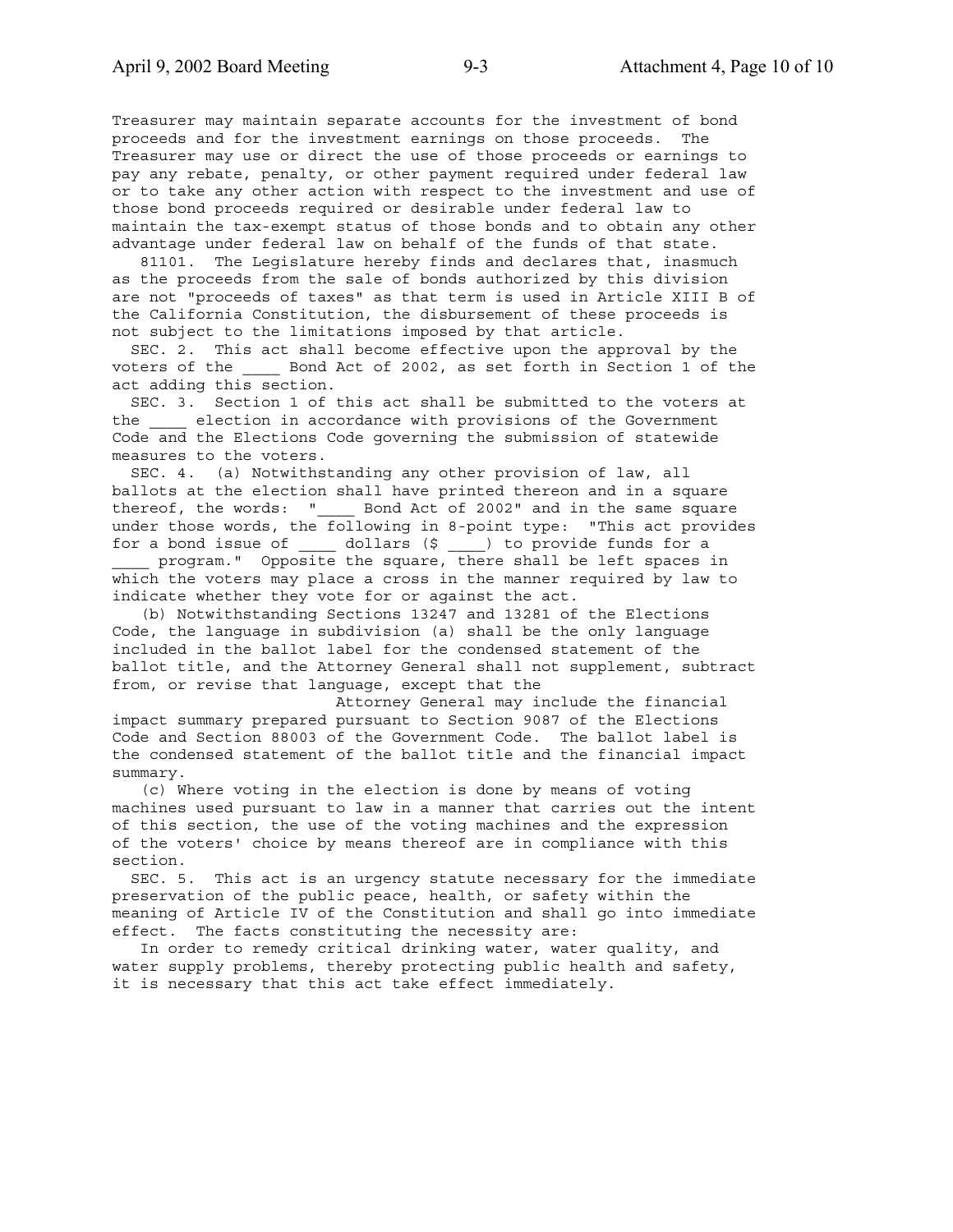Treasurer may maintain separate accounts for the investment of bond proceeds and for the investment earnings on those proceeds. The Treasurer may use or direct the use of those proceeds or earnings to pay any rebate, penalty, or other payment required under federal law or to take any other action with respect to the investment and use of those bond proceeds required or desirable under federal law to maintain the tax-exempt status of those bonds and to obtain any other advantage under federal law on behalf of the funds of that state.

 81101. The Legislature hereby finds and declares that, inasmuch as the proceeds from the sale of bonds authorized by this division are not "proceeds of taxes" as that term is used in Article XIII B of the California Constitution, the disbursement of these proceeds is not subject to the limitations imposed by that article.

 SEC. 2. This act shall become effective upon the approval by the voters of the \_\_\_\_ Bond Act of 2002, as set forth in Section 1 of the act adding this section.

 SEC. 3. Section 1 of this act shall be submitted to the voters at the \_\_\_\_ election in accordance with provisions of the Government Code and the Elections Code governing the submission of statewide measures to the voters.

 SEC. 4. (a) Notwithstanding any other provision of law, all ballots at the election shall have printed thereon and in a square thereof, the words: " Bond Act of 2002" and in the same square under those words, the following in 8-point type: "This act provides for a bond issue of \_\_\_\_ dollars (\$ \_\_\_\_) to provide funds for a program." Opposite the square, there shall be left spaces in which the voters may place a cross in the manner required by law to indicate whether they vote for or against the act.

 (b) Notwithstanding Sections 13247 and 13281 of the Elections Code, the language in subdivision (a) shall be the only language included in the ballot label for the condensed statement of the ballot title, and the Attorney General shall not supplement, subtract from, or revise that language, except that the

 Attorney General may include the financial impact summary prepared pursuant to Section 9087 of the Elections Code and Section 88003 of the Government Code. The ballot label is the condensed statement of the ballot title and the financial impact summary.

 (c) Where voting in the election is done by means of voting machines used pursuant to law in a manner that carries out the intent of this section, the use of the voting machines and the expression of the voters' choice by means thereof are in compliance with this section.

 SEC. 5. This act is an urgency statute necessary for the immediate preservation of the public peace, health, or safety within the meaning of Article IV of the Constitution and shall go into immediate effect. The facts constituting the necessity are:

 In order to remedy critical drinking water, water quality, and water supply problems, thereby protecting public health and safety, it is necessary that this act take effect immediately.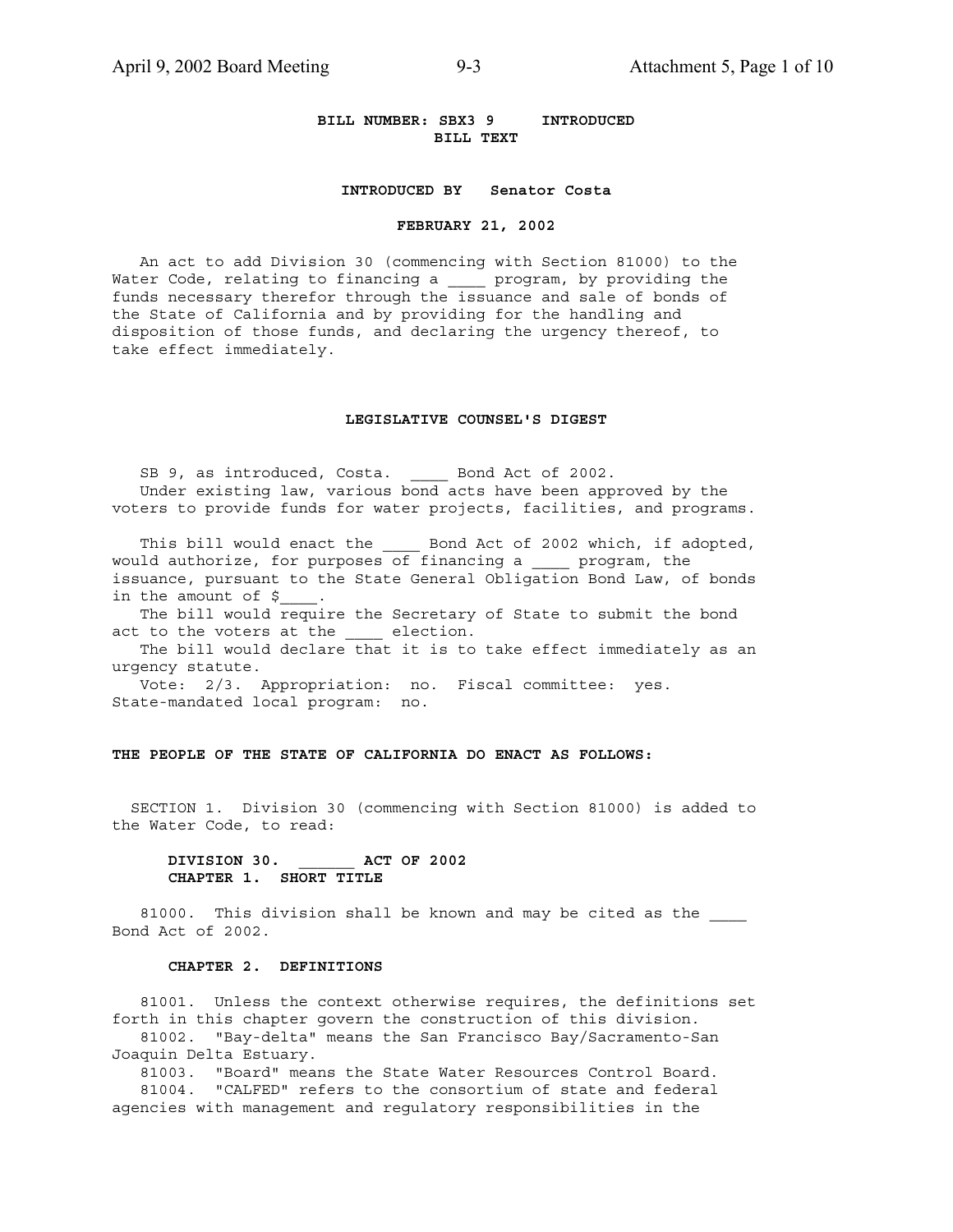### **BILL NUMBER: SBX3 9 INTRODUCED BILL TEXT**

### **INTRODUCED BY Senator Costa**

#### **FEBRUARY 21, 2002**

 An act to add Division 30 (commencing with Section 81000) to the Water Code, relating to financing a \_\_\_\_ program, by providing the funds necessary therefor through the issuance and sale of bonds of the State of California and by providing for the handling and disposition of those funds, and declaring the urgency thereof, to take effect immediately.

### **LEGISLATIVE COUNSEL'S DIGEST**

SB 9, as introduced, Costa. Bond Act of 2002. Under existing law, various bond acts have been approved by the voters to provide funds for water projects, facilities, and programs.

This bill would enact the \_\_\_\_\_ Bond Act of 2002 which, if adopted, would authorize, for purposes of financing a \_\_\_\_ program, the issuance, pursuant to the State General Obligation Bond Law, of bonds in the amount of \$

 The bill would require the Secretary of State to submit the bond act to the voters at the \_\_\_\_ election.

 The bill would declare that it is to take effect immediately as an urgency statute.

 Vote: 2/3. Appropriation: no. Fiscal committee: yes. State-mandated local program: no.

### **THE PEOPLE OF THE STATE OF CALIFORNIA DO ENACT AS FOLLOWS:**

 SECTION 1. Division 30 (commencing with Section 81000) is added to the Water Code, to read:

### **DIVISION 30. \_\_\_\_\_\_ ACT OF 2002 CHAPTER 1. SHORT TITLE**

81000. This division shall be known and may be cited as the Bond Act of 2002.

### **CHAPTER 2. DEFINITIONS**

 81001. Unless the context otherwise requires, the definitions set forth in this chapter govern the construction of this division. 81002. "Bay-delta" means the San Francisco Bay/Sacramento-San Joaquin Delta Estuary.

 81003. "Board" means the State Water Resources Control Board. 81004. "CALFED" refers to the consortium of state and federal

agencies with management and regulatory responsibilities in the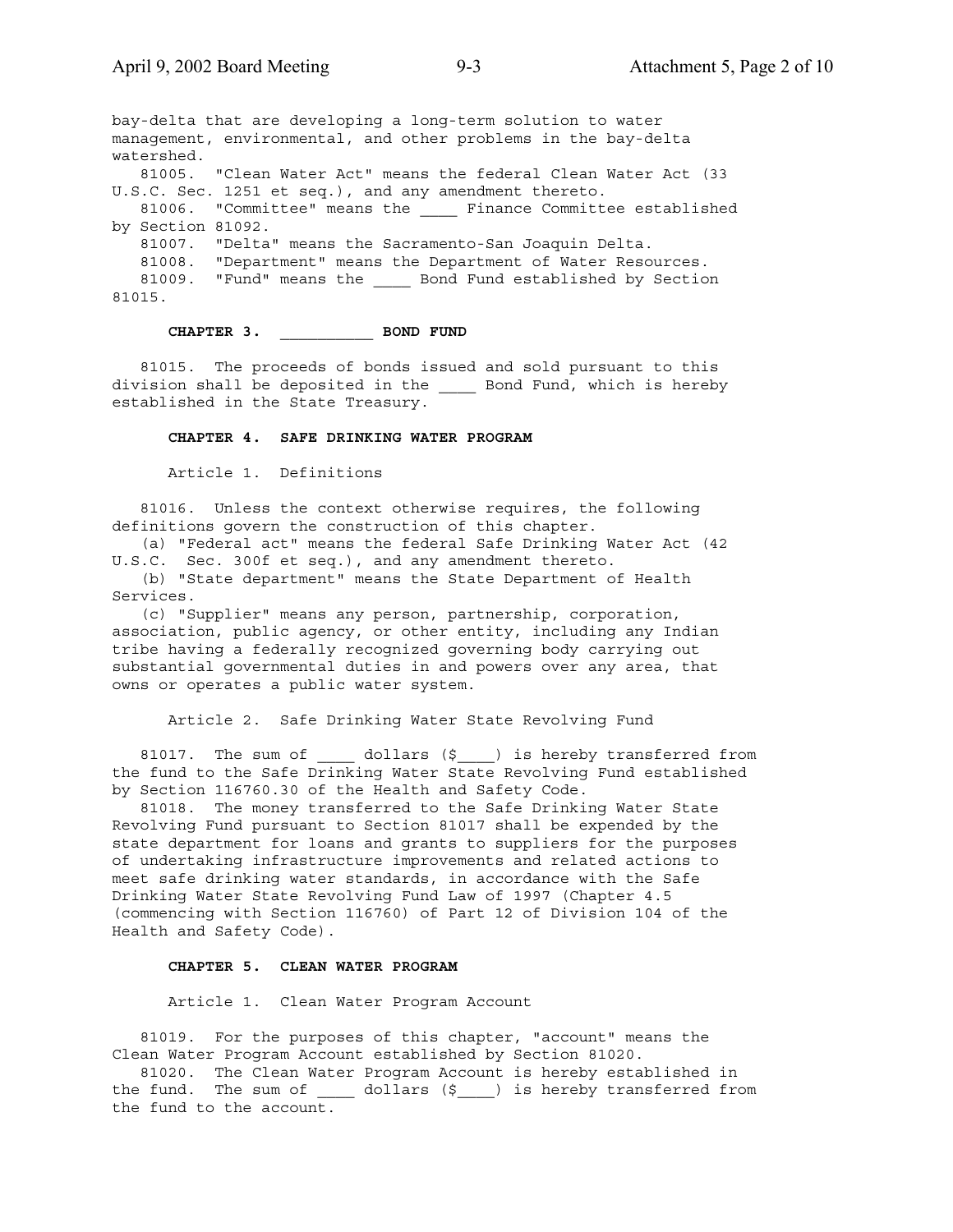bay-delta that are developing a long-term solution to water management, environmental, and other problems in the bay-delta watershed. 81005. "Clean Water Act" means the federal Clean Water Act (33 U.S.C. Sec. 1251 et seq.), and any amendment thereto. 81006. "Committee" means the \_\_\_\_ Finance Committee established by Section 81092. 81007. "Delta" means the Sacramento-San Joaquin Delta. 81008. "Department" means the Department of Water Resources. 81009. "Fund" means the \_\_\_\_\_ Bond Fund established by Section 81015.

# **CHAPTER 3. \_\_\_\_\_\_\_\_\_\_ BOND FUND**

 81015. The proceeds of bonds issued and sold pursuant to this division shall be deposited in the \_\_\_\_ Bond Fund, which is hereby established in the State Treasury.

### **CHAPTER 4. SAFE DRINKING WATER PROGRAM**

Article 1. Definitions

 81016. Unless the context otherwise requires, the following definitions govern the construction of this chapter.

 (a) "Federal act" means the federal Safe Drinking Water Act (42 U.S.C. Sec. 300f et seq.), and any amendment thereto.

 (b) "State department" means the State Department of Health Services.

 (c) "Supplier" means any person, partnership, corporation, association, public agency, or other entity, including any Indian tribe having a federally recognized governing body carrying out substantial governmental duties in and powers over any area, that owns or operates a public water system.

### Article 2. Safe Drinking Water State Revolving Fund

81017. The sum of \_\_\_\_\_ dollars (\$\_\_\_) is hereby transferred from the fund to the Safe Drinking Water State Revolving Fund established by Section 116760.30 of the Health and Safety Code.

 81018. The money transferred to the Safe Drinking Water State Revolving Fund pursuant to Section 81017 shall be expended by the state department for loans and grants to suppliers for the purposes of undertaking infrastructure improvements and related actions to meet safe drinking water standards, in accordance with the Safe Drinking Water State Revolving Fund Law of 1997 (Chapter 4.5 (commencing with Section 116760) of Part 12 of Division 104 of the Health and Safety Code).

### **CHAPTER 5. CLEAN WATER PROGRAM**

Article 1. Clean Water Program Account

 81019. For the purposes of this chapter, "account" means the Clean Water Program Account established by Section 81020.

 81020. The Clean Water Program Account is hereby established in the fund. The sum of \_\_\_\_\_ dollars (\$\_\_\_\_) is hereby transferred from the fund to the account.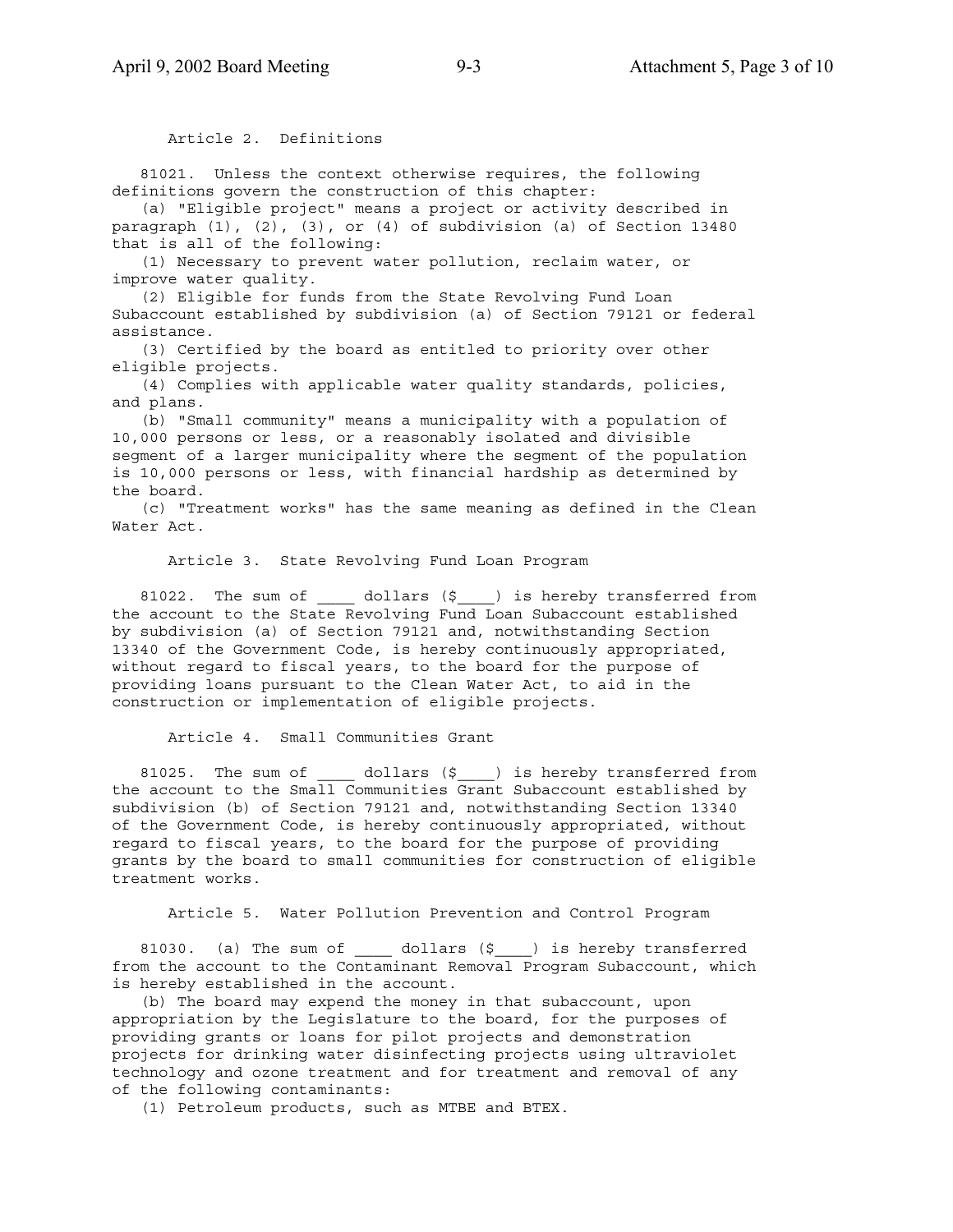Article 2. Definitions

 81021. Unless the context otherwise requires, the following definitions govern the construction of this chapter:

 (a) "Eligible project" means a project or activity described in paragraph (1), (2), (3), or (4) of subdivision (a) of Section 13480 that is all of the following:

 (1) Necessary to prevent water pollution, reclaim water, or improve water quality.

 (2) Eligible for funds from the State Revolving Fund Loan Subaccount established by subdivision (a) of Section 79121 or federal assistance.

 (3) Certified by the board as entitled to priority over other eligible projects.

 (4) Complies with applicable water quality standards, policies, and plans.

 (b) "Small community" means a municipality with a population of 10,000 persons or less, or a reasonably isolated and divisible segment of a larger municipality where the segment of the population is 10,000 persons or less, with financial hardship as determined by the board.

 (c) "Treatment works" has the same meaning as defined in the Clean Water Act.

Article 3. State Revolving Fund Loan Program

81022. The sum of  $\qquad$  dollars (\$) is hereby transferred from the account to the State Revolving Fund Loan Subaccount established by subdivision (a) of Section 79121 and, notwithstanding Section 13340 of the Government Code, is hereby continuously appropriated, without regard to fiscal years, to the board for the purpose of providing loans pursuant to the Clean Water Act, to aid in the construction or implementation of eligible projects.

Article 4. Small Communities Grant

81025. The sum of \_\_\_\_\_ dollars (\$\_\_\_\_) is hereby transferred from the account to the Small Communities Grant Subaccount established by subdivision (b) of Section 79121 and, notwithstanding Section 13340 of the Government Code, is hereby continuously appropriated, without regard to fiscal years, to the board for the purpose of providing grants by the board to small communities for construction of eligible treatment works.

Article 5. Water Pollution Prevention and Control Program

81030. (a) The sum of  $\qquad$  dollars (\$ ) is hereby transferred from the account to the Contaminant Removal Program Subaccount, which is hereby established in the account.

 (b) The board may expend the money in that subaccount, upon appropriation by the Legislature to the board, for the purposes of providing grants or loans for pilot projects and demonstration projects for drinking water disinfecting projects using ultraviolet technology and ozone treatment and for treatment and removal of any of the following contaminants:

(1) Petroleum products, such as MTBE and BTEX.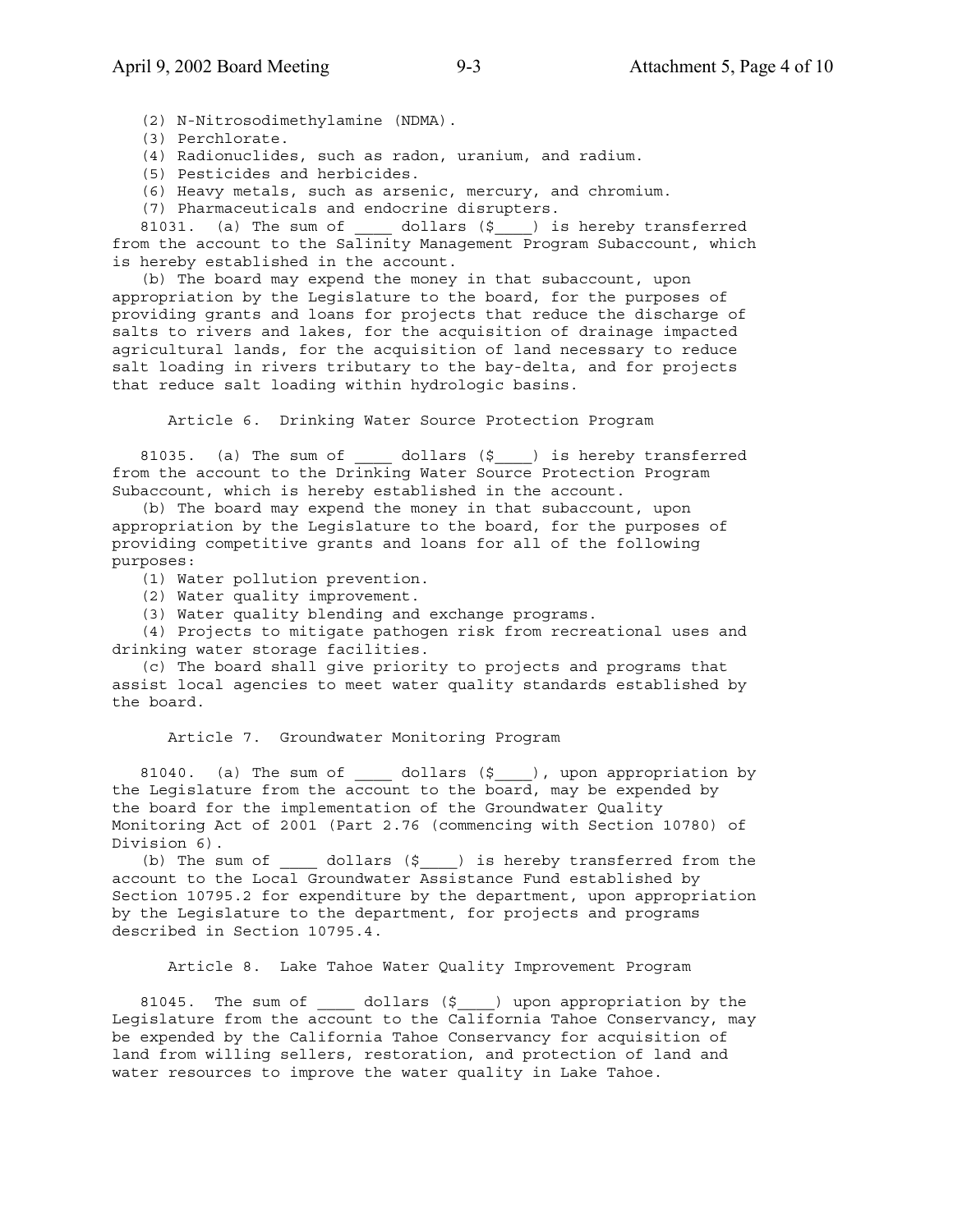(2) N-Nitrosodimethylamine (NDMA).

(3) Perchlorate.

(4) Radionuclides, such as radon, uranium, and radium.

(5) Pesticides and herbicides.

(6) Heavy metals, such as arsenic, mercury, and chromium.

(7) Pharmaceuticals and endocrine disrupters.

81031. (a) The sum of  $\qquad$  dollars (\$ ) is hereby transferred from the account to the Salinity Management Program Subaccount, which is hereby established in the account.

 (b) The board may expend the money in that subaccount, upon appropriation by the Legislature to the board, for the purposes of providing grants and loans for projects that reduce the discharge of salts to rivers and lakes, for the acquisition of drainage impacted agricultural lands, for the acquisition of land necessary to reduce salt loading in rivers tributary to the bay-delta, and for projects that reduce salt loading within hydrologic basins.

Article 6. Drinking Water Source Protection Program

81035. (a) The sum of  $\qquad$  dollars (\$) is hereby transferred from the account to the Drinking Water Source Protection Program Subaccount, which is hereby established in the account.

 (b) The board may expend the money in that subaccount, upon appropriation by the Legislature to the board, for the purposes of providing competitive grants and loans for all of the following purposes:

(1) Water pollution prevention.

(2) Water quality improvement.

(3) Water quality blending and exchange programs.

 (4) Projects to mitigate pathogen risk from recreational uses and drinking water storage facilities.

 (c) The board shall give priority to projects and programs that assist local agencies to meet water quality standards established by the board.

Article 7. Groundwater Monitoring Program

81040. (a) The sum of \_\_\_\_\_ dollars (\$\_\_\_\_), upon appropriation by the Legislature from the account to the board, may be expended by the board for the implementation of the Groundwater Quality Monitoring Act of 2001 (Part 2.76 (commencing with Section 10780) of Division 6).

(b) The sum of  $\_\_$  dollars  $(\xi \_\_)$  is hereby transferred from the account to the Local Groundwater Assistance Fund established by Section 10795.2 for expenditure by the department, upon appropriation by the Legislature to the department, for projects and programs described in Section 10795.4.

Article 8. Lake Tahoe Water Quality Improvement Program

81045. The sum of \_\_\_\_\_ dollars (\$\_\_\_\_) upon appropriation by the Legislature from the account to the California Tahoe Conservancy, may be expended by the California Tahoe Conservancy for acquisition of land from willing sellers, restoration, and protection of land and water resources to improve the water quality in Lake Tahoe.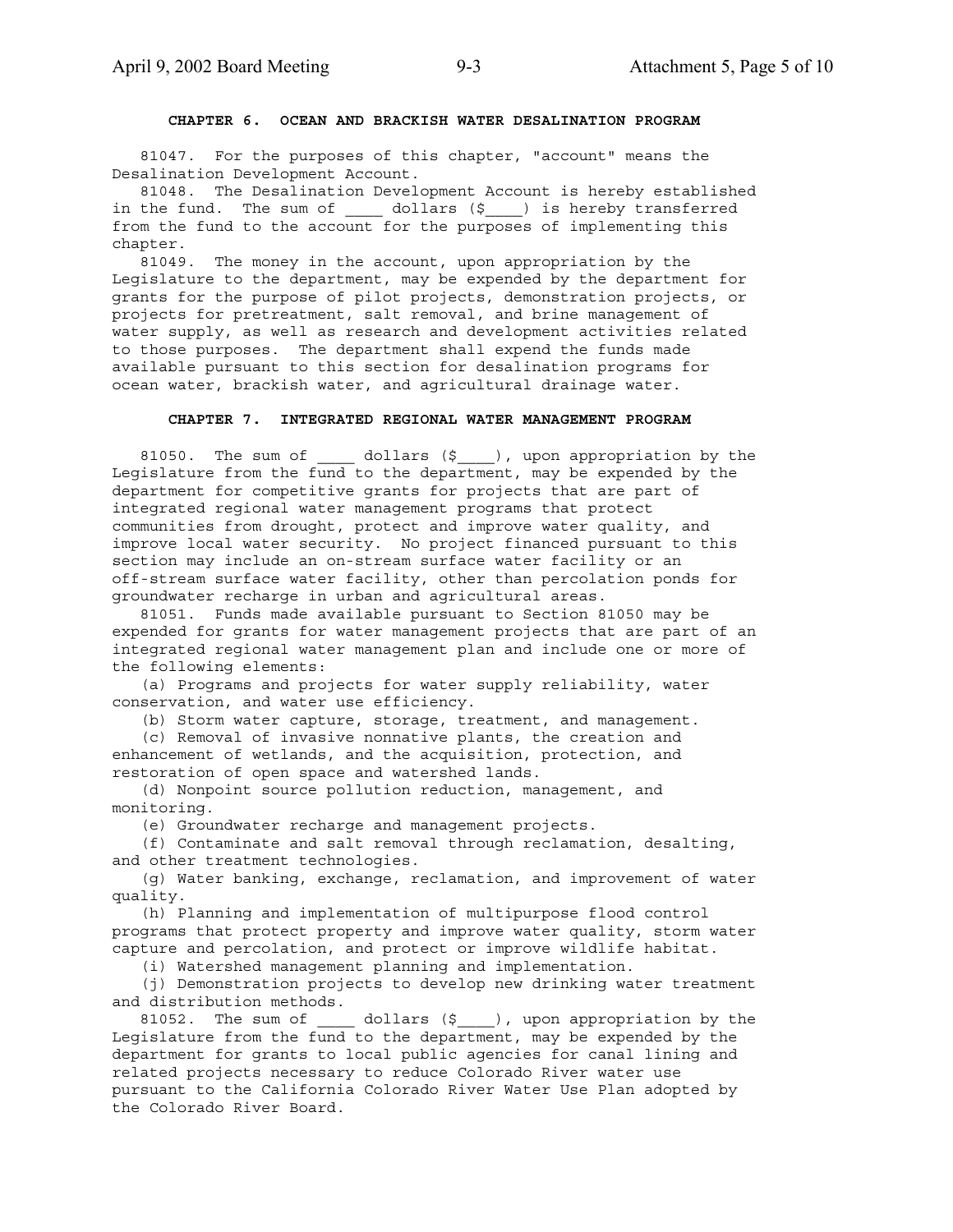### **CHAPTER 6. OCEAN AND BRACKISH WATER DESALINATION PROGRAM**

 81047. For the purposes of this chapter, "account" means the Desalination Development Account.

 81048. The Desalination Development Account is hereby established in the fund. The sum of \_\_\_\_\_ dollars (\$\_\_\_) is hereby transferred from the fund to the account for the purposes of implementing this chapter.

 81049. The money in the account, upon appropriation by the Legislature to the department, may be expended by the department for grants for the purpose of pilot projects, demonstration projects, or projects for pretreatment, salt removal, and brine management of water supply, as well as research and development activities related to those purposes. The department shall expend the funds made available pursuant to this section for desalination programs for ocean water, brackish water, and agricultural drainage water.

### **CHAPTER 7. INTEGRATED REGIONAL WATER MANAGEMENT PROGRAM**

81050. The sum of  $\qquad$  dollars (\$), upon appropriation by the Legislature from the fund to the department, may be expended by the department for competitive grants for projects that are part of integrated regional water management programs that protect communities from drought, protect and improve water quality, and improve local water security. No project financed pursuant to this section may include an on-stream surface water facility or an off-stream surface water facility, other than percolation ponds for groundwater recharge in urban and agricultural areas.

 81051. Funds made available pursuant to Section 81050 may be expended for grants for water management projects that are part of an integrated regional water management plan and include one or more of the following elements:

 (a) Programs and projects for water supply reliability, water conservation, and water use efficiency.

(b) Storm water capture, storage, treatment, and management.

 (c) Removal of invasive nonnative plants, the creation and enhancement of wetlands, and the acquisition, protection, and restoration of open space and watershed lands.

 (d) Nonpoint source pollution reduction, management, and monitoring.

(e) Groundwater recharge and management projects.

 (f) Contaminate and salt removal through reclamation, desalting, and other treatment technologies.

 (g) Water banking, exchange, reclamation, and improvement of water quality.

 (h) Planning and implementation of multipurpose flood control programs that protect property and improve water quality, storm water capture and percolation, and protect or improve wildlife habitat.

(i) Watershed management planning and implementation.

 (j) Demonstration projects to develop new drinking water treatment and distribution methods.

81052. The sum of  $\qquad$  dollars (\$), upon appropriation by the Legislature from the fund to the department, may be expended by the department for grants to local public agencies for canal lining and related projects necessary to reduce Colorado River water use pursuant to the California Colorado River Water Use Plan adopted by the Colorado River Board.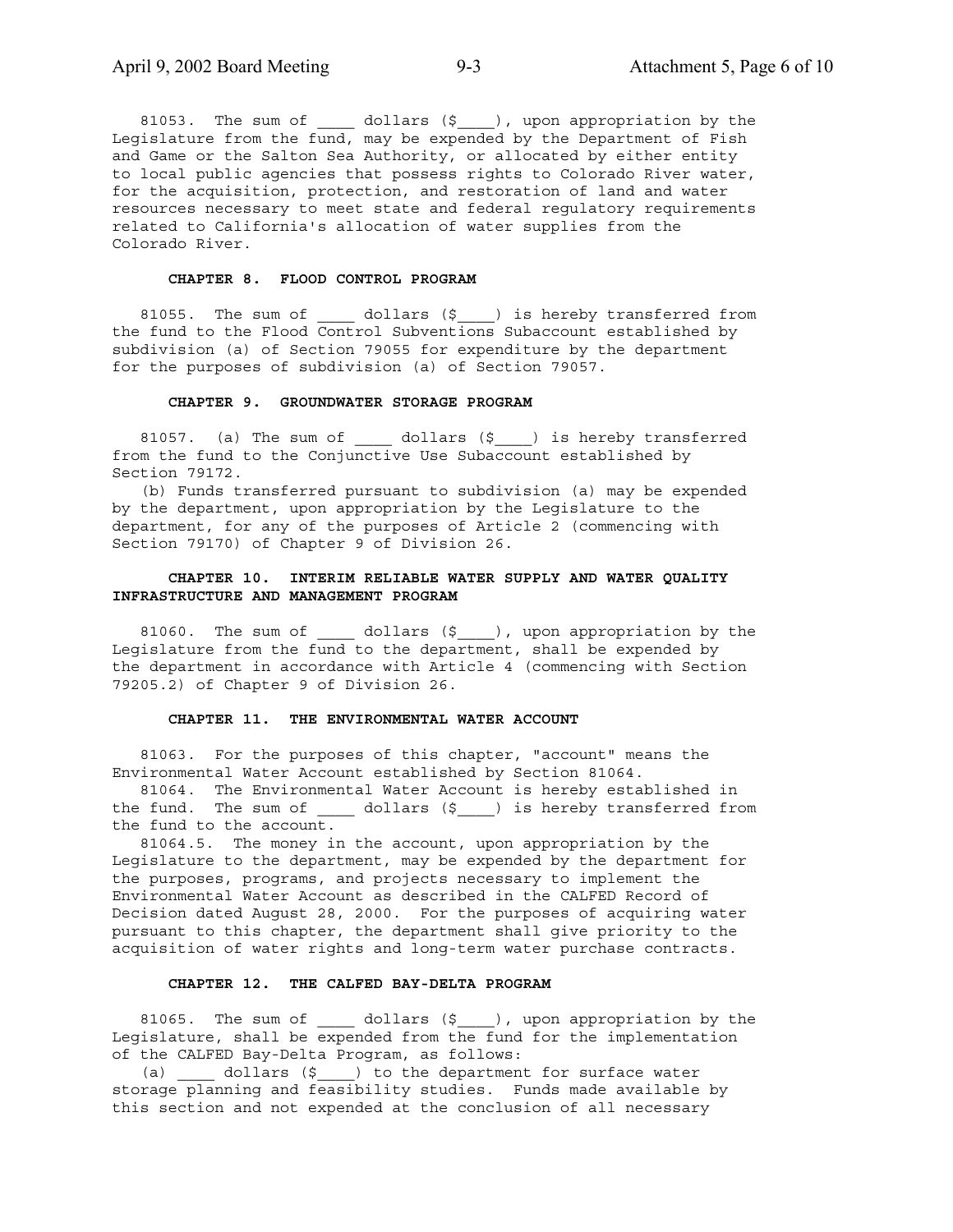81053. The sum of \_\_\_\_\_ dollars (\$\_\_\_\_), upon appropriation by the Legislature from the fund, may be expended by the Department of Fish and Game or the Salton Sea Authority, or allocated by either entity to local public agencies that possess rights to Colorado River water, for the acquisition, protection, and restoration of land and water resources necessary to meet state and federal regulatory requirements related to California's allocation of water supplies from the Colorado River.

### **CHAPTER 8. FLOOD CONTROL PROGRAM**

81055. The sum of  $\qquad$  dollars (\$  $\qquad$  ) is hereby transferred from the fund to the Flood Control Subventions Subaccount established by subdivision (a) of Section 79055 for expenditure by the department for the purposes of subdivision (a) of Section 79057.

### **CHAPTER 9. GROUNDWATER STORAGE PROGRAM**

81057. (a) The sum of  $\qquad$  dollars (\$<sub>\_\_\_\_</sub>) is hereby transferred from the fund to the Conjunctive Use Subaccount established by Section 79172.

 (b) Funds transferred pursuant to subdivision (a) may be expended by the department, upon appropriation by the Legislature to the department, for any of the purposes of Article 2 (commencing with Section 79170) of Chapter 9 of Division 26.

### **CHAPTER 10. INTERIM RELIABLE WATER SUPPLY AND WATER QUALITY INFRASTRUCTURE AND MANAGEMENT PROGRAM**

 81060. The sum of \_\_\_\_ dollars (\$\_\_\_\_), upon appropriation by the Legislature from the fund to the department, shall be expended by the department in accordance with Article 4 (commencing with Section 79205.2) of Chapter 9 of Division 26.

### **CHAPTER 11. THE ENVIRONMENTAL WATER ACCOUNT**

 81063. For the purposes of this chapter, "account" means the Environmental Water Account established by Section 81064.

 81064. The Environmental Water Account is hereby established in the fund. The sum of \_\_\_\_\_ dollars (\$\_\_\_\_) is hereby transferred from the fund to the account.

 81064.5. The money in the account, upon appropriation by the Legislature to the department, may be expended by the department for the purposes, programs, and projects necessary to implement the Environmental Water Account as described in the CALFED Record of Decision dated August 28, 2000. For the purposes of acquiring water pursuant to this chapter, the department shall give priority to the acquisition of water rights and long-term water purchase contracts.

### **CHAPTER 12. THE CALFED BAY-DELTA PROGRAM**

81065. The sum of \_\_\_\_\_ dollars (\$\_\_\_\_), upon appropriation by the Legislature, shall be expended from the fund for the implementation of the CALFED Bay-Delta Program, as follows:

(a) \_\_\_\_ dollars (\$\_\_\_) to the department for surface water storage planning and feasibility studies. Funds made available by this section and not expended at the conclusion of all necessary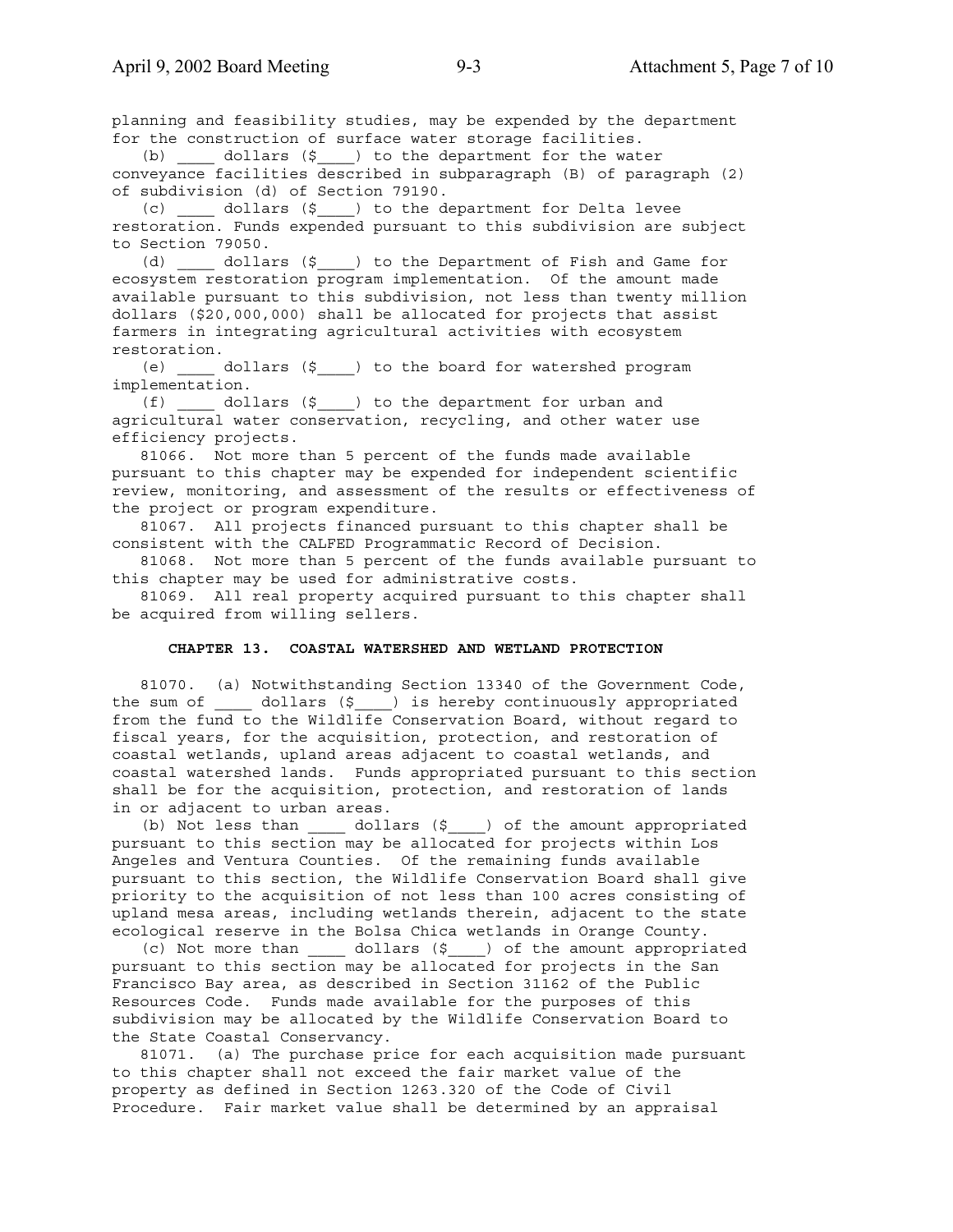planning and feasibility studies, may be expended by the department for the construction of surface water storage facilities.

 (b) \_\_\_\_ dollars (\$\_\_\_\_) to the department for the water conveyance facilities described in subparagraph (B) of paragraph (2) of subdivision (d) of Section 79190.

 (c) \_\_\_\_ dollars (\$\_\_\_\_) to the department for Delta levee restoration. Funds expended pursuant to this subdivision are subject to Section 79050.

 (d) \_\_\_\_ dollars (\$\_\_\_\_) to the Department of Fish and Game for ecosystem restoration program implementation. Of the amount made available pursuant to this subdivision, not less than twenty million dollars (\$20,000,000) shall be allocated for projects that assist farmers in integrating agricultural activities with ecosystem restoration.

 (e) \_\_\_\_ dollars (\$\_\_\_\_) to the board for watershed program implementation.

 (f) \_\_\_\_ dollars (\$\_\_\_\_) to the department for urban and agricultural water conservation, recycling, and other water use efficiency projects.

 81066. Not more than 5 percent of the funds made available pursuant to this chapter may be expended for independent scientific review, monitoring, and assessment of the results or effectiveness of the project or program expenditure.

 81067. All projects financed pursuant to this chapter shall be consistent with the CALFED Programmatic Record of Decision.

 81068. Not more than 5 percent of the funds available pursuant to this chapter may be used for administrative costs.

 81069. All real property acquired pursuant to this chapter shall be acquired from willing sellers.

### **CHAPTER 13. COASTAL WATERSHED AND WETLAND PROTECTION**

 81070. (a) Notwithstanding Section 13340 of the Government Code, the sum of \_\_\_\_\_ dollars (\$\_\_\_\_) is hereby continuously appropriated from the fund to the Wildlife Conservation Board, without regard to fiscal years, for the acquisition, protection, and restoration of coastal wetlands, upland areas adjacent to coastal wetlands, and coastal watershed lands. Funds appropriated pursuant to this section shall be for the acquisition, protection, and restoration of lands in or adjacent to urban areas.

 (b) Not less than \_\_\_\_ dollars (\$\_\_\_\_) of the amount appropriated pursuant to this section may be allocated for projects within Los Angeles and Ventura Counties. Of the remaining funds available pursuant to this section, the Wildlife Conservation Board shall give priority to the acquisition of not less than 100 acres consisting of upland mesa areas, including wetlands therein, adjacent to the state ecological reserve in the Bolsa Chica wetlands in Orange County.

 (c) Not more than \_\_\_\_ dollars (\$\_\_\_\_) of the amount appropriated pursuant to this section may be allocated for projects in the San Francisco Bay area, as described in Section 31162 of the Public Resources Code. Funds made available for the purposes of this subdivision may be allocated by the Wildlife Conservation Board to the State Coastal Conservancy.

 81071. (a) The purchase price for each acquisition made pursuant to this chapter shall not exceed the fair market value of the property as defined in Section 1263.320 of the Code of Civil Procedure. Fair market value shall be determined by an appraisal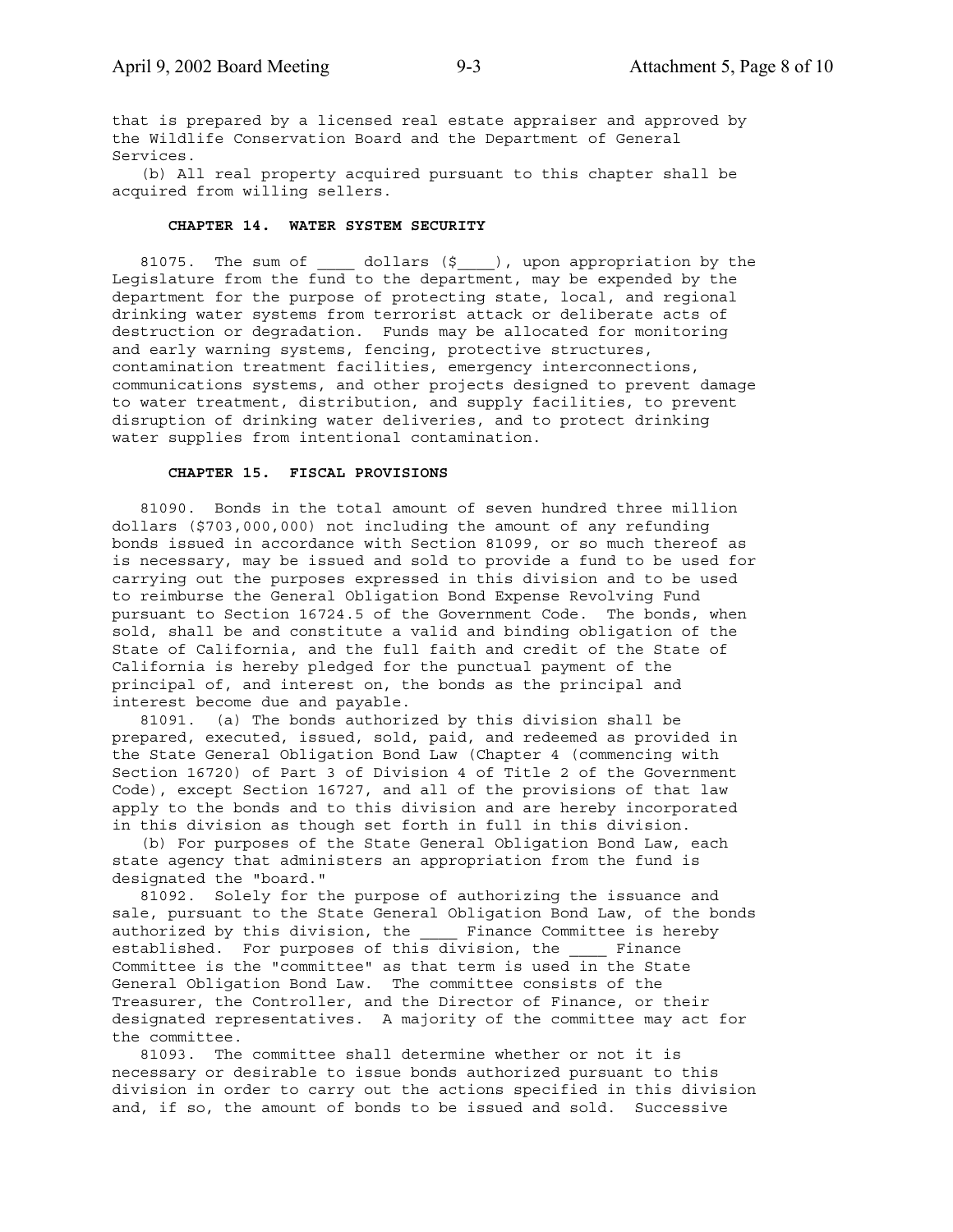that is prepared by a licensed real estate appraiser and approved by the Wildlife Conservation Board and the Department of General Services.

 (b) All real property acquired pursuant to this chapter shall be acquired from willing sellers.

### **CHAPTER 14. WATER SYSTEM SECURITY**

81075. The sum of  $_0$  dollars  $(\xi)$ , upon appropriation by the Legislature from the fund to the department, may be expended by the department for the purpose of protecting state, local, and regional drinking water systems from terrorist attack or deliberate acts of destruction or degradation. Funds may be allocated for monitoring and early warning systems, fencing, protective structures, contamination treatment facilities, emergency interconnections, communications systems, and other projects designed to prevent damage to water treatment, distribution, and supply facilities, to prevent disruption of drinking water deliveries, and to protect drinking water supplies from intentional contamination.

### **CHAPTER 15. FISCAL PROVISIONS**

 81090. Bonds in the total amount of seven hundred three million dollars (\$703,000,000) not including the amount of any refunding bonds issued in accordance with Section 81099, or so much thereof as is necessary, may be issued and sold to provide a fund to be used for carrying out the purposes expressed in this division and to be used to reimburse the General Obligation Bond Expense Revolving Fund pursuant to Section 16724.5 of the Government Code. The bonds, when sold, shall be and constitute a valid and binding obligation of the State of California, and the full faith and credit of the State of California is hereby pledged for the punctual payment of the principal of, and interest on, the bonds as the principal and interest become due and payable.

 81091. (a) The bonds authorized by this division shall be prepared, executed, issued, sold, paid, and redeemed as provided in the State General Obligation Bond Law (Chapter 4 (commencing with Section 16720) of Part 3 of Division 4 of Title 2 of the Government Code), except Section 16727, and all of the provisions of that law apply to the bonds and to this division and are hereby incorporated in this division as though set forth in full in this division.

 (b) For purposes of the State General Obligation Bond Law, each state agency that administers an appropriation from the fund is designated the "board."

 81092. Solely for the purpose of authorizing the issuance and sale, pursuant to the State General Obligation Bond Law, of the bonds authorized by this division, the \_\_\_\_ Finance Committee is hereby established. For purposes of this division, the Finance Committee is the "committee" as that term is used in the State General Obligation Bond Law. The committee consists of the Treasurer, the Controller, and the Director of Finance, or their designated representatives. A majority of the committee may act for the committee.

 81093. The committee shall determine whether or not it is necessary or desirable to issue bonds authorized pursuant to this division in order to carry out the actions specified in this division and, if so, the amount of bonds to be issued and sold. Successive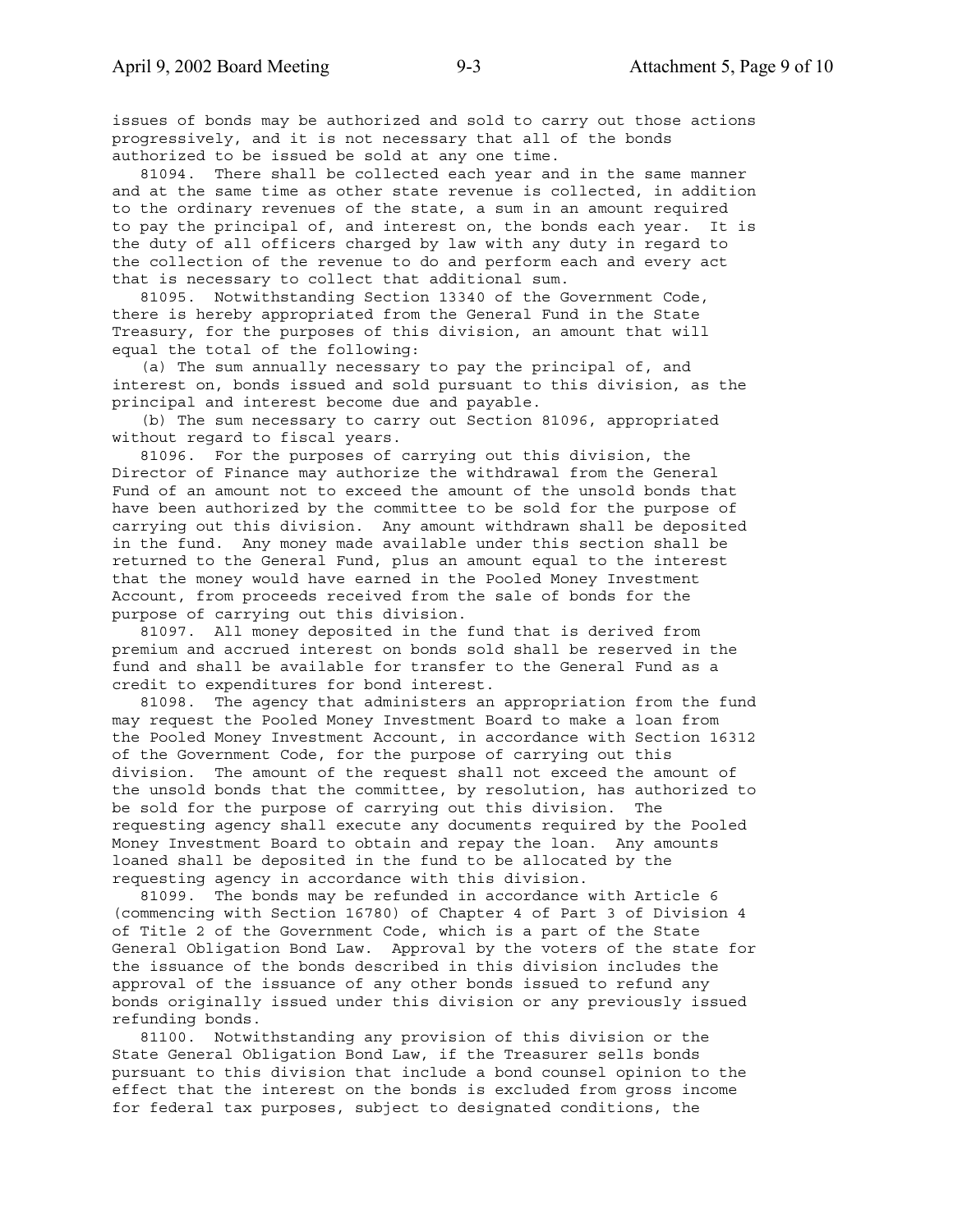issues of bonds may be authorized and sold to carry out those actions progressively, and it is not necessary that all of the bonds authorized to be issued be sold at any one time.

 81094. There shall be collected each year and in the same manner and at the same time as other state revenue is collected, in addition to the ordinary revenues of the state, a sum in an amount required to pay the principal of, and interest on, the bonds each year. It is the duty of all officers charged by law with any duty in regard to the collection of the revenue to do and perform each and every act that is necessary to collect that additional sum.

 81095. Notwithstanding Section 13340 of the Government Code, there is hereby appropriated from the General Fund in the State Treasury, for the purposes of this division, an amount that will equal the total of the following:

 (a) The sum annually necessary to pay the principal of, and interest on, bonds issued and sold pursuant to this division, as the principal and interest become due and payable.

 (b) The sum necessary to carry out Section 81096, appropriated without regard to fiscal years.

 81096. For the purposes of carrying out this division, the Director of Finance may authorize the withdrawal from the General Fund of an amount not to exceed the amount of the unsold bonds that have been authorized by the committee to be sold for the purpose of carrying out this division. Any amount withdrawn shall be deposited in the fund. Any money made available under this section shall be returned to the General Fund, plus an amount equal to the interest that the money would have earned in the Pooled Money Investment Account, from proceeds received from the sale of bonds for the purpose of carrying out this division.

 81097. All money deposited in the fund that is derived from premium and accrued interest on bonds sold shall be reserved in the fund and shall be available for transfer to the General Fund as a credit to expenditures for bond interest.

 81098. The agency that administers an appropriation from the fund may request the Pooled Money Investment Board to make a loan from the Pooled Money Investment Account, in accordance with Section 16312 of the Government Code, for the purpose of carrying out this division. The amount of the request shall not exceed the amount of the unsold bonds that the committee, by resolution, has authorized to be sold for the purpose of carrying out this division. The requesting agency shall execute any documents required by the Pooled Money Investment Board to obtain and repay the loan. Any amounts loaned shall be deposited in the fund to be allocated by the requesting agency in accordance with this division.

 81099. The bonds may be refunded in accordance with Article 6 (commencing with Section 16780) of Chapter 4 of Part 3 of Division 4 of Title 2 of the Government Code, which is a part of the State General Obligation Bond Law. Approval by the voters of the state for the issuance of the bonds described in this division includes the approval of the issuance of any other bonds issued to refund any bonds originally issued under this division or any previously issued refunding bonds.

 81100. Notwithstanding any provision of this division or the State General Obligation Bond Law, if the Treasurer sells bonds pursuant to this division that include a bond counsel opinion to the effect that the interest on the bonds is excluded from gross income for federal tax purposes, subject to designated conditions, the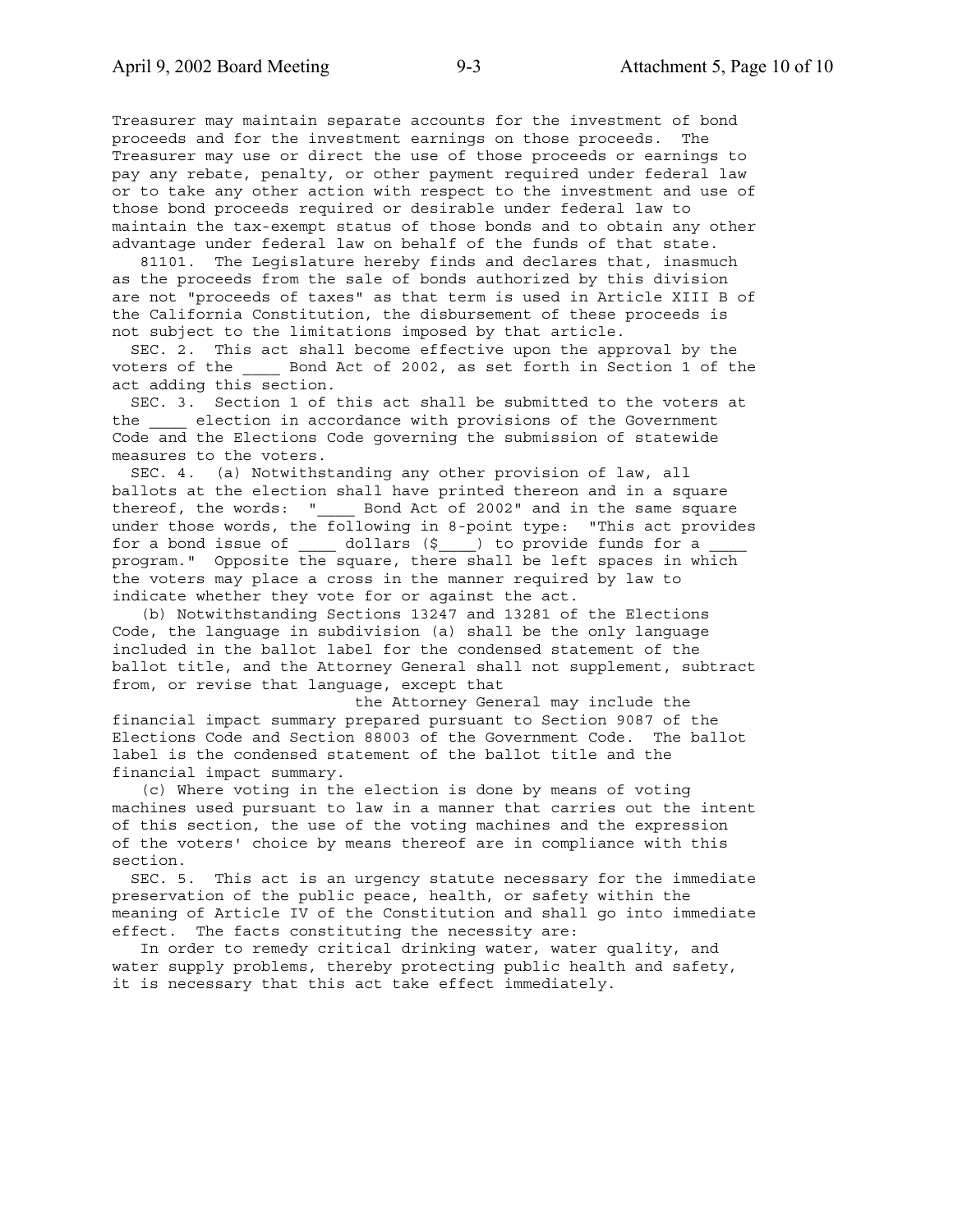Treasurer may maintain separate accounts for the investment of bond proceeds and for the investment earnings on those proceeds. The Treasurer may use or direct the use of those proceeds or earnings to pay any rebate, penalty, or other payment required under federal law or to take any other action with respect to the investment and use of those bond proceeds required or desirable under federal law to maintain the tax-exempt status of those bonds and to obtain any other advantage under federal law on behalf of the funds of that state.

 81101. The Legislature hereby finds and declares that, inasmuch as the proceeds from the sale of bonds authorized by this division are not "proceeds of taxes" as that term is used in Article XIII B of the California Constitution, the disbursement of these proceeds is not subject to the limitations imposed by that article.

 SEC. 2. This act shall become effective upon the approval by the voters of the \_\_\_\_ Bond Act of 2002, as set forth in Section 1 of the act adding this section.

 SEC. 3. Section 1 of this act shall be submitted to the voters at the \_\_\_\_ election in accordance with provisions of the Government Code and the Elections Code governing the submission of statewide measures to the voters.

 SEC. 4. (a) Notwithstanding any other provision of law, all ballots at the election shall have printed thereon and in a square thereof, the words: " Bond Act of 2002" and in the same square under those words, the following in 8-point type: "This act provides for a bond issue of  $\_\_\_$  dollars  $(\xi \_\_)$  to provide funds for a program." Opposite the square, there shall be left spaces in which the voters may place a cross in the manner required by law to indicate whether they vote for or against the act.

 (b) Notwithstanding Sections 13247 and 13281 of the Elections Code, the language in subdivision (a) shall be the only language included in the ballot label for the condensed statement of the ballot title, and the Attorney General shall not supplement, subtract from, or revise that language, except that

 the Attorney General may include the financial impact summary prepared pursuant to Section 9087 of the Elections Code and Section 88003 of the Government Code. The ballot label is the condensed statement of the ballot title and the financial impact summary.

 (c) Where voting in the election is done by means of voting machines used pursuant to law in a manner that carries out the intent of this section, the use of the voting machines and the expression of the voters' choice by means thereof are in compliance with this section.

 SEC. 5. This act is an urgency statute necessary for the immediate preservation of the public peace, health, or safety within the meaning of Article IV of the Constitution and shall go into immediate effect. The facts constituting the necessity are:

 In order to remedy critical drinking water, water quality, and water supply problems, thereby protecting public health and safety, it is necessary that this act take effect immediately.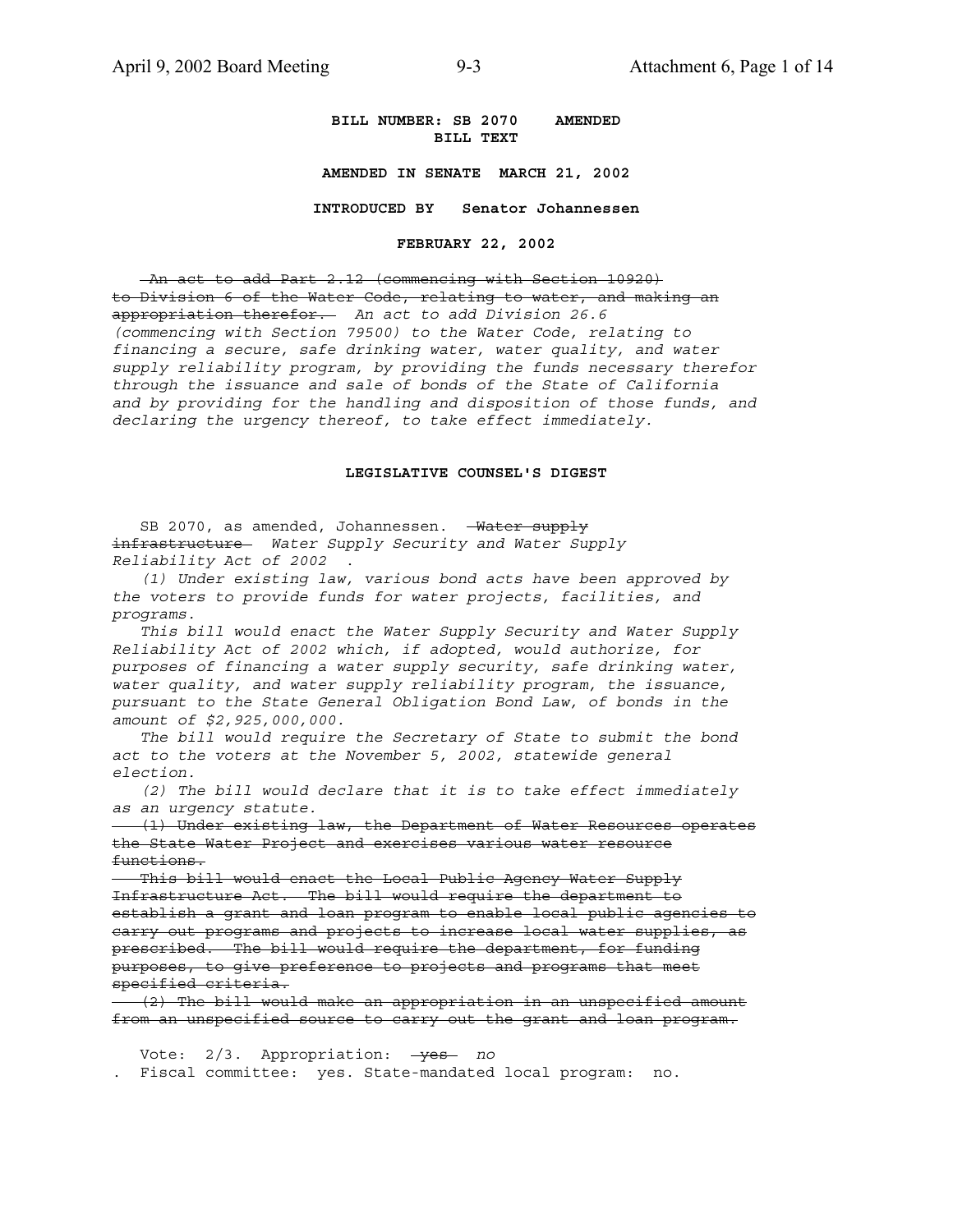### **BILL NUMBER: SB 2070 AMENDED BILL TEXT**

**AMENDED IN SENATE MARCH 21, 2002**

**INTRODUCED BY Senator Johannessen**

**FEBRUARY 22, 2002**

 An act to add Part 2.12 (commencing with Section 10920) to Division 6 of the Water Code, relating to water, and making an appropriation therefor. *An act to add Division 26.6 (commencing with Section 79500) to the Water Code, relating to financing a secure, safe drinking water, water quality, and water supply reliability program, by providing the funds necessary therefor through the issuance and sale of bonds of the State of California and by providing for the handling and disposition of those funds, and declaring the urgency thereof, to take effect immediately.*

### **LEGISLATIVE COUNSEL'S DIGEST**

SB 2070, as amended, Johannessen. - Water supply infrastructure *Water Supply Security and Water Supply Reliability Act of 2002* .

 *(1) Under existing law, various bond acts have been approved by the voters to provide funds for water projects, facilities, and programs.*

 *This bill would enact the Water Supply Security and Water Supply Reliability Act of 2002 which, if adopted, would authorize, for purposes of financing a water supply security, safe drinking water, water quality, and water supply reliability program, the issuance, pursuant to the State General Obligation Bond Law, of bonds in the amount of \$2,925,000,000.*

 *The bill would require the Secretary of State to submit the bond act to the voters at the November 5, 2002, statewide general election.*

 *(2) The bill would declare that it is to take effect immediately as an urgency statute.*

 (1) Under existing law, the Department of Water Resources operates the State Water Project and exercises various water resource functions.

 This bill would enact the Local Public Agency Water Supply Infrastructure Act. The bill would require the department to establish a grant and loan program to enable local public agencies to carry out programs and projects to increase local water supplies, as prescribed. The bill would require the department, for funding purposes, to give preference to projects and programs that meet specified criteria.

 (2) The bill would make an appropriation in an unspecified amount from an unspecified source to carry out the grant and loan program.

Vote: 2/3. Appropriation: - yes *no* . Fiscal committee: yes. State-mandated local program: no.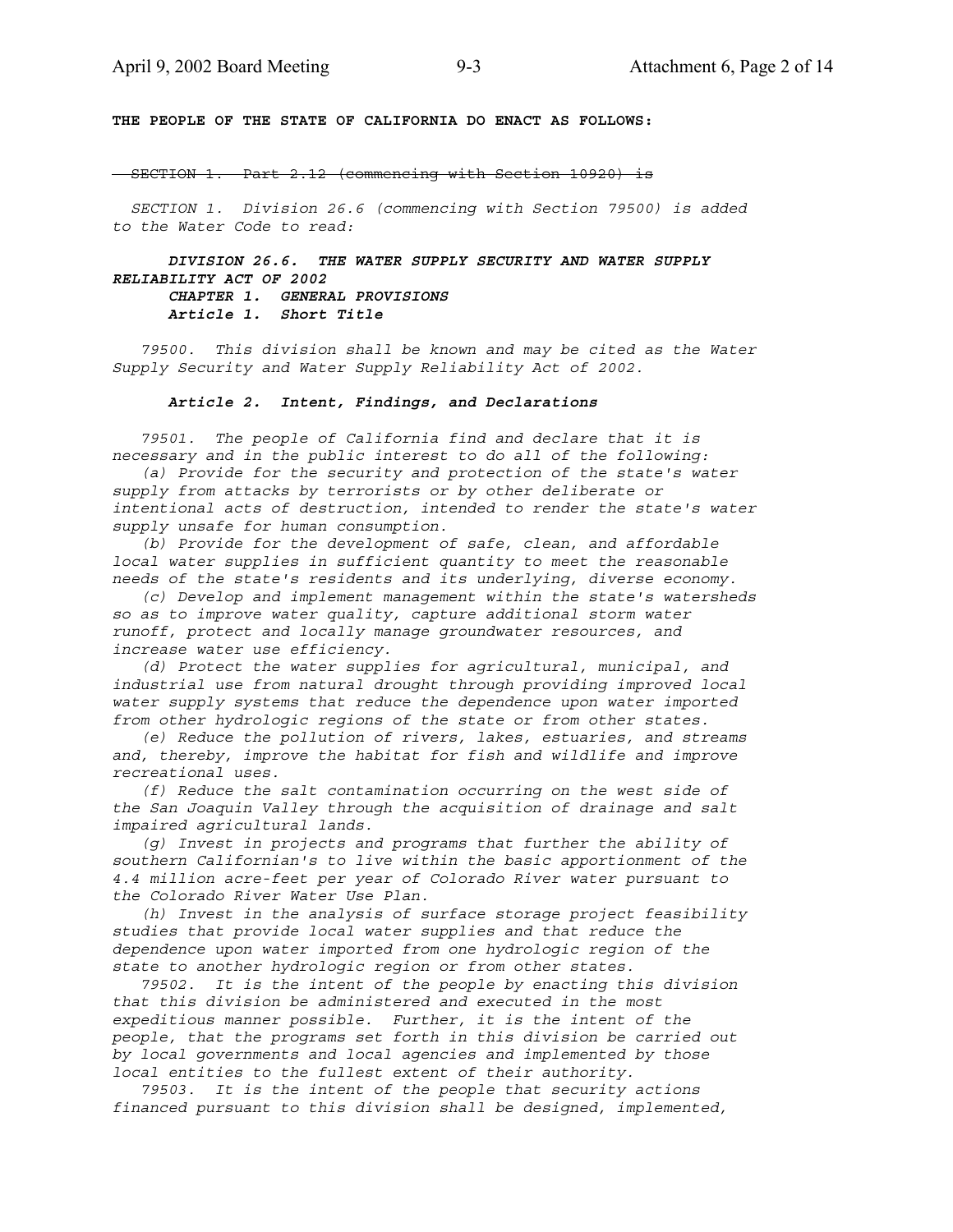**THE PEOPLE OF THE STATE OF CALIFORNIA DO ENACT AS FOLLOWS:**

- SECTION 1. Part 2.12 (commencing with Section 10920) is

 *SECTION 1. Division 26.6 (commencing with Section 79500) is added to the Water Code to read:*

 *DIVISION 26.6. THE WATER SUPPLY SECURITY AND WATER SUPPLY RELIABILITY ACT OF 2002 CHAPTER 1. GENERAL PROVISIONS*

 *Article 1. Short Title*

 *79500. This division shall be known and may be cited as the Water Supply Security and Water Supply Reliability Act of 2002.*

### *Article 2. Intent, Findings, and Declarations*

 *79501. The people of California find and declare that it is necessary and in the public interest to do all of the following:*

 *(a) Provide for the security and protection of the state's water supply from attacks by terrorists or by other deliberate or intentional acts of destruction, intended to render the state's water supply unsafe for human consumption.*

 *(b) Provide for the development of safe, clean, and affordable local water supplies in sufficient quantity to meet the reasonable needs of the state's residents and its underlying, diverse economy.*

 *(c) Develop and implement management within the state's watersheds so as to improve water quality, capture additional storm water runoff, protect and locally manage groundwater resources, and increase water use efficiency.*

 *(d) Protect the water supplies for agricultural, municipal, and industrial use from natural drought through providing improved local water supply systems that reduce the dependence upon water imported from other hydrologic regions of the state or from other states.*

 *(e) Reduce the pollution of rivers, lakes, estuaries, and streams and, thereby, improve the habitat for fish and wildlife and improve recreational uses.*

 *(f) Reduce the salt contamination occurring on the west side of the San Joaquin Valley through the acquisition of drainage and salt impaired agricultural lands.*

 *(g) Invest in projects and programs that further the ability of southern Californian's to live within the basic apportionment of the 4.4 million acre-feet per year of Colorado River water pursuant to the Colorado River Water Use Plan.*

 *(h) Invest in the analysis of surface storage project feasibility studies that provide local water supplies and that reduce the dependence upon water imported from one hydrologic region of the state to another hydrologic region or from other states.*

 *79502. It is the intent of the people by enacting this division that this division be administered and executed in the most expeditious manner possible. Further, it is the intent of the people, that the programs set forth in this division be carried out by local governments and local agencies and implemented by those local entities to the fullest extent of their authority.*

 *79503. It is the intent of the people that security actions financed pursuant to this division shall be designed, implemented,*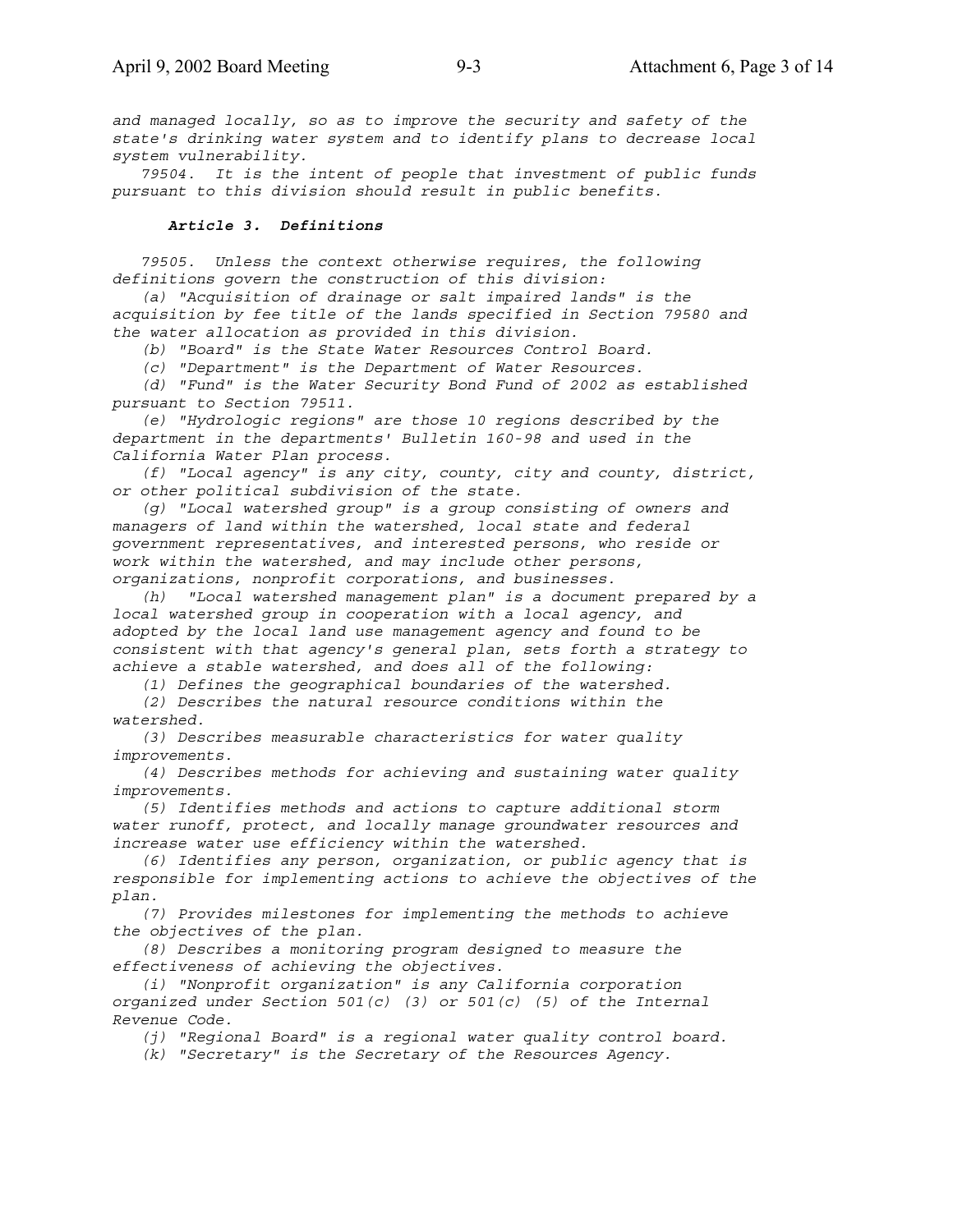*and managed locally, so as to improve the security and safety of the state's drinking water system and to identify plans to decrease local system vulnerability.*

 *79504. It is the intent of people that investment of public funds pursuant to this division should result in public benefits.*

### *Article 3. Definitions*

 *79505. Unless the context otherwise requires, the following definitions govern the construction of this division:*

 *(a) "Acquisition of drainage or salt impaired lands" is the acquisition by fee title of the lands specified in Section 79580 and the water allocation as provided in this division.*

 *(b) "Board" is the State Water Resources Control Board.*

 *(c) "Department" is the Department of Water Resources.*

 *(d) "Fund" is the Water Security Bond Fund of 2002 as established pursuant to Section 79511.*

 *(e) "Hydrologic regions" are those 10 regions described by the department in the departments' Bulletin 160-98 and used in the California Water Plan process.*

 *(f) "Local agency" is any city, county, city and county, district, or other political subdivision of the state.*

 *(g) "Local watershed group" is a group consisting of owners and managers of land within the watershed, local state and federal government representatives, and interested persons, who reside or work within the watershed, and may include other persons, organizations, nonprofit corporations, and businesses.*

 *(h) "Local watershed management plan" is a document prepared by a local watershed group in cooperation with a local agency, and adopted by the local land use management agency and found to be consistent with that agency's general plan, sets forth a strategy to achieve a stable watershed, and does all of the following:*

 *(1) Defines the geographical boundaries of the watershed.*

 *(2) Describes the natural resource conditions within the watershed.*

 *(3) Describes measurable characteristics for water quality improvements.*

 *(4) Describes methods for achieving and sustaining water quality improvements.*

 *(5) Identifies methods and actions to capture additional storm water runoff, protect, and locally manage groundwater resources and increase water use efficiency within the watershed.*

 *(6) Identifies any person, organization, or public agency that is responsible for implementing actions to achieve the objectives of the plan.*

 *(7) Provides milestones for implementing the methods to achieve the objectives of the plan.*

 *(8) Describes a monitoring program designed to measure the effectiveness of achieving the objectives.*

 *(i) "Nonprofit organization" is any California corporation organized under Section 501(c) (3) or 501(c) (5) of the Internal Revenue Code.*

 *(j) "Regional Board" is a regional water quality control board.*

 *(k) "Secretary" is the Secretary of the Resources Agency.*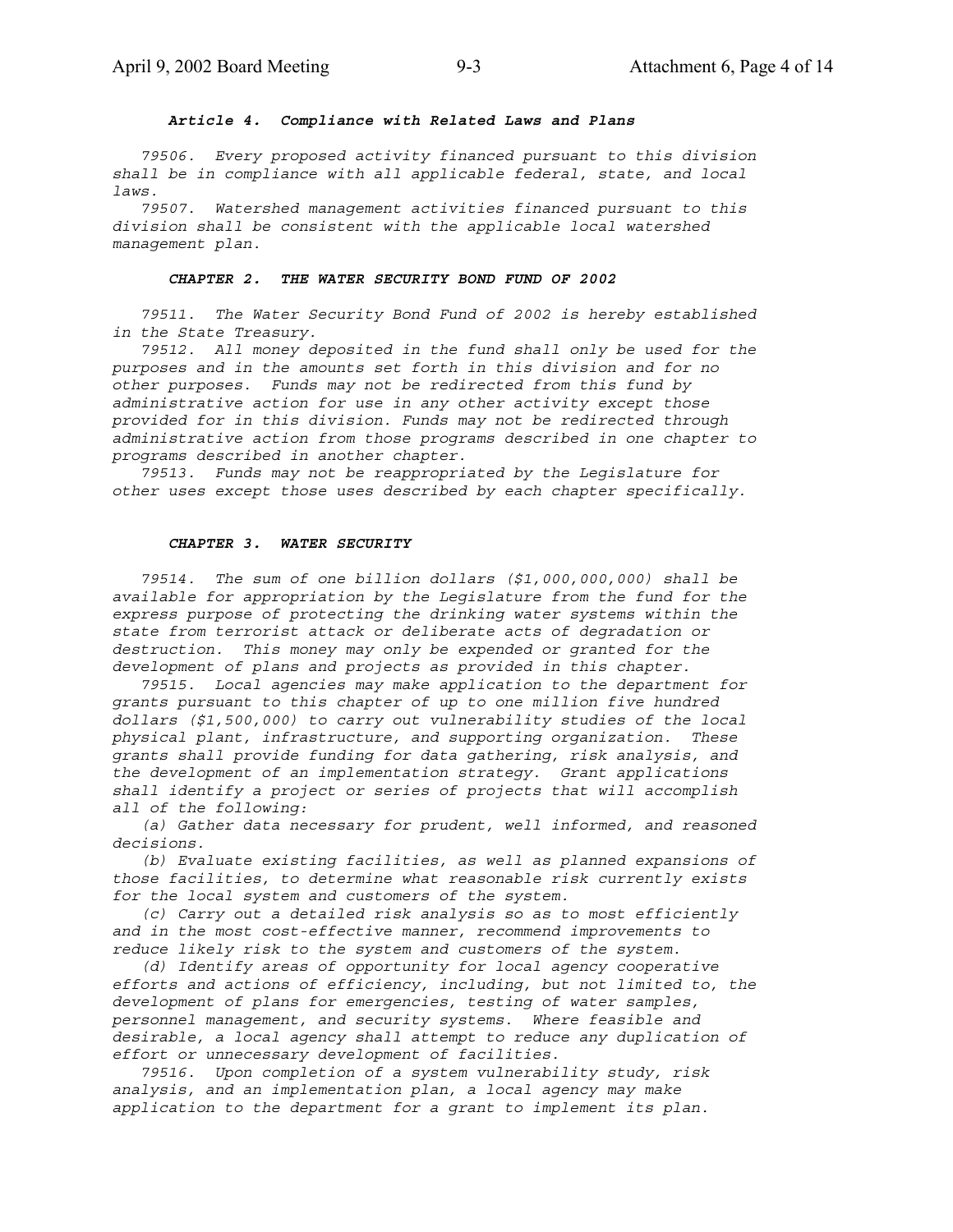### *Article 4. Compliance with Related Laws and Plans*

 *79506. Every proposed activity financed pursuant to this division shall be in compliance with all applicable federal, state, and local laws.*

 *79507. Watershed management activities financed pursuant to this division shall be consistent with the applicable local watershed management plan.*

### *CHAPTER 2. THE WATER SECURITY BOND FUND OF 2002*

 *79511. The Water Security Bond Fund of 2002 is hereby established in the State Treasury.*

 *79512. All money deposited in the fund shall only be used for the purposes and in the amounts set forth in this division and for no other purposes. Funds may not be redirected from this fund by administrative action for use in any other activity except those provided for in this division. Funds may not be redirected through administrative action from those programs described in one chapter to programs described in another chapter.*

 *79513. Funds may not be reappropriated by the Legislature for other uses except those uses described by each chapter specifically.*

#### *CHAPTER 3. WATER SECURITY*

 *79514. The sum of one billion dollars (\$1,000,000,000) shall be available for appropriation by the Legislature from the fund for the express purpose of protecting the drinking water systems within the state from terrorist attack or deliberate acts of degradation or destruction. This money may only be expended or granted for the development of plans and projects as provided in this chapter.*

 *79515. Local agencies may make application to the department for grants pursuant to this chapter of up to one million five hundred dollars (\$1,500,000) to carry out vulnerability studies of the local physical plant, infrastructure, and supporting organization. These grants shall provide funding for data gathering, risk analysis, and the development of an implementation strategy. Grant applications shall identify a project or series of projects that will accomplish all of the following:*

 *(a) Gather data necessary for prudent, well informed, and reasoned decisions.*

 *(b) Evaluate existing facilities, as well as planned expansions of those facilities, to determine what reasonable risk currently exists for the local system and customers of the system.*

 *(c) Carry out a detailed risk analysis so as to most efficiently and in the most cost-effective manner, recommend improvements to reduce likely risk to the system and customers of the system.*

 *(d) Identify areas of opportunity for local agency cooperative efforts and actions of efficiency, including, but not limited to, the development of plans for emergencies, testing of water samples, personnel management, and security systems. Where feasible and desirable, a local agency shall attempt to reduce any duplication of effort or unnecessary development of facilities.*

 *79516. Upon completion of a system vulnerability study, risk analysis, and an implementation plan, a local agency may make application to the department for a grant to implement its plan.*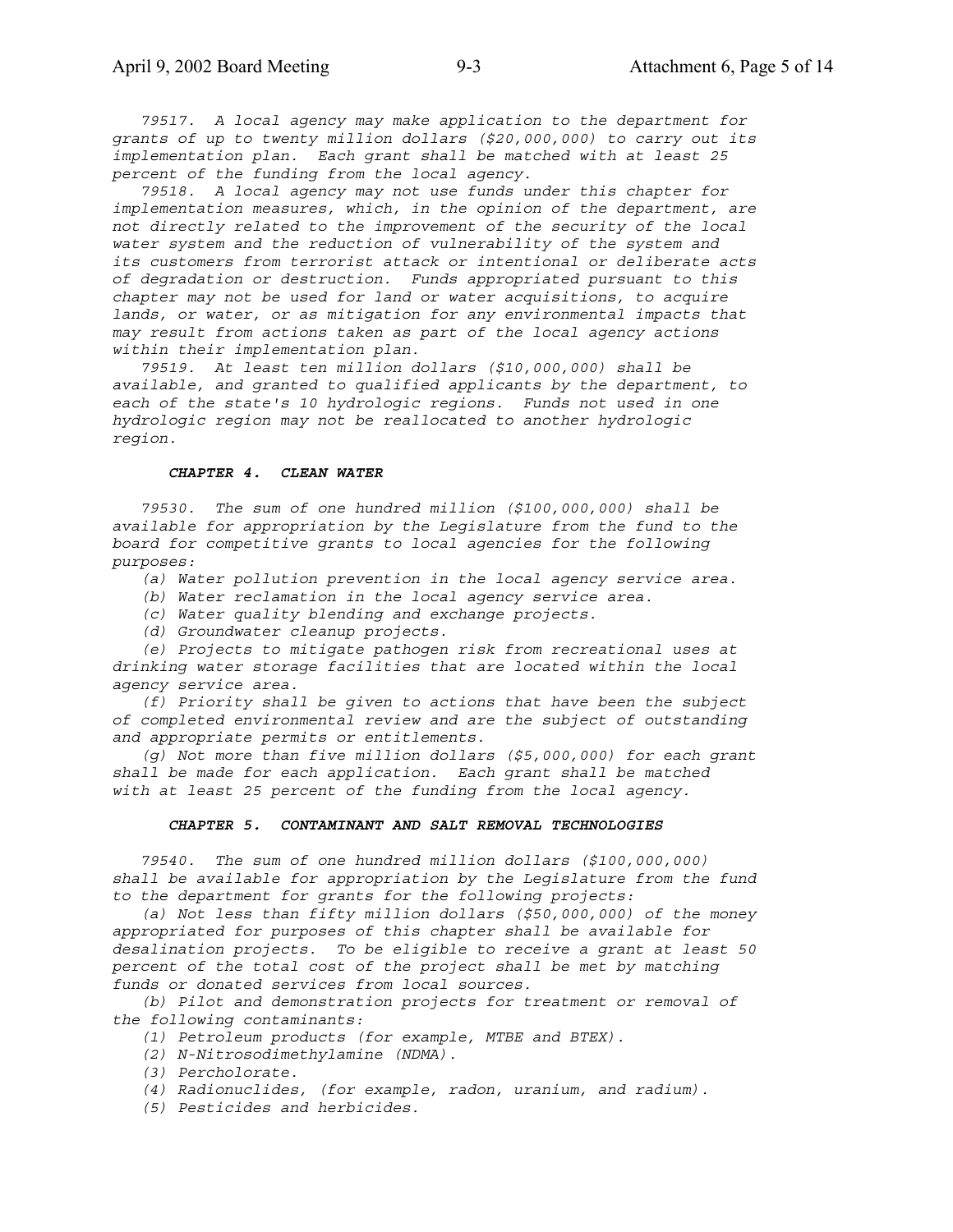*79517. A local agency may make application to the department for grants of up to twenty million dollars (\$20,000,000) to carry out its implementation plan. Each grant shall be matched with at least 25 percent of the funding from the local agency.*

 *79518. A local agency may not use funds under this chapter for implementation measures, which, in the opinion of the department, are not directly related to the improvement of the security of the local water system and the reduction of vulnerability of the system and its customers from terrorist attack or intentional or deliberate acts of degradation or destruction. Funds appropriated pursuant to this chapter may not be used for land or water acquisitions, to acquire lands, or water, or as mitigation for any environmental impacts that may result from actions taken as part of the local agency actions within their implementation plan.*

 *79519. At least ten million dollars (\$10,000,000) shall be available, and granted to qualified applicants by the department, to each of the state's 10 hydrologic regions. Funds not used in one hydrologic region may not be reallocated to another hydrologic region.*

#### *CHAPTER 4. CLEAN WATER*

 *79530. The sum of one hundred million (\$100,000,000) shall be available for appropriation by the Legislature from the fund to the board for competitive grants to local agencies for the following purposes:*

- *(a) Water pollution prevention in the local agency service area.*
- *(b) Water reclamation in the local agency service area.*
- *(c) Water quality blending and exchange projects.*
- *(d) Groundwater cleanup projects.*

 *(e) Projects to mitigate pathogen risk from recreational uses at drinking water storage facilities that are located within the local agency service area.*

 *(f) Priority shall be given to actions that have been the subject of completed environmental review and are the subject of outstanding and appropriate permits or entitlements.*

 *(g) Not more than five million dollars (\$5,000,000) for each grant shall be made for each application. Each grant shall be matched with at least 25 percent of the funding from the local agency.*

### *CHAPTER 5. CONTAMINANT AND SALT REMOVAL TECHNOLOGIES*

 *79540. The sum of one hundred million dollars (\$100,000,000) shall be available for appropriation by the Legislature from the fund to the department for grants for the following projects:*

 *(a) Not less than fifty million dollars (\$50,000,000) of the money appropriated for purposes of this chapter shall be available for desalination projects. To be eligible to receive a grant at least 50 percent of the total cost of the project shall be met by matching funds or donated services from local sources.*

 *(b) Pilot and demonstration projects for treatment or removal of the following contaminants:*

- *(1) Petroleum products (for example, MTBE and BTEX).*
- *(2) N-Nitrosodimethylamine (NDMA).*
- *(3) Percholorate.*
- *(4) Radionuclides, (for example, radon, uranium, and radium).*
- *(5) Pesticides and herbicides.*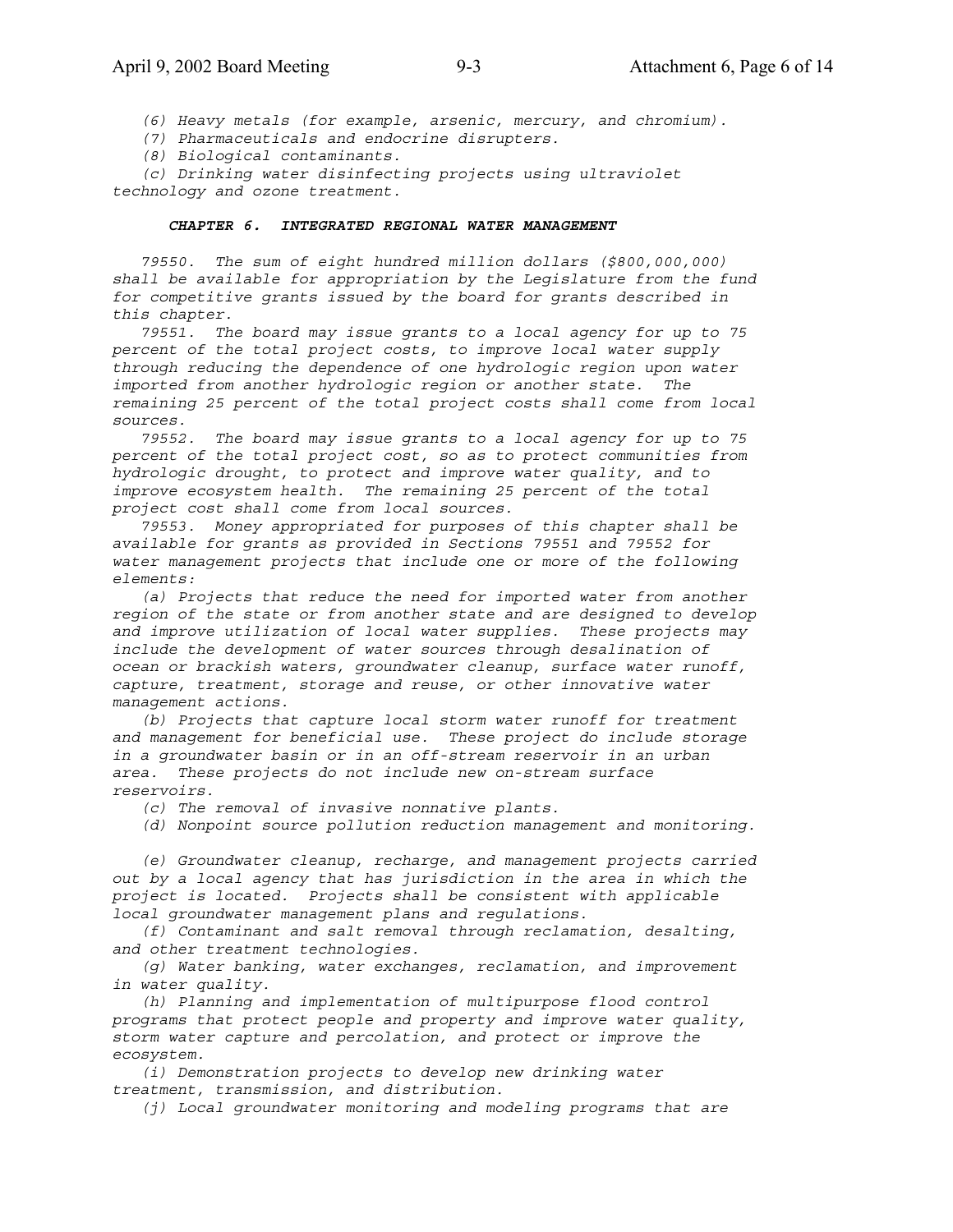*(6) Heavy metals (for example, arsenic, mercury, and chromium).*

 *(7) Pharmaceuticals and endocrine disrupters.*

 *(8) Biological contaminants.*

 *(c) Drinking water disinfecting projects using ultraviolet technology and ozone treatment.*

#### *CHAPTER 6. INTEGRATED REGIONAL WATER MANAGEMENT*

 *79550. The sum of eight hundred million dollars (\$800,000,000) shall be available for appropriation by the Legislature from the fund for competitive grants issued by the board for grants described in this chapter.*

 *79551. The board may issue grants to a local agency for up to 75 percent of the total project costs, to improve local water supply through reducing the dependence of one hydrologic region upon water imported from another hydrologic region or another state. The remaining 25 percent of the total project costs shall come from local sources.*

 *79552. The board may issue grants to a local agency for up to 75 percent of the total project cost, so as to protect communities from hydrologic drought, to protect and improve water quality, and to improve ecosystem health. The remaining 25 percent of the total project cost shall come from local sources.*

 *79553. Money appropriated for purposes of this chapter shall be available for grants as provided in Sections 79551 and 79552 for water management projects that include one or more of the following elements:*

 *(a) Projects that reduce the need for imported water from another region of the state or from another state and are designed to develop and improve utilization of local water supplies. These projects may include the development of water sources through desalination of ocean or brackish waters, groundwater cleanup, surface water runoff, capture, treatment, storage and reuse, or other innovative water management actions.*

 *(b) Projects that capture local storm water runoff for treatment and management for beneficial use. These project do include storage in a groundwater basin or in an off-stream reservoir in an urban area. These projects do not include new on-stream surface reservoirs.*

 *(c) The removal of invasive nonnative plants.*

 *(d) Nonpoint source pollution reduction management and monitoring.*

 *(e) Groundwater cleanup, recharge, and management projects carried out by a local agency that has jurisdiction in the area in which the project is located. Projects shall be consistent with applicable local groundwater management plans and regulations.*

 *(f) Contaminant and salt removal through reclamation, desalting, and other treatment technologies.*

 *(g) Water banking, water exchanges, reclamation, and improvement in water quality.*

 *(h) Planning and implementation of multipurpose flood control programs that protect people and property and improve water quality, storm water capture and percolation, and protect or improve the ecosystem.*

 *(i) Demonstration projects to develop new drinking water treatment, transmission, and distribution.*

 *(j) Local groundwater monitoring and modeling programs that are*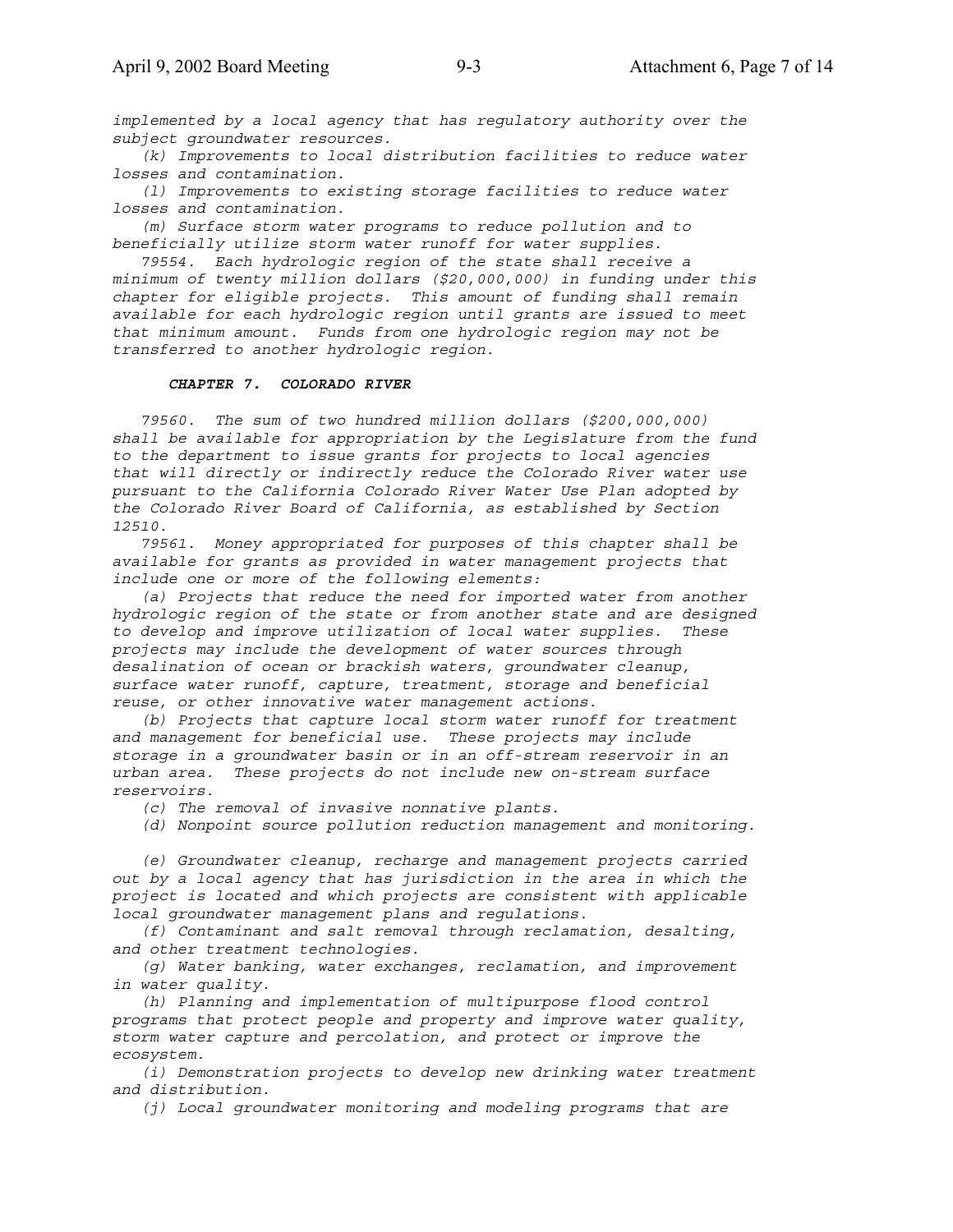*implemented by a local agency that has regulatory authority over the subject groundwater resources.*

 *(k) Improvements to local distribution facilities to reduce water losses and contamination.*

 *(l) Improvements to existing storage facilities to reduce water losses and contamination.*

 *(m) Surface storm water programs to reduce pollution and to beneficially utilize storm water runoff for water supplies.*

 *79554. Each hydrologic region of the state shall receive a minimum of twenty million dollars (\$20,000,000) in funding under this chapter for eligible projects. This amount of funding shall remain available for each hydrologic region until grants are issued to meet that minimum amount. Funds from one hydrologic region may not be transferred to another hydrologic region.*

### *CHAPTER 7. COLORADO RIVER*

 *79560. The sum of two hundred million dollars (\$200,000,000) shall be available for appropriation by the Legislature from the fund to the department to issue grants for projects to local agencies that will directly or indirectly reduce the Colorado River water use pursuant to the California Colorado River Water Use Plan adopted by the Colorado River Board of California, as established by Section 12510.*

 *79561. Money appropriated for purposes of this chapter shall be available for grants as provided in water management projects that include one or more of the following elements:*

 *(a) Projects that reduce the need for imported water from another hydrologic region of the state or from another state and are designed to develop and improve utilization of local water supplies. These projects may include the development of water sources through desalination of ocean or brackish waters, groundwater cleanup, surface water runoff, capture, treatment, storage and beneficial reuse, or other innovative water management actions.*

 *(b) Projects that capture local storm water runoff for treatment and management for beneficial use. These projects may include storage in a groundwater basin or in an off-stream reservoir in an urban area. These projects do not include new on-stream surface reservoirs.*

 *(c) The removal of invasive nonnative plants.*

 *(d) Nonpoint source pollution reduction management and monitoring.*

 *(e) Groundwater cleanup, recharge and management projects carried out by a local agency that has jurisdiction in the area in which the project is located and which projects are consistent with applicable local groundwater management plans and regulations.*

 *(f) Contaminant and salt removal through reclamation, desalting, and other treatment technologies.*

 *(g) Water banking, water exchanges, reclamation, and improvement in water quality.*

 *(h) Planning and implementation of multipurpose flood control programs that protect people and property and improve water quality, storm water capture and percolation, and protect or improve the ecosystem.*

 *(i) Demonstration projects to develop new drinking water treatment and distribution.*

 *(j) Local groundwater monitoring and modeling programs that are*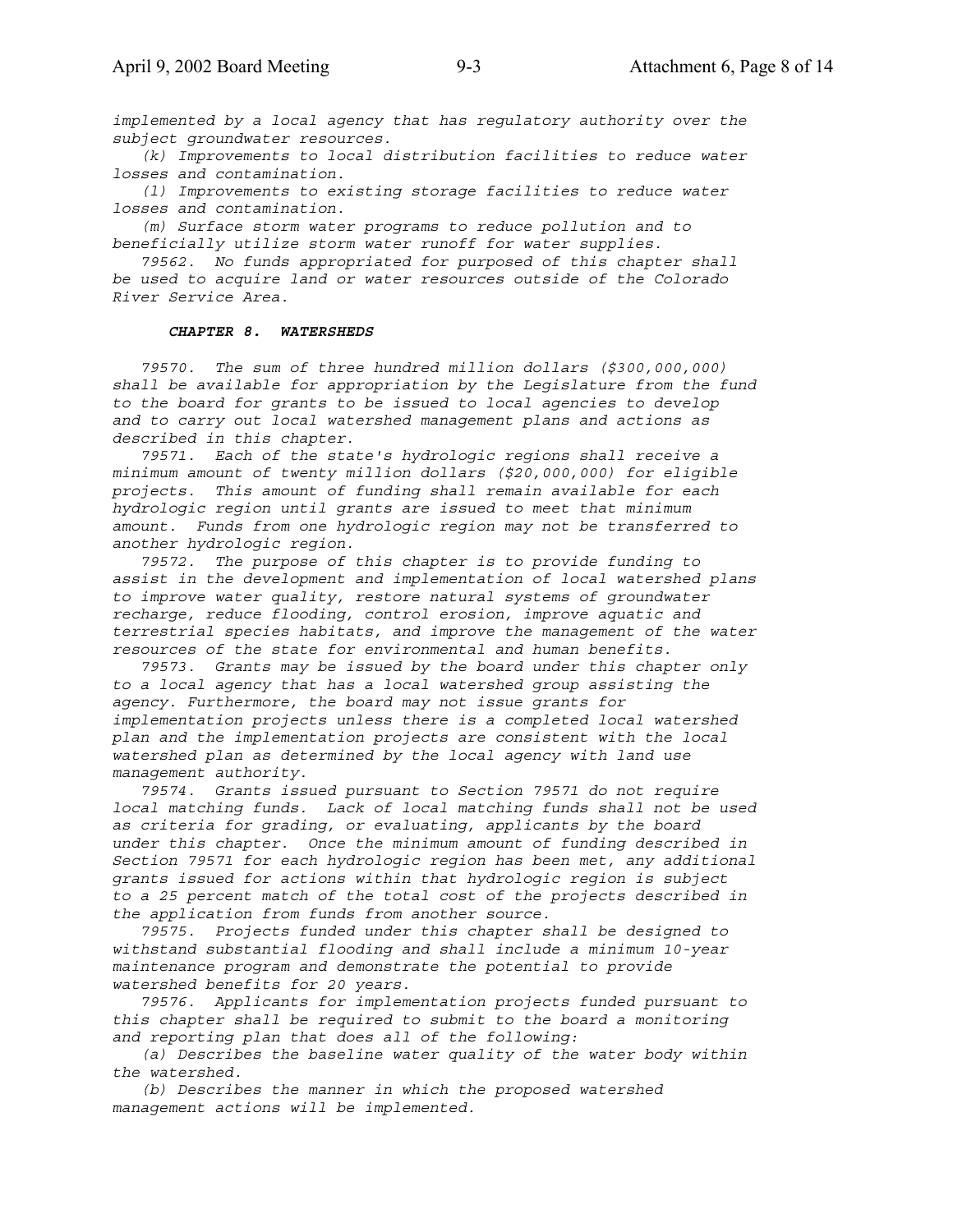*implemented by a local agency that has regulatory authority over the subject groundwater resources.*

 *(k) Improvements to local distribution facilities to reduce water losses and contamination.*

 *(l) Improvements to existing storage facilities to reduce water losses and contamination.*

 *(m) Surface storm water programs to reduce pollution and to beneficially utilize storm water runoff for water supplies.*

 *79562. No funds appropriated for purposed of this chapter shall be used to acquire land or water resources outside of the Colorado River Service Area.*

#### *CHAPTER 8. WATERSHEDS*

 *79570. The sum of three hundred million dollars (\$300,000,000) shall be available for appropriation by the Legislature from the fund to the board for grants to be issued to local agencies to develop and to carry out local watershed management plans and actions as described in this chapter.*

 *79571. Each of the state's hydrologic regions shall receive a minimum amount of twenty million dollars (\$20,000,000) for eligible projects. This amount of funding shall remain available for each hydrologic region until grants are issued to meet that minimum amount. Funds from one hydrologic region may not be transferred to another hydrologic region.*

 *79572. The purpose of this chapter is to provide funding to assist in the development and implementation of local watershed plans to improve water quality, restore natural systems of groundwater recharge, reduce flooding, control erosion, improve aquatic and terrestrial species habitats, and improve the management of the water resources of the state for environmental and human benefits.*

 *79573. Grants may be issued by the board under this chapter only to a local agency that has a local watershed group assisting the agency. Furthermore, the board may not issue grants for implementation projects unless there is a completed local watershed plan and the implementation projects are consistent with the local watershed plan as determined by the local agency with land use management authority.*

 *79574. Grants issued pursuant to Section 79571 do not require local matching funds. Lack of local matching funds shall not be used as criteria for grading, or evaluating, applicants by the board under this chapter. Once the minimum amount of funding described in Section 79571 for each hydrologic region has been met, any additional grants issued for actions within that hydrologic region is subject to a 25 percent match of the total cost of the projects described in the application from funds from another source.*

 *79575. Projects funded under this chapter shall be designed to withstand substantial flooding and shall include a minimum 10-year maintenance program and demonstrate the potential to provide watershed benefits for 20 years.*

 *79576. Applicants for implementation projects funded pursuant to this chapter shall be required to submit to the board a monitoring and reporting plan that does all of the following:*

 *(a) Describes the baseline water quality of the water body within the watershed.*

 *(b) Describes the manner in which the proposed watershed management actions will be implemented.*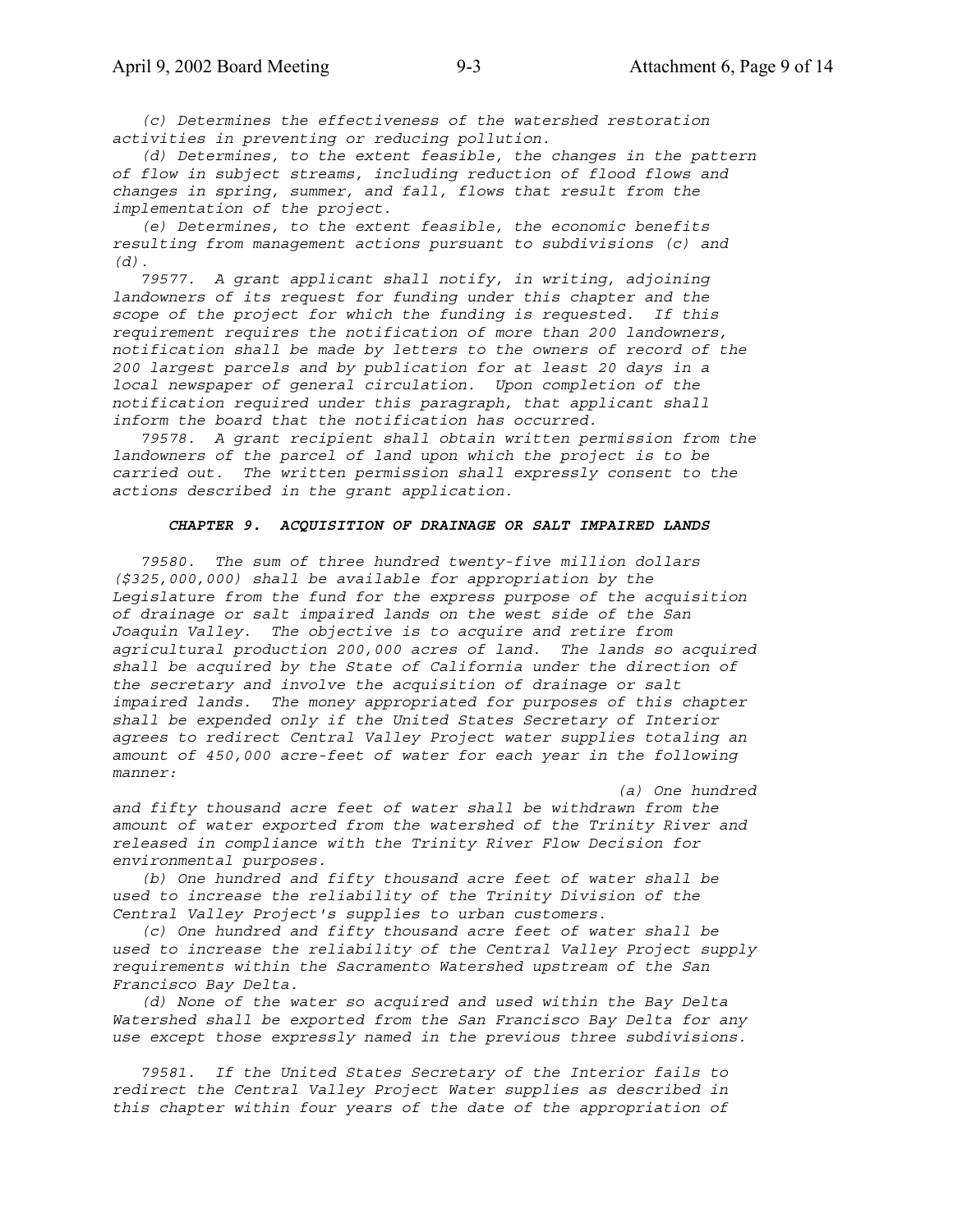*(c) Determines the effectiveness of the watershed restoration activities in preventing or reducing pollution.*

 *(d) Determines, to the extent feasible, the changes in the pattern of flow in subject streams, including reduction of flood flows and changes in spring, summer, and fall, flows that result from the implementation of the project.*

 *(e) Determines, to the extent feasible, the economic benefits resulting from management actions pursuant to subdivisions (c) and (d).*

 *79577. A grant applicant shall notify, in writing, adjoining landowners of its request for funding under this chapter and the scope of the project for which the funding is requested. If this requirement requires the notification of more than 200 landowners, notification shall be made by letters to the owners of record of the 200 largest parcels and by publication for at least 20 days in a local newspaper of general circulation. Upon completion of the notification required under this paragraph, that applicant shall inform the board that the notification has occurred.*

 *79578. A grant recipient shall obtain written permission from the landowners of the parcel of land upon which the project is to be carried out. The written permission shall expressly consent to the actions described in the grant application.*

### *CHAPTER 9. ACQUISITION OF DRAINAGE OR SALT IMPAIRED LANDS*

 *79580. The sum of three hundred twenty-five million dollars (\$325,000,000) shall be available for appropriation by the Legislature from the fund for the express purpose of the acquisition of drainage or salt impaired lands on the west side of the San Joaquin Valley. The objective is to acquire and retire from agricultural production 200,000 acres of land. The lands so acquired shall be acquired by the State of California under the direction of the secretary and involve the acquisition of drainage or salt impaired lands. The money appropriated for purposes of this chapter shall be expended only if the United States Secretary of Interior agrees to redirect Central Valley Project water supplies totaling an amount of 450,000 acre-feet of water for each year in the following manner:*

 *(a) One hundred*

*and fifty thousand acre feet of water shall be withdrawn from the amount of water exported from the watershed of the Trinity River and released in compliance with the Trinity River Flow Decision for environmental purposes.*

 *(b) One hundred and fifty thousand acre feet of water shall be used to increase the reliability of the Trinity Division of the Central Valley Project's supplies to urban customers.*

 *(c) One hundred and fifty thousand acre feet of water shall be used to increase the reliability of the Central Valley Project supply requirements within the Sacramento Watershed upstream of the San Francisco Bay Delta.*

 *(d) None of the water so acquired and used within the Bay Delta Watershed shall be exported from the San Francisco Bay Delta for any use except those expressly named in the previous three subdivisions.*

 *79581. If the United States Secretary of the Interior fails to redirect the Central Valley Project Water supplies as described in this chapter within four years of the date of the appropriation of*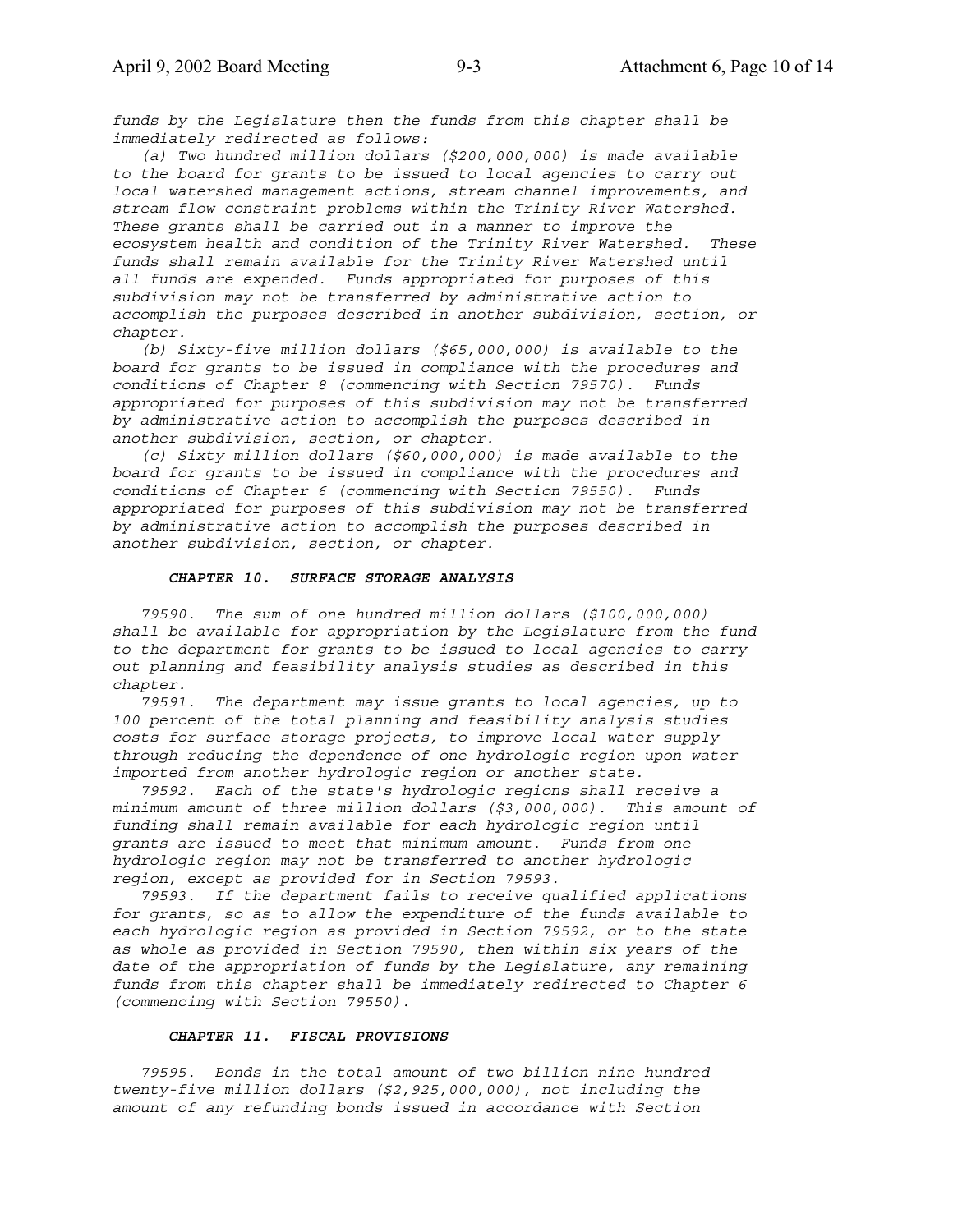*funds by the Legislature then the funds from this chapter shall be immediately redirected as follows:*

 *(a) Two hundred million dollars (\$200,000,000) is made available to the board for grants to be issued to local agencies to carry out local watershed management actions, stream channel improvements, and stream flow constraint problems within the Trinity River Watershed. These grants shall be carried out in a manner to improve the ecosystem health and condition of the Trinity River Watershed. These funds shall remain available for the Trinity River Watershed until all funds are expended. Funds appropriated for purposes of this subdivision may not be transferred by administrative action to accomplish the purposes described in another subdivision, section, or chapter.*

 *(b) Sixty-five million dollars (\$65,000,000) is available to the board for grants to be issued in compliance with the procedures and conditions of Chapter 8 (commencing with Section 79570). Funds appropriated for purposes of this subdivision may not be transferred by administrative action to accomplish the purposes described in another subdivision, section, or chapter.*

 *(c) Sixty million dollars (\$60,000,000) is made available to the board for grants to be issued in compliance with the procedures and conditions of Chapter 6 (commencing with Section 79550). Funds appropriated for purposes of this subdivision may not be transferred by administrative action to accomplish the purposes described in another subdivision, section, or chapter.*

### *CHAPTER 10. SURFACE STORAGE ANALYSIS*

 *79590. The sum of one hundred million dollars (\$100,000,000) shall be available for appropriation by the Legislature from the fund to the department for grants to be issued to local agencies to carry out planning and feasibility analysis studies as described in this chapter.*

 *79591. The department may issue grants to local agencies, up to 100 percent of the total planning and feasibility analysis studies costs for surface storage projects, to improve local water supply through reducing the dependence of one hydrologic region upon water imported from another hydrologic region or another state.*

 *79592. Each of the state's hydrologic regions shall receive a minimum amount of three million dollars (\$3,000,000). This amount of funding shall remain available for each hydrologic region until grants are issued to meet that minimum amount. Funds from one hydrologic region may not be transferred to another hydrologic region, except as provided for in Section 79593.*

 *79593. If the department fails to receive qualified applications for grants, so as to allow the expenditure of the funds available to each hydrologic region as provided in Section 79592, or to the state as whole as provided in Section 79590, then within six years of the date of the appropriation of funds by the Legislature, any remaining funds from this chapter shall be immediately redirected to Chapter 6 (commencing with Section 79550).*

### *CHAPTER 11. FISCAL PROVISIONS*

 *79595. Bonds in the total amount of two billion nine hundred twenty-five million dollars (\$2,925,000,000), not including the amount of any refunding bonds issued in accordance with Section*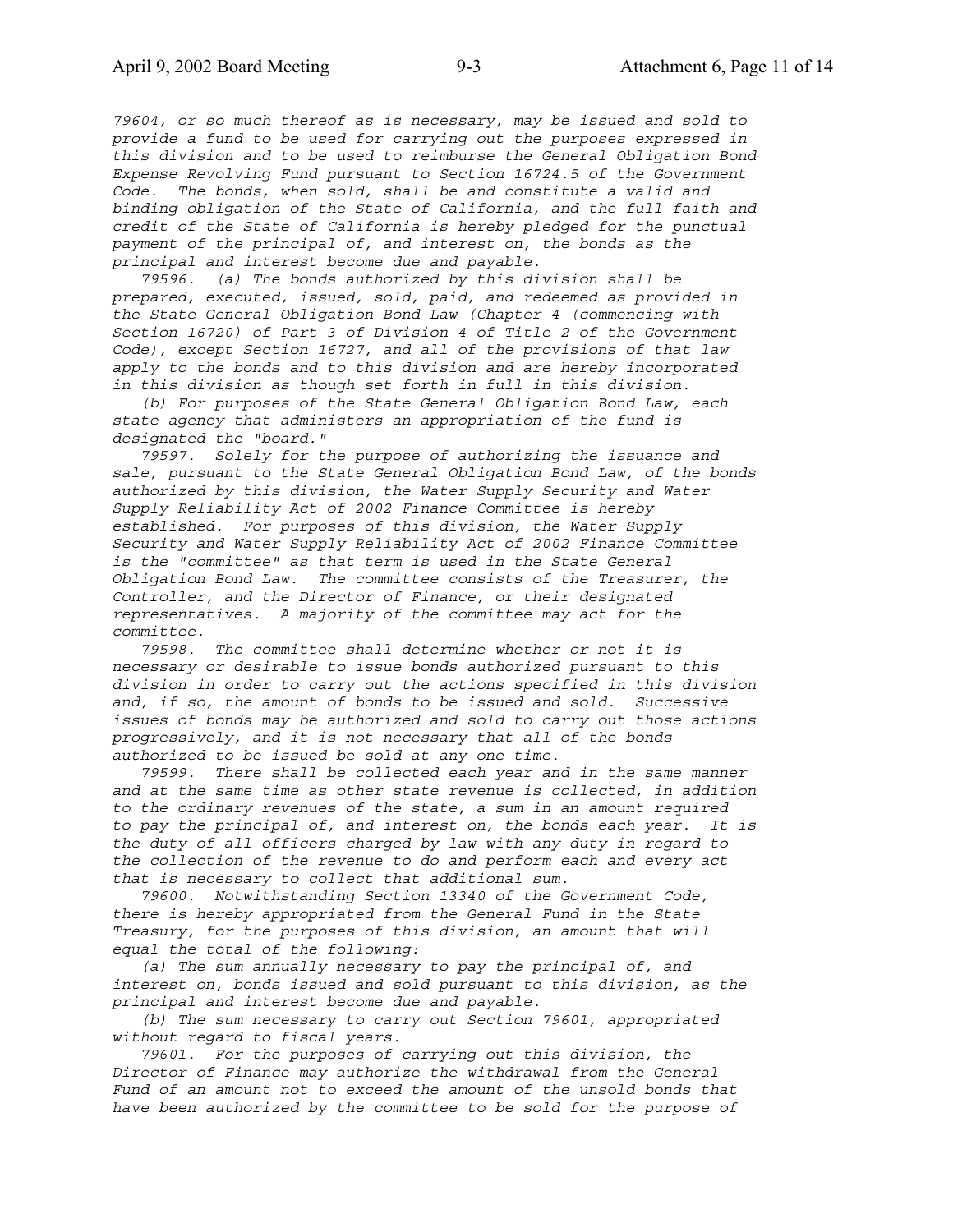*79604, or so much thereof as is necessary, may be issued and sold to provide a fund to be used for carrying out the purposes expressed in this division and to be used to reimburse the General Obligation Bond Expense Revolving Fund pursuant to Section 16724.5 of the Government Code. The bonds, when sold, shall be and constitute a valid and binding obligation of the State of California, and the full faith and credit of the State of California is hereby pledged for the punctual payment of the principal of, and interest on, the bonds as the principal and interest become due and payable.*

 *79596. (a) The bonds authorized by this division shall be prepared, executed, issued, sold, paid, and redeemed as provided in the State General Obligation Bond Law (Chapter 4 (commencing with Section 16720) of Part 3 of Division 4 of Title 2 of the Government Code), except Section 16727, and all of the provisions of that law apply to the bonds and to this division and are hereby incorporated in this division as though set forth in full in this division.*

 *(b) For purposes of the State General Obligation Bond Law, each state agency that administers an appropriation of the fund is designated the "board."*

 *79597. Solely for the purpose of authorizing the issuance and sale, pursuant to the State General Obligation Bond Law, of the bonds authorized by this division, the Water Supply Security and Water Supply Reliability Act of 2002 Finance Committee is hereby established. For purposes of this division, the Water Supply Security and Water Supply Reliability Act of 2002 Finance Committee is the "committee" as that term is used in the State General Obligation Bond Law. The committee consists of the Treasurer, the Controller, and the Director of Finance, or their designated representatives. A majority of the committee may act for the committee.*

 *79598. The committee shall determine whether or not it is necessary or desirable to issue bonds authorized pursuant to this division in order to carry out the actions specified in this division and, if so, the amount of bonds to be issued and sold. Successive issues of bonds may be authorized and sold to carry out those actions progressively, and it is not necessary that all of the bonds authorized to be issued be sold at any one time.*

 *79599. There shall be collected each year and in the same manner and at the same time as other state revenue is collected, in addition to the ordinary revenues of the state, a sum in an amount required to pay the principal of, and interest on, the bonds each year. It is the duty of all officers charged by law with any duty in regard to the collection of the revenue to do and perform each and every act that is necessary to collect that additional sum.*

 *79600. Notwithstanding Section 13340 of the Government Code, there is hereby appropriated from the General Fund in the State Treasury, for the purposes of this division, an amount that will equal the total of the following:*

 *(a) The sum annually necessary to pay the principal of, and interest on, bonds issued and sold pursuant to this division, as the principal and interest become due and payable.*

 *(b) The sum necessary to carry out Section 79601, appropriated without regard to fiscal years.*

 *79601. For the purposes of carrying out this division, the Director of Finance may authorize the withdrawal from the General Fund of an amount not to exceed the amount of the unsold bonds that have been authorized by the committee to be sold for the purpose of*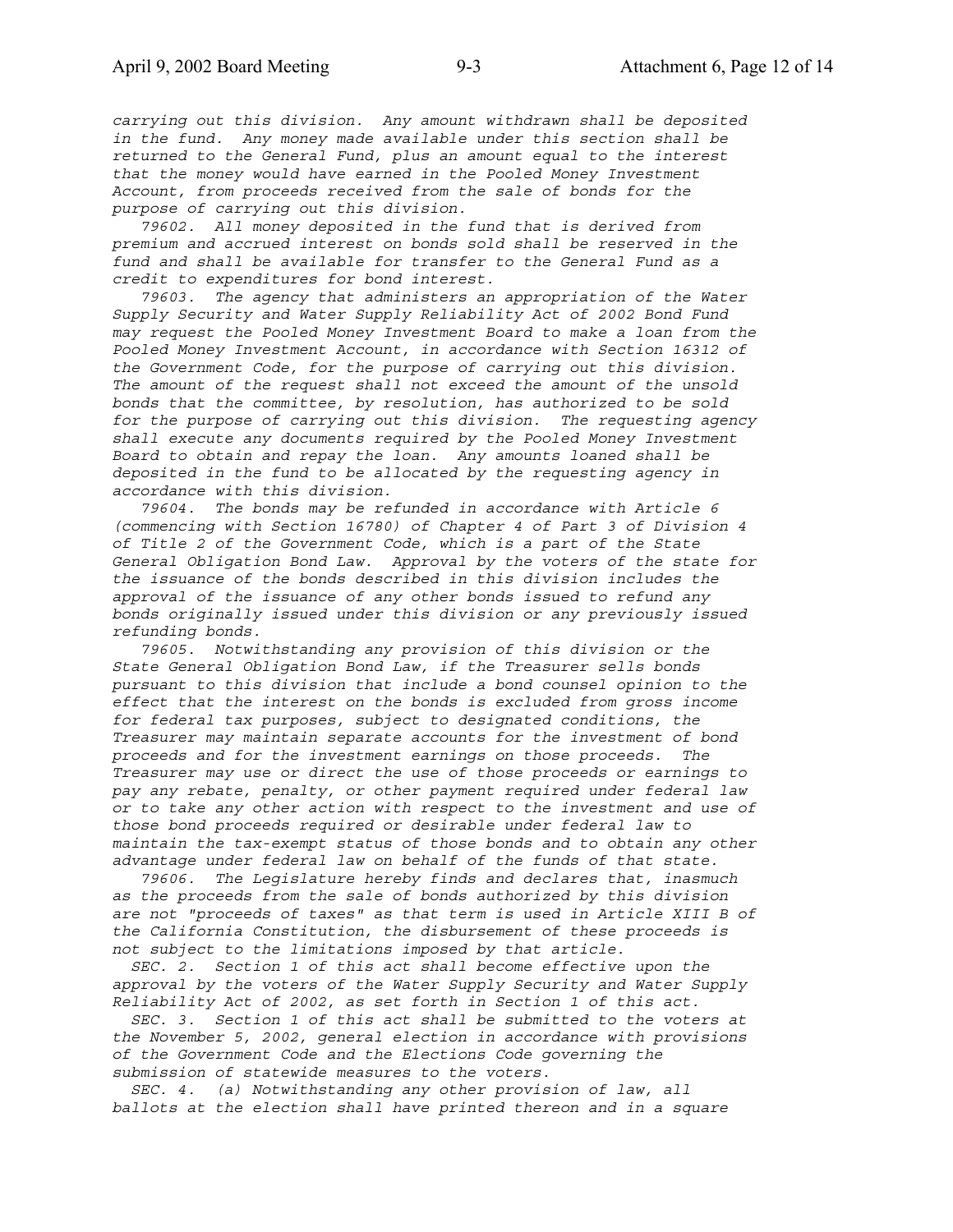*carrying out this division. Any amount withdrawn shall be deposited in the fund. Any money made available under this section shall be returned to the General Fund, plus an amount equal to the interest that the money would have earned in the Pooled Money Investment Account, from proceeds received from the sale of bonds for the purpose of carrying out this division.*

 *79602. All money deposited in the fund that is derived from premium and accrued interest on bonds sold shall be reserved in the fund and shall be available for transfer to the General Fund as a credit to expenditures for bond interest.*

 *79603. The agency that administers an appropriation of the Water Supply Security and Water Supply Reliability Act of 2002 Bond Fund may request the Pooled Money Investment Board to make a loan from the Pooled Money Investment Account, in accordance with Section 16312 of the Government Code, for the purpose of carrying out this division. The amount of the request shall not exceed the amount of the unsold bonds that the committee, by resolution, has authorized to be sold for the purpose of carrying out this division. The requesting agency shall execute any documents required by the Pooled Money Investment Board to obtain and repay the loan. Any amounts loaned shall be deposited in the fund to be allocated by the requesting agency in accordance with this division.*

 *79604. The bonds may be refunded in accordance with Article 6 (commencing with Section 16780) of Chapter 4 of Part 3 of Division 4 of Title 2 of the Government Code, which is a part of the State General Obligation Bond Law. Approval by the voters of the state for the issuance of the bonds described in this division includes the approval of the issuance of any other bonds issued to refund any bonds originally issued under this division or any previously issued refunding bonds.*

 *79605. Notwithstanding any provision of this division or the State General Obligation Bond Law, if the Treasurer sells bonds pursuant to this division that include a bond counsel opinion to the effect that the interest on the bonds is excluded from gross income for federal tax purposes, subject to designated conditions, the Treasurer may maintain separate accounts for the investment of bond proceeds and for the investment earnings on those proceeds. The Treasurer may use or direct the use of those proceeds or earnings to pay any rebate, penalty, or other payment required under federal law or to take any other action with respect to the investment and use of those bond proceeds required or desirable under federal law to maintain the tax-exempt status of those bonds and to obtain any other advantage under federal law on behalf of the funds of that state.*

 *79606. The Legislature hereby finds and declares that, inasmuch as the proceeds from the sale of bonds authorized by this division are not "proceeds of taxes" as that term is used in Article XIII B of the California Constitution, the disbursement of these proceeds is not subject to the limitations imposed by that article.*

 *SEC. 2. Section 1 of this act shall become effective upon the approval by the voters of the Water Supply Security and Water Supply Reliability Act of 2002, as set forth in Section 1 of this act.*

 *SEC. 3. Section 1 of this act shall be submitted to the voters at the November 5, 2002, general election in accordance with provisions of the Government Code and the Elections Code governing the submission of statewide measures to the voters.*

 *SEC. 4. (a) Notwithstanding any other provision of law, all ballots at the election shall have printed thereon and in a square*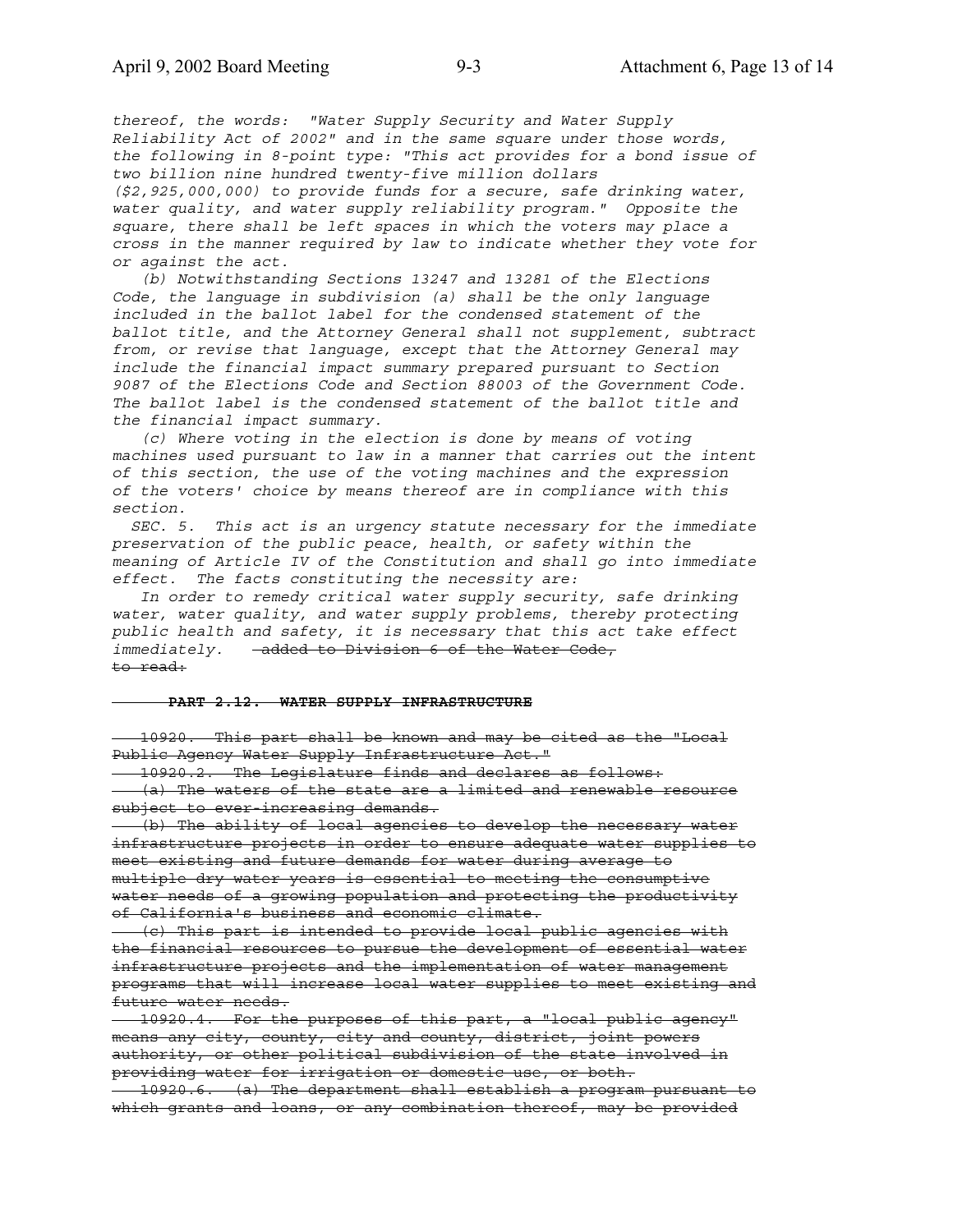*thereof, the words: "Water Supply Security and Water Supply Reliability Act of 2002" and in the same square under those words, the following in 8-point type: "This act provides for a bond issue of two billion nine hundred twenty-five million dollars (\$2,925,000,000) to provide funds for a secure, safe drinking water, water quality, and water supply reliability program." Opposite the square, there shall be left spaces in which the voters may place a cross in the manner required by law to indicate whether they vote for or against the act.*

 *(b) Notwithstanding Sections 13247 and 13281 of the Elections Code, the language in subdivision (a) shall be the only language included in the ballot label for the condensed statement of the ballot title, and the Attorney General shall not supplement, subtract from, or revise that language, except that the Attorney General may include the financial impact summary prepared pursuant to Section 9087 of the Elections Code and Section 88003 of the Government Code. The ballot label is the condensed statement of the ballot title and the financial impact summary.*

 *(c) Where voting in the election is done by means of voting machines used pursuant to law in a manner that carries out the intent of this section, the use of the voting machines and the expression of the voters' choice by means thereof are in compliance with this section.*

 *SEC. 5. This act is an urgency statute necessary for the immediate preservation of the public peace, health, or safety within the meaning of Article IV of the Constitution and shall go into immediate effect. The facts constituting the necessity are:*

 *In order to remedy critical water supply security, safe drinking water, water quality, and water supply problems, thereby protecting public health and safety, it is necessary that this act take effect* immediately. - added to Division 6 of the Water Code, to read:

#### **PART 2.12. WATER SUPPLY INFRASTRUCTURE**

 10920. This part shall be known and may be cited as the "Local Public Agency Water Supply Infrastructure Act.<sup>"</sup>

 10920.2. The Legislature finds and declares as follows: (a) The waters of the state are a limited and renewable resource subject to ever-increasing demands.

 (b) The ability of local agencies to develop the necessary water infrastructure projects in order to ensure adequate water supplies to meet existing and future demands for water during average to multiple dry water years is essential to meeting the consumptive water needs of a growing population and protecting the productivity of California's business and economic climate.

 (c) This part is intended to provide local public agencies with the financial resources to pursue the development of essential water infrastructure projects and the implementation of water management programs that will increase local water supplies to meet existing and future water needs.

 10920.4. For the purposes of this part, a "local public agency" means any city, county, city and county, district, joint powers authority, or other political subdivision of the state involved in providing water for irrigation or domestic use, or both.

 10920.6. (a) The department shall establish a program pursuant to which grants and loans, or any combination thereof, may be provided